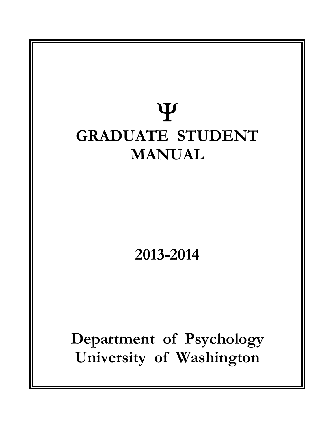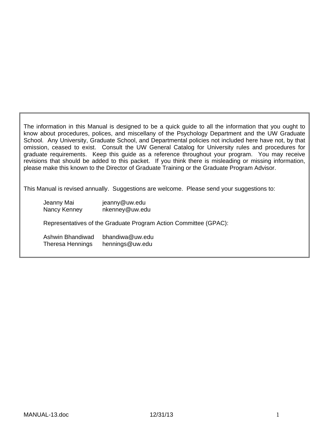The information in this Manual is designed to be a quick guide to all the information that you ought to know about procedures, polices, and miscellany of the Psychology Department and the UW Graduate School. Any University, Graduate School, and Departmental policies not included here have not, by that omission, ceased to exist. Consult the UW General Catalog for University rules and procedures for graduate requirements. Keep this guide as a reference throughout your program. You may receive revisions that should be added to this packet. If you think there is misleading or missing information, please make this known to the Director of Graduate Training or the Graduate Program Advisor.

This Manual is revised annually. Suggestions are welcome. Please send your suggestions to:

| Jeanny Mai<br>Nancy Kenney                  | jeanny@uw.edu<br>nkenney@uw.edu                                  |
|---------------------------------------------|------------------------------------------------------------------|
|                                             | Representatives of the Graduate Program Action Committee (GPAC): |
| Ashwin Bhandiwad<br><b>Theresa Hennings</b> | bhandiwa@uw.edu<br>hennings@uw.edu                               |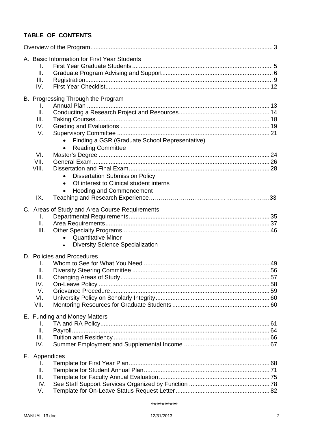# **TABLE OF CONTENTS**

| A. Basic Information for First Year Students<br>L.<br>ΙΙ.<br>III.<br>IV.                                                                                                                  |  |
|-------------------------------------------------------------------------------------------------------------------------------------------------------------------------------------------|--|
| B. Progressing Through the Program<br>L.<br>II.<br>III.<br>IV.<br>V.<br>Finding a GSR (Graduate School Representative)<br><b>Reading Committee</b><br>$\bullet$                           |  |
| VI.<br>VII.<br>VIII.<br><b>Dissertation Submission Policy</b><br>$\bullet$<br>Of interest to Clinical student interns<br>$\bullet$<br><b>Hooding and Commencement</b><br>$\bullet$<br>IX. |  |
| C. Areas of Study and Area Course Requirements<br>L.<br>ΙΙ.<br>III.<br><b>Quantitative Minor</b><br>$\bullet$<br><b>Diversity Science Specialization</b>                                  |  |
| D. Policies and Procedures<br>I.<br>ΙΙ.<br>III.<br>IV.<br>V.<br>VI.<br>VII.                                                                                                               |  |
| E. Funding and Money Matters<br>I.<br>ΙΙ.<br>III.<br>IV.                                                                                                                                  |  |
| F. Appendices<br>I.<br>ΙΙ.<br>III.<br>IV.<br>V.                                                                                                                                           |  |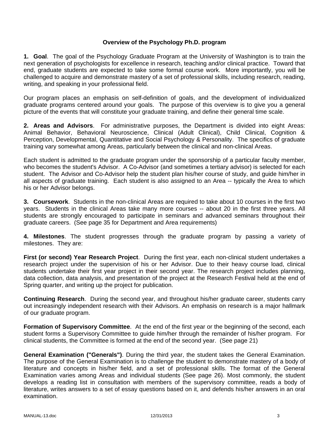### **Overview of the Psychology Ph.D. program**

**1. Goal**. The goal of the Psychology Graduate Program at the University of Washington is to train the next generation of psychologists for excellence in research, teaching and/or clinical practice. Toward that end, graduate students are expected to take some formal course work. More importantly, you will be challenged to acquire and demonstrate mastery of a set of professional skills, including research, reading, writing, and speaking in your professional field.

Our program places an emphasis on self-definition of goals, and the development of individualized graduate programs centered around your goals. The purpose of this overview is to give you a general picture of the events that will constitute your graduate training, and define their general time scale.

**2. Areas and Advisors**. For administrative purposes, the Department is divided into eight Areas: Animal Behavior, Behavioral Neuroscience, Clinical (Adult Clinical), Child Clinical, Cognition & Perception, Developmental, Quantitative and Social Psychology & Personality. The specifics of graduate training vary somewhat among Areas, particularly between the clinical and non-clinical Areas.

Each student is admitted to the graduate program under the sponsorship of a particular faculty member, who becomes the student's Advisor. A Co-Advisor (and sometimes a tertiary advisor) is selected for each student. The Advisor and Co-Advisor help the student plan his/her course of study, and guide him/her in all aspects of graduate training. Each student is also assigned to an Area -- typically the Area to which his or her Advisor belongs.

**3. Coursework**. Students in the non-clinical Areas are required to take about 10 courses in the first two years. Students in the clinical Areas take many more courses -- about 20 in the first three years. All students are strongly encouraged to participate in seminars and advanced seminars throughout their graduate careers. (See page 35 for Department and Area requirements)

**4. Milestones**. The student progresses through the graduate program by passing a variety of milestones. They are:

**First (or second) Year Research Project**. During the first year, each non-clinical student undertakes a research project under the supervision of his or her Advisor. Due to their heavy course load, clinical students undertake their first year project in their second year. The research project includes planning, data collection, data analysis, and presentation of the project at the Research Festival held at the end of Spring quarter, and writing up the project for publication.

**Continuing Research**. During the second year, and throughout his/her graduate career, students carry out increasingly independent research with their Advisors. An emphasis on research is a major hallmark of our graduate program.

**Formation of Supervisory Committee**. At the end of the first year or the beginning of the second, each student forms a Supervisory Committee to guide him/her through the remainder of his/her program. For clinical students, the Committee is formed at the end of the second year. (See page 21)

**General Examination ("Generals")**. During the third year, the student takes the General Examination. The purpose of the General Examination is to challenge the student to demonstrate mastery of a body of literature and concepts in his/her field, and a set of professional skills. The format of the General Examination varies among Areas and individual students (See page 26). Most commonly, the student develops a reading list in consultation with members of the supervisory committee, reads a body of literature, writes answers to a set of essay questions based on it, and defends his/her answers in an oral examination.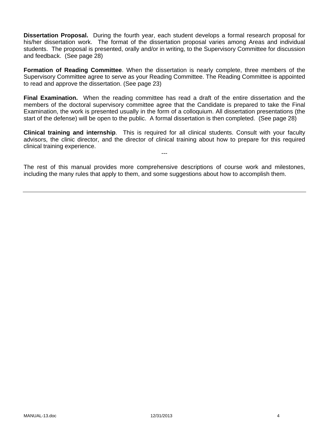**Dissertation Proposal.** During the fourth year, each student develops a formal research proposal for his/her dissertation work. The format of the dissertation proposal varies among Areas and individual students. The proposal is presented, orally and/or in writing, to the Supervisory Committee for discussion and feedback. (See page 28)

**Formation of Reading Committee**. When the dissertation is nearly complete, three members of the Supervisory Committee agree to serve as your Reading Committee. The Reading Committee is appointed to read and approve the dissertation. (See page 23)

**Final Examination.** When the reading committee has read a draft of the entire dissertation and the members of the doctoral supervisory committee agree that the Candidate is prepared to take the Final Examination, the work is presented usually in the form of a colloquium. All dissertation presentations (the start of the defense) will be open to the public. A formal dissertation is then completed. (See page 28)

**Clinical training and internship**. This is required for all clinical students. Consult with your faculty advisors, the clinic director, and the director of clinical training about how to prepare for this required clinical training experience.

---

The rest of this manual provides more comprehensive descriptions of course work and milestones, including the many rules that apply to them, and some suggestions about how to accomplish them.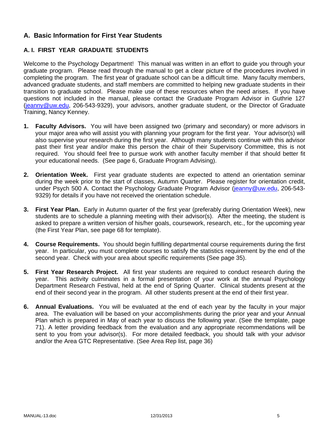# **A. Basic Information for First Year Students**

# **A. I. FIRST YEAR GRADUATE STUDENTS**

Welcome to the Psychology Department! This manual was written in an effort to guide you through your graduate program. Please read through the manual to get a clear picture of the procedures involved in completing the program. The first year of graduate school can be a difficult time. Many faculty members, advanced graduate students, and staff members are committed to helping new graduate students in their transition to graduate school. Please make use of these resources when the need arises. If you have questions not included in the manual, please contact the Graduate Program Advisor in Guthrie 127 (jeanny@uw.edu, 206-543-9329), your advisors, another graduate student, or the Director of Graduate Training, Nancy Kenney.

- **1. Faculty Advisors.** You will have been assigned two (primary and secondary) or more advisors in your major area who will assist you with planning your program for the first year. Your advisor(s) will also supervise your research during the first year. Although many students continue with this advisor past their first year and/or make this person the chair of their Supervisory Committee, this is not required. You should feel free to pursue work with another faculty member if that should better fit your educational needs. (See page 6, Graduate Program Advising).
- **2. Orientation Week.** First year graduate students are expected to attend an orientation seminar during the week prior to the start of classes, Autumn Quarter. Please register for orientation credit, under Psych 500 A. Contact the Psychology Graduate Program Advisor (jeanny@uw.edu, 206-543-9329) for details if you have not received the orientation schedule.
- **3. First Year Plan.** Early in Autumn quarter of the first year (preferably during Orientation Week), new students are to schedule a planning meeting with their advisor(s). After the meeting, the student is asked to prepare a written version of his/her goals, coursework, research, etc., for the upcoming year (the First Year Plan, see page 68 for template).
- **4. Course Requirements.** You should begin fulfilling departmental course requirements during the first year. In particular, you must complete courses to satisfy the statistics requirement by the end of the second year. Check with your area about specific requirements (See page 35).
- **5. First Year Research Project.** All first year students are required to conduct research during the year. This activity culminates in a formal presentation of your work at the annual Psychology Department Research Festival, held at the end of Spring Quarter. Clinical students present at the end of their second year in the program. All other students present at the end of their first year.
- **6. Annual Evaluations.** You will be evaluated at the end of each year by the faculty in your major area. The evaluation will be based on your accomplishments during the prior year and your Annual Plan which is prepared in May of each year to discuss the following year. (See the template, page 71). A letter providing feedback from the evaluation and any appropriate recommendations will be sent to you from your advisor(s). For more detailed feedback, you should talk with your advisor and/or the Area GTC Representative. (See Area Rep list, page 36)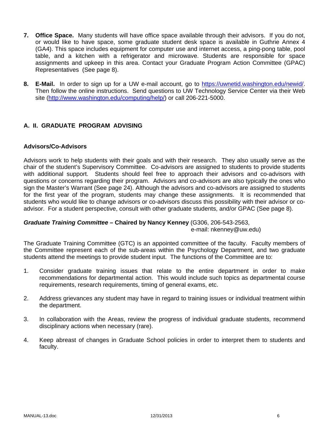- **7. Office Space.** Many students will have office space available through their advisors. If you do not, or would like to have space, some graduate student desk space is available in Guthrie Annex 4 (GA4). This space includes equipment for computer use and internet access, a ping-pong table, pool table, and a kitchen with a refrigerator and microwave. Students are responsible for space assignments and upkeep in this area. Contact your Graduate Program Action Committee (GPAC) Representatives (See page 8).
- **8. E-Mail.** In order to sign up for a UW e-mail account, go to https://uwnetid.washington.edu/newid/. Then follow the online instructions. Send questions to UW Technology Service Center via their Web site (http://www.washington.edu/computing/help/) or call 206-221-5000.

# **A. II. GRADUATE PROGRAM ADVISING**

### **Advisors/Co-Advisors**

Advisors work to help students with their goals and with their research. They also usually serve as the chair of the student's Supervisory Committee. Co-advisors are assigned to students to provide students with additional support. Students should feel free to approach their advisors and co-advisors with questions or concerns regarding their program. Advisors and co-advisors are also typically the ones who sign the Master's Warrant (See page 24). Although the advisors and co-advisors are assigned to students for the first year of the program, students may change these assignments. It is recommended that students who would like to change advisors or co-advisors discuss this possibility with their advisor or coadvisor. For a student perspective, consult with other graduate students, and/or GPAC (See page 8).

# *Graduate Training Committee –* **Chaired by Nancy Kenney** (G306, 206-543-2563,

e-mail: nkenney@uw.edu)

The Graduate Training Committee (GTC) is an appointed committee of the faculty. Faculty members of the Committee represent each of the sub-areas within the Psychology Department, and two graduate students attend the meetings to provide student input. The functions of the Committee are to:

- 1. Consider graduate training issues that relate to the entire department in order to make recommendations for departmental action. This would include such topics as departmental course requirements, research requirements, timing of general exams, etc.
- 2. Address grievances any student may have in regard to training issues or individual treatment within the department.
- 3. In collaboration with the Areas, review the progress of individual graduate students, recommend disciplinary actions when necessary (rare).
- 4. Keep abreast of changes in Graduate School policies in order to interpret them to students and faculty.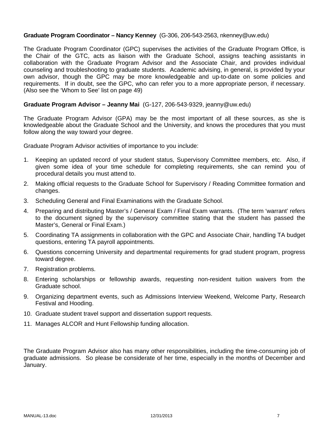### **Graduate Program Coordinator – Nancy Kenney** (G-306, 206-543-2563, nkenney@uw.edu)

The Graduate Program Coordinator (GPC) supervises the activities of the Graduate Program Office, is the Chair of the GTC, acts as liaison with the Graduate School, assigns teaching assistants in collaboration with the Graduate Program Advisor and the Associate Chair, and provides individual counseling and troubleshooting to graduate students. Academic advising, in general, is provided by your own advisor, though the GPC may be more knowledgeable and up-to-date on some policies and requirements. If in doubt, see the GPC, who can refer you to a more appropriate person, if necessary. (Also see the 'Whom to See' list on page 49)

#### **Graduate Program Advisor – Jeanny Mai** (G-127, 206-543-9329, jeanny@uw.edu)

The Graduate Program Advisor (GPA) may be the most important of all these sources, as she is knowledgeable about the Graduate School and the University, and knows the procedures that you must follow along the way toward your degree.

Graduate Program Advisor activities of importance to you include:

- 1. Keeping an updated record of your student status, Supervisory Committee members, etc. Also, if given some idea of your time schedule for completing requirements, she can remind you of procedural details you must attend to.
- 2. Making official requests to the Graduate School for Supervisory / Reading Committee formation and changes.
- 3. Scheduling General and Final Examinations with the Graduate School.
- 4. Preparing and distributing Master's / General Exam / Final Exam warrants. (The term 'warrant' refers to the document signed by the supervisory committee stating that the student has passed the Master's, General or Final Exam.)
- 5. Coordinating TA assignments in collaboration with the GPC and Associate Chair, handling TA budget questions, entering TA payroll appointments.
- 6. Questions concerning University and departmental requirements for grad student program, progress toward degree.
- 7. Registration problems.
- 8. Entering scholarships or fellowship awards, requesting non-resident tuition waivers from the Graduate school.
- 9. Organizing department events, such as Admissions Interview Weekend, Welcome Party, Research Festival and Hooding.
- 10. Graduate student travel support and dissertation support requests.
- 11. Manages ALCOR and Hunt Fellowship funding allocation.

The Graduate Program Advisor also has many other responsibilities, including the time-consuming job of graduate admissions. So please be considerate of her time, especially in the months of December and January.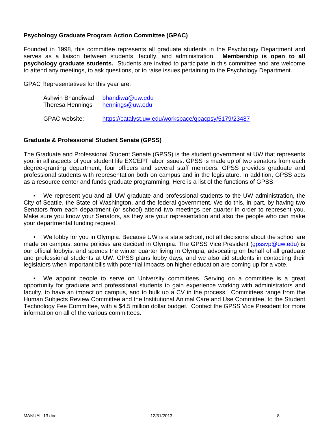### **Psychology Graduate Program Action Committee (GPAC)**

Founded in 1998, this committee represents all graduate students in the Psychology Department and serves as a liaison between students, faculty, and administration. **Membership is open to all psychology graduate students.** Students are invited to participate in this committee and are welcome to attend any meetings, to ask questions, or to raise issues pertaining to the Psychology Department.

GPAC Representatives for this year are:

| Ashwin Bhandiwad | bhandiwa@uw.edu                                      |
|------------------|------------------------------------------------------|
| Theresa Hennings | hennings@uw.edu                                      |
| GPAC website:    | https://catalyst.uw.edu/workspace/gpacpsy/5179/23487 |

#### **Graduate & Professional Student Senate (GPSS)**

The Graduate and Professional Student Senate (GPSS) is the student government at UW that represents you, in all aspects of your student life EXCEPT labor issues. GPSS is made up of two senators from each degree-granting department, four officers and several staff members. GPSS provides graduate and professional students with representation both on campus and in the legislature. In addition, GPSS acts as a resource center and funds graduate programming. Here is a list of the functions of GPSS:

 • We represent you and all UW graduate and professional students to the UW administration, the City of Seattle, the State of Washington, and the federal government. We do this, in part, by having two Senators from each department (or school) attend two meetings per quarter in order to represent you. Make sure you know your Senators, as they are your representation and also the people who can make your departmental funding request.

 • We lobby for you in Olympia. Because UW is a state school, not all decisions about the school are made on campus; some policies are decided in Olympia. The GPSS Vice President (gpssvp@uw.edu) is our official lobbyist and spends the winter quarter living in Olympia, advocating on behalf of all graduate and professional students at UW. GPSS plans lobby days, and we also aid students in contacting their legislators when important bills with potential impacts on higher education are coming up for a vote.

 • We appoint people to serve on University committees. Serving on a committee is a great opportunity for graduate and professional students to gain experience working with administrators and faculty, to have an impact on campus, and to bulk up a CV in the process. Committees range from the Human Subjects Review Committee and the Institutional Animal Care and Use Committee, to the Student Technology Fee Committee, with a \$4.5 million dollar budget. Contact the GPSS Vice President for more information on all of the various committees.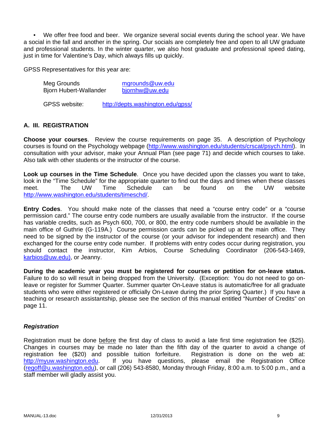• We offer free food and beer. We organize several social events during the school year. We have a social in the fall and another in the spring. Our socials are completely free and open to all UW graduate and professional students. In the winter quarter, we also host graduate and professional speed dating, just in time for Valentine's Day, which always fills up quickly.

GPSS Representatives for this year are:

| Meg Grounds<br><b>Bjorn Hubert-Wallander</b> | mgrounds@uw.edu<br>bjornhw@uw.edu |  |
|----------------------------------------------|-----------------------------------|--|
| <b>GPSS website:</b>                         | http://depts.washington.edu/gpss/ |  |

### **A. III. REGISTRATION**

**Choose your courses**. Review the course requirements on page 35. A description of Psychology courses is found on the Psychology webpage (http://www.washington.edu/students/crscat/psych.html). In consultation with your advisor, make your Annual Plan (see page 71) and decide which courses to take. Also talk with other students or the instructor of the course.

**Look up courses in the Time Schedule**. Once you have decided upon the classes you want to take, look in the "Time Schedule" for the appropriate quarter to find out the days and times when these classes<br>meet. The UW Time Schedule can be found on the UW website meet. The UW Time Schedule can be found on the UW website http://www.washington.edu/students/timeschd/.

**Entry Codes**. You should make note of the classes that need a "course entry code" or a "course permission card." The course entry code numbers are usually available from the instructor. If the course has variable credits, such as Psych 600, 700, or 800, the entry code numbers should be available in the main office of Guthrie (G-119A.) Course permission cards can be picked up at the main office. They need to be signed by the instructor of the course (or your advisor for independent research) and then exchanged for the course entry code number. If problems with entry codes occur during registration, you should contact the instructor, Kim Arbios, Course Scheduling Coordinator (206-543-1469, karbios@uw.edu), or Jeanny.

**During the academic year you must be registered for courses or petition for on-leave status.**  Failure to do so will result in being dropped from the University. (Exception: You do not need to go onleave or register for Summer Quarter. Summer quarter On-Leave status is automatic/free for all graduate students who were either registered or officially On-Leave during the prior Spring Quarter.) If you have a teaching or research assistantship, please see the section of this manual entitled "Number of Credits" on page 11.

#### *Registration*

Registration must be done before the first day of class to avoid a late first time registration fee (\$25). Changes in courses may be made no later than the fifth day of the quarter to avoid a change of registration fee (\$20) and possible tuition forfeiture. Registration is done on the web at: http://myuw.washington.edu. If you have questions, please email the Registration Office (regoff@u.washington.edu), or call (206) 543-8580, Monday through Friday, 8:00 a.m. to 5:00 p.m., and a staff member will gladly assist you.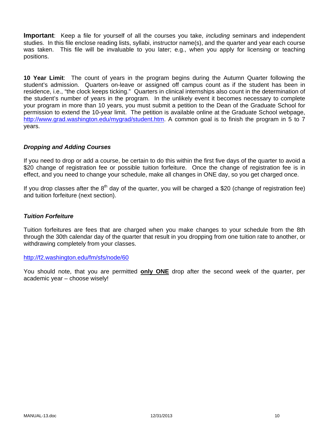**Important**: Keep a file for yourself of all the courses you take, *including* seminars and independent studies. In this file enclose reading lists, syllabi, instructor name(s), and the quarter and year each course was taken. This file will be invaluable to you later; e.g., when you apply for licensing or teaching positions.

**10 Year Limit**: The count of years in the program begins during the Autumn Quarter following the student's admission. Quarters on-leave or assigned off campus count as if the student has been in residence, i.e., "the clock keeps ticking." Quarters in clinical internships also count in the determination of the student's number of years in the program. In the unlikely event it becomes necessary to complete your program in more than 10 years, you must submit a petition to the Dean of the Graduate School for permission to extend the 10-year limit. The petition is available online at the Graduate School webpage, http://www.grad.washington.edu/mygrad/student.htm. A common goal is to finish the program in 5 to 7 years.

### *Dropping and Adding Courses*

If you need to drop or add a course, be certain to do this within the first five days of the quarter to avoid a \$20 change of registration fee or possible tuition forfeiture. Once the change of registration fee is in effect, and you need to change your schedule, make all changes in ONE day, so you get charged once.

If you drop classes after the  $8<sup>th</sup>$  day of the quarter, you will be charged a \$20 (change of registration fee) and tuition forfeiture (next section).

#### *Tuition Forfeiture*

Tuition forfeitures are fees that are charged when you make changes to your schedule from the 8th through the 30th calendar day of the quarter that result in you dropping from one tuition rate to another, or withdrawing completely from your classes.

#### http://f2.washington.edu/fm/sfs/node/60

You should note, that you are permitted **only ONE** drop after the second week of the quarter, per academic year – choose wisely!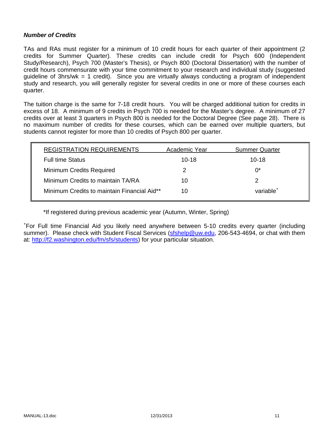### *Number of Credits*

TAs and RAs must register for a minimum of 10 credit hours for each quarter of their appointment (2 credits for Summer Quarter). These credits can include credit for Psych 600 (Independent Study/Research), Psych 700 (Master's Thesis), or Psych 800 (Doctoral Dissertation) with the number of credit hours commensurate with your time commitment to your research and individual study (suggested guideline of 3hrs/wk = 1 credit). Since you are virtually always conducting a program of independent study and research, you will generally register for several credits in one or more of these courses each quarter.

The tuition charge is the same for 7-18 credit hours. You will be charged additional tuition for credits in excess of 18. A minimum of 9 credits in Psych 700 is needed for the Master's degree. A minimum of 27 credits over at least 3 quarters in Psych 800 is needed for the Doctoral Degree (See page 28). There is no maximum number of credits for these courses, which can be earned over multiple quarters, but students cannot register for more than 10 credits of Psych 800 per quarter.

| <b>REGISTRATION REQUIREMENTS</b>            | Academic Year | <b>Summer Quarter</b> |
|---------------------------------------------|---------------|-----------------------|
| <b>Full time Status</b>                     | $10 - 18$     | $10 - 18$             |
| <b>Minimum Credits Required</b>             | 2             | $0^*$                 |
| Minimum Credits to maintain TA/RA           | 10            |                       |
| Minimum Credits to maintain Financial Aid** | 10            | variable <sup>+</sup> |

\*If registered during previous academic year (Autumn, Winter, Spring)

+ For Full time Financial Aid you likely need anywhere between 5-10 credits every quarter (including summer). Please check with Student Fiscal Services (sfshelp@uw.edu, 206-543-4694, or chat with them at: http://f2.washington.edu/fm/sfs/students) for your particular situation.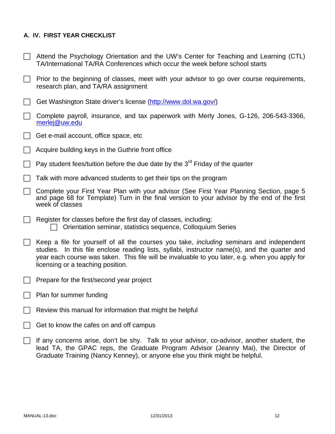# **A. IV. FIRST YEAR CHECKLIST**

| Attend the Psychology Orientation and the UW's Center for Teaching and Learning (CTL) |
|---------------------------------------------------------------------------------------|
| TA/International TA/RA Conferences which occur the week before school starts          |

- $\Box$  Prior to the beginning of classes, meet with your advisor to go over course requirements, research plan, and TA/RA assignment
- Get Washington State driver's license (http://www.dol.wa.gov/)
- $\Box$  Complete payroll, insurance, and tax paperwork with Merly Jones, G-126, 206-543-3366, merlej@uw.edu
- $\Box$  Get e-mail account, office space, etc
- $\Box$  Acquire building keys in the Guthrie front office
- Pay student fees/tuition before the due date by the  $3^{rd}$  Friday of the quarter
- $\Box$  Talk with more advanced students to get their tips on the program
- Complete your First Year Plan with your advisor (See First Year Planning Section, page 5 and page 68 for Template) Turn in the final version to your advisor by the end of the first week of classes
- $\Box$  Register for classes before the first day of classes, including: Orientation seminar, statistics sequence, Colloquium Series
- Keep a file for yourself of all the courses you take, *including* seminars and independent studies. In this file enclose reading lists, syllabi, instructor name(s), and the quarter and year each course was taken. This file will be invaluable to you later, e.g. when you apply for licensing or a teaching position.
- $\Box$  Prepare for the first/second year project
- $\Box$  Plan for summer funding
- Review this manual for information that might be helpful
- $\Box$  Get to know the cafes on and off campus
- $\Box$  If any concerns arise, don't be shy. Talk to your advisor, co-advisor, another student, the lead TA, the GPAC reps, the Graduate Program Advisor (Jeanny Mai), the Director of Graduate Training (Nancy Kenney), or anyone else you think might be helpful.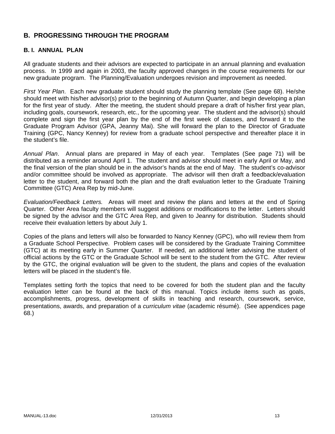# **B. PROGRESSING THROUGH THE PROGRAM**

## **B. I. ANNUAL PLAN**

All graduate students and their advisors are expected to participate in an annual planning and evaluation process. In 1999 and again in 2003, the faculty approved changes in the course requirements for our new graduate program. The Planning/Evaluation undergoes revision and improvement as needed.

*First Year Plan*. Each new graduate student should study the planning template (See page 68). He/she should meet with his/her advisor(s) prior to the beginning of Autumn Quarter, and begin developing a plan for the first year of study. After the meeting, the student should prepare a draft of his/her first year plan, including goals, coursework, research, etc., for the upcoming year. The student and the advisor(s) should complete and sign the first year plan by the end of the first week of classes, and forward it to the Graduate Program Advisor (GPA, Jeanny Mai). She will forward the plan to the Director of Graduate Training (GPC, Nancy Kenney) for review from a graduate school perspective and thereafter place it in the student's file.

*Annual Plan*. Annual plans are prepared in May of each year. Templates (See page 71) will be distributed as a reminder around April 1. The student and advisor should meet in early April or May, and the final version of the plan should be in the advisor's hands at the end of May. The student's co-advisor and/or committee should be involved as appropriate. The advisor will then draft a feedback/evaluation letter to the student, and forward both the plan and the draft evaluation letter to the Graduate Training Committee (GTC) Area Rep by mid-June.

*Evaluation/Feedback Letters.* Areas will meet and review the plans and letters at the end of Spring Quarter. Other Area faculty members will suggest additions or modifications to the letter. Letters should be signed by the advisor and the GTC Area Rep, and given to Jeanny for distribution. Students should receive their evaluation letters by about July 1.

Copies of the plans and letters will also be forwarded to Nancy Kenney (GPC), who will review them from a Graduate School Perspective. Problem cases will be considered by the Graduate Training Committee (GTC) at its meeting early in Summer Quarter. If needed, an additional letter advising the student of official actions by the GTC or the Graduate School will be sent to the student from the GTC. After review by the GTC, the original evaluation will be given to the student, the plans and copies of the evaluation letters will be placed in the student's file.

Templates setting forth the topics that need to be covered for both the student plan and the faculty evaluation letter can be found at the back of this manual. Topics include items such as goals, accomplishments, progress, development of skills in teaching and research, coursework, service, presentations, awards, and preparation of a *curriculum vitae* (academic résumé). (See appendices page 68.)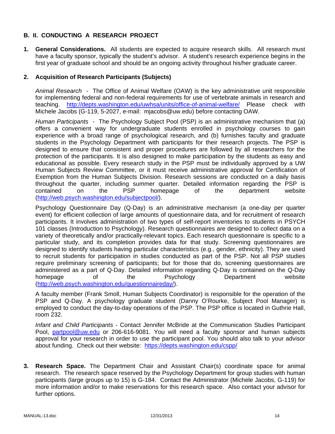# **B. II. CONDUCTING A RESEARCH PROJECT**

**1. General Considerations.** All students are expected to acquire research skills. All research must have a faculty sponsor, typically the student's advisor. A student's research experience begins in the first year of graduate school and should be an ongoing activity throughout his/her graduate career.

## **2. Acquisition of Research Participants (Subjects)**

*Animal Research* - The Office of Animal Welfare (OAW) is the key administrative unit responsible for implementing federal and non-federal requirements for use of vertebrate animals in research and teaching. http://depts.washington.edu/uwhsa/units/office-of-animal-welfare/ Please check with Michele Jacobs (G-119, 5-2027, e-mail: mjacobs@uw.edu) before contacting OAW.

*Human Participants -* The Psychology Subject Pool (PSP) is an administrative mechanism that (a) offers a convenient way for undergraduate students enrolled in psychology courses to gain experience with a broad range of psychological research, and (b) furnishes faculty and graduate students in the Psychology Department with participants for their research projects. The PSP is designed to ensure that consistent and proper procedures are followed by all researchers for the protection of the participants. It is also designed to make participation by the students as easy and educational as possible. Every research study in the PSP must be individually approved by a UW Human Subjects Review Committee, or it must receive administrative approval for Certification of Exemption from the Human Subjects Division. Research sessions are conducted on a daily basis throughout the quarter, including summer quarter. Detailed information regarding the PSP is contained on the PSP homepage of the department website (http://web.psych.washington.edu/subjectpool/).

Psychology Questionnaire Day (Q-Day) is an administrative mechanism (a one-day per quarter event) for efficient collection of large amounts of questionnaire data, and for recruitment of research participants. It involves administration of two types of self-report inventories to students in PSYCH 101 classes (Introduction to Psychology). Research questionnaires are designed to collect data on a variety of theoretically and/or practically-relevant topics. Each research questionnaire is specific to a particular study, and its completion provides data for that study. Screening questionnaires are designed to identify students having particular characteristics (e.g., gender, ethnicity). They are used to recruit students for participation in studies conducted as part of the PSP. Not all PSP studies require preliminary screening of participants; but for those that do, screening questionnaires are administered as a part of Q-Day. Detailed information regarding Q-Day is contained on the Q-Day homepage of the Psychology Department website (http://web.psych.washington.edu/questionnaireday/).

A faculty member (Frank Smoll, Human Subjects Coordinator) is responsible for the operation of the PSP and Q-Day. A psychology graduate student (Danny O'Rourke, Subject Pool Manager) is employed to conduct the day-to-day operations of the PSP. The PSP office is located in Guthrie Hall, room 232.

*Infant and Child Participants* - Contact Jennifer McBride at the Communication Studies Participant Pool, partpool@uw.edu or 206-616-9081. You will need a faculty sponsor and human subjects approval for your research in order to use the participant pool. You should also talk to your advisor about funding. Check out their website: https://depts.washington.edu/cspp/

**3. Research Space.** The Department Chair and Assistant Chair(s) coordinate space for animal research. The research space reserved by the Psychology Department for group studies with human participants (large groups up to 15) is G-184. Contact the Administrator (Michele Jacobs, G-119) for more information and/or to make reservations for this research space. Also contact your advisor for further options.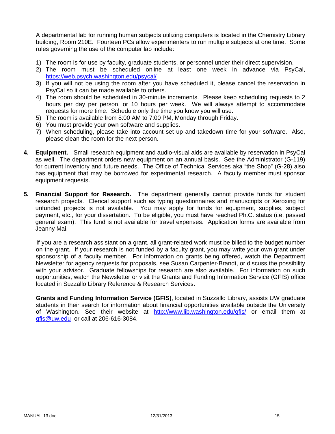A departmental lab for running human subjects utilizing computers is located in the Chemistry Library building, Room 210E. Fourteen PCs allow experimenters to run multiple subjects at one time. Some rules governing the use of the computer lab include:

- 1) The room is for use by faculty, graduate students, or personnel under their direct supervision.
- 2) The room must be scheduled online at least one week in advance via PsyCal, https://web.psych.washington.edu/psycal/
- 3) If you will not be using the room after you have scheduled it, please cancel the reservation in PsyCal so it can be made available to others.
- 4) The room should be scheduled in 30-minute increments. Please keep scheduling requests to 2 hours per day per person, or 10 hours per week. We will always attempt to accommodate requests for more time. Schedule only the time you know you will use.
- 5) The room is available from 8:00 AM to 7:00 PM, Monday through Friday.
- 6) You must provide your own software and supplies.
- 7) When scheduling, please take into account set up and takedown time for your software. Also, please clean the room for the next person.
- **4. Equipment.** Small research equipment and audio-visual aids are available by reservation in PsyCal as well. The department orders new equipment on an annual basis. See the Administrator (G-119) for current inventory and future needs. The Office of Technical Services aka "the Shop" (G-28) also has equipment that may be borrowed for experimental research. A faculty member must sponsor equipment requests.
- **5. Financial Support for Research.** The department generally cannot provide funds for student research projects. Clerical support such as typing questionnaires and manuscripts or Xeroxing for unfunded projects is not available. You may apply for funds for equipment, supplies, subject payment, etc., for your dissertation. To be eligible, you must have reached Ph.C. status (i.e. passed general exam). This fund is not available for travel expenses. Application forms are available from Jeanny Mai.

If you are a research assistant on a grant, all grant-related work must be billed to the budget number on the grant. If your research is not funded by a faculty grant, you may write your own grant under sponsorship of a faculty member. For information on grants being offered, watch the Department Newsletter for agency requests for proposals, see Susan Carpenter-Brandt, or discuss the possibility with your advisor. Graduate fellowships for research are also available. For information on such opportunities, watch the Newsletter or visit the Grants and Funding Information Service (GFIS) office located in Suzzallo Library Reference & Research Services.

**Grants and Funding Information Service (GFIS)**, located in Suzzallo Library, assists UW graduate students in their search for information about financial opportunities available outside the University of Washington. See their website at http://www.lib.washington.edu/gfis/ or email them at gfis@uw.edu or call at 206-616-3084.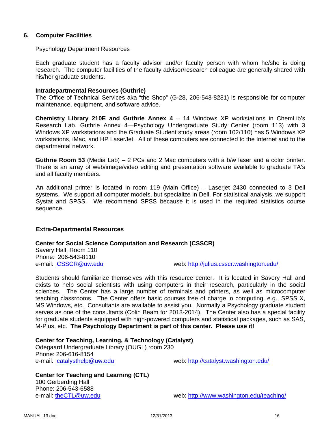### **6. Computer Facilities**

#### Psychology Department Resources

Each graduate student has a faculty advisor and/or faculty person with whom he/she is doing research. The computer facilities of the faculty advisor/research colleague are generally shared with his/her graduate students.

#### **Intradepartmental Resources (Guthrie)**

The Office of Technical Services aka "the Shop" (G-28, 206-543-8281) is responsible for computer maintenance, equipment, and software advice.

**Chemistry Library 210E and Guthrie Annex 4** – 14 Windows XP workstations in ChemLib's Research Lab. Guthrie Annex 4—Psychology Undergraduate Study Center (room 113) with 3 Windows XP workstations and the Graduate Student study areas (room 102/110) has 5 Windows XP workstations, iMac, and HP LaserJet. All of these computers are connected to the Internet and to the departmental network.

**Guthrie Room 53** (Media Lab) – 2 PCs and 2 Mac computers with a b/w laser and a color printer. There is an array of web/image/video editing and presentation software available to graduate TA's and all faculty members.

An additional printer is located in room 119 (Main Office) – Laserjet 2430 connected to 3 Dell systems. We support all computer models, but specialize in Dell. For statistical analysis, we support Systat and SPSS. We recommend SPSS because it is used in the required statistics course sequence.

### **Extra-Departmental Resources**

#### **Center for Social Science Computation and Research (CSSCR)**

Savery Hall, Room 110 Phone: 206-543-8110

e-mail: CSSCR@uw.edu example web: http://julius.csscr.washington.edu/

Students should familiarize themselves with this resource center. It is located in Savery Hall and exists to help social scientists with using computers in their research, particularly in the social sciences. The Center has a large number of terminals and printers, as well as microcomputer teaching classrooms. The Center offers basic courses free of charge in computing, e.g., SPSS X, MS Windows, etc. Consultants are available to assist you. Normally a Psychology graduate student serves as one of the consultants (Colin Beam for 2013-2014). The Center also has a special facility for graduate students equipped with high-powered computers and statistical packages, such as SAS, M-Plus, etc. **The Psychology Department is part of this center. Please use it!**

#### **Center for Teaching, Learning, & Technology (Catalyst)**

Odegaard Undergraduate Library (OUGL) room 230 Phone: 206-616-8154 e-mail: catalysthelp@uw.edu web: http://catalyst.washington.edu/

**Center for Teaching and Learning (CTL)**  100 Gerberding Hall Phone: 206-543-6588 e-mail: theCTL@uw.edu web: http://www.washington.edu/teaching/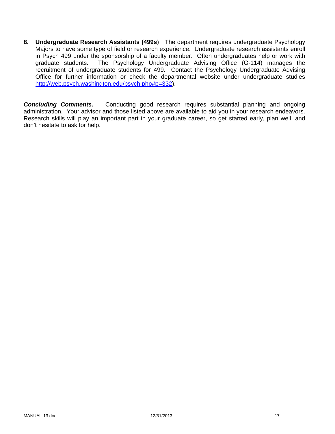**8. Undergraduate Research Assistants (499s**) The department requires undergraduate Psychology Majors to have some type of field or research experience. Undergraduate research assistants enroll in Psych 499 under the sponsorship of a faculty member. Often undergraduates help or work with graduate students. The Psychology Undergraduate Advising Office (G-114) manages the recruitment of undergraduate students for 499. Contact the Psychology Undergraduate Advising Office for further information or check the departmental website under undergraduate studies http://web.psych.washington.edu/psych.php#p=332).

**Concluding Comments.** Conducting good research requires substantial planning and ongoing administration. Your advisor and those listed above are available to aid you in your research endeavors. Research skills will play an important part in your graduate career, so get started early, plan well, and don't hesitate to ask for help.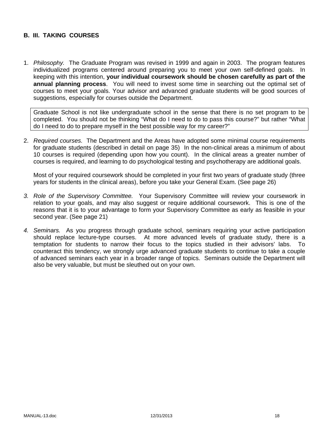### **B. III. TAKING COURSES**

1. *Philosophy.* The Graduate Program was revised in 1999 and again in 2003. The program features individualized programs centered around preparing you to meet your own self-defined goals. In keeping with this intention, **your individual coursework should be chosen carefully as part of the annual planning process**. You will need to invest some time in searching out the optimal set of courses to meet your goals. Your advisor and advanced graduate students will be good sources of suggestions, especially for courses outside the Department.

Graduate School is not like undergraduate school in the sense that there is no set program to be completed. You should not be thinking "What do I need to do to pass this course?" but rather "What do I need to do to prepare myself in the best possible way for my career?"

2. *Required courses.* The Department and the Areas have adopted some minimal course requirements for graduate students (described in detail on page 35) In the non-clinical areas a minimum of about 10 courses is required (depending upon how you count). In the clinical areas a greater number of courses is required, and learning to do psychological testing and psychotherapy are additional goals.

Most of your required coursework should be completed in your first two years of graduate study (three years for students in the clinical areas), before you take your General Exam. (See page 26)

- *3. Role of the Supervisory Committee.* Your Supervisory Committee will review your coursework in relation to your goals, and may also suggest or require additional coursework. This is one of the reasons that it is to your advantage to form your Supervisory Committee as early as feasible in your second year. (See page 21)
- *4. Seminars.* As you progress through graduate school, seminars requiring your active participation should replace lecture-type courses. At more advanced levels of graduate study, there is a temptation for students to narrow their focus to the topics studied in their advisors' labs. To counteract this tendency, we strongly urge advanced graduate students to continue to take a couple of advanced seminars each year in a broader range of topics. Seminars outside the Department will also be very valuable, but must be sleuthed out on your own.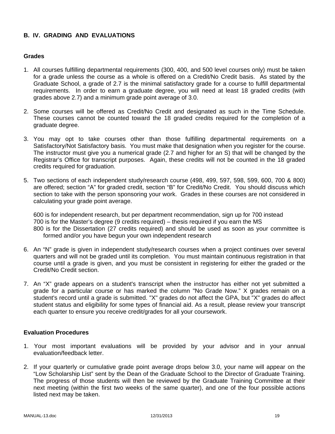# **B. IV. GRADING AND EVALUATIONS**

#### **Grades**

- 1. All courses fulfilling departmental requirements (300, 400, and 500 level courses only) must be taken for a grade unless the course as a whole is offered on a Credit/No Credit basis. As stated by the Graduate School, a grade of 2.7 is the minimal satisfactory grade for a course to fulfill departmental requirements. In order to earn a graduate degree, you will need at least 18 graded credits (with grades above 2.7) and a minimum grade point average of 3.0.
- 2. Some courses will be offered as Credit/No Credit and designated as such in the Time Schedule. These courses cannot be counted toward the 18 graded credits required for the completion of a graduate degree.
- 3. You may opt to take courses other than those fulfilling departmental requirements on a Satisfactory/Not Satisfactory basis. You must make that designation when you register for the course. The instructor must give you a numerical grade (2.7 and higher for an S) that will be changed by the Registrar's Office for transcript purposes. Again, these credits will not be counted in the 18 graded credits required for graduation.
- 5. Two sections of each independent study/research course (498, 499, 597, 598, 599, 600, 700 & 800) are offered; section "A" for graded credit, section "B" for Credit/No Credit. You should discuss which section to take with the person sponsoring your work. Grades in these courses are not considered in calculating your grade point average.

600 is for independent research, but per department recommendation, sign up for 700 instead 700 is for the Master's degree (9 credits required) – thesis required if you earn the MS 800 is for the Dissertation (27 credits required) and should be used as soon as your committee is formed and/or you have begun your own independent research

- 6. An "N" grade is given in independent study/research courses when a project continues over several quarters and will not be graded until its completion. You must maintain continuous registration in that course until a grade is given, and you must be consistent in registering for either the graded or the Credit/No Credit section.
- 7. An "X" grade appears on a student's transcript when the instructor has either not yet submitted a grade for a particular course or has marked the column "No Grade Now." X grades remain on a student's record until a grade is submitted. "X" grades do not affect the GPA, but "X" grades do affect student status and eligibility for some types of financial aid. As a result, please review your transcript each quarter to ensure you receive credit/grades for all your coursework.

#### **Evaluation Procedures**

- 1. Your most important evaluations will be provided by your advisor and in your annual evaluation/feedback letter.
- 2. If your quarterly or cumulative grade point average drops below 3.0, your name will appear on the "Low Scholarship List" sent by the Dean of the Graduate School to the Director of Graduate Training. The progress of those students will then be reviewed by the Graduate Training Committee at their next meeting (within the first two weeks of the same quarter), and one of the four possible actions listed next may be taken.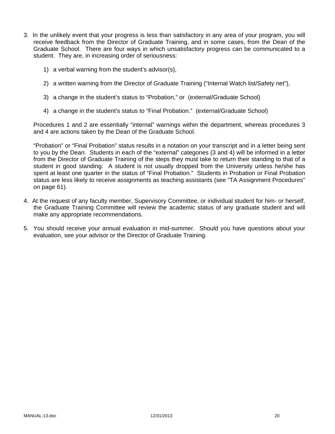- 3. In the unlikely event that your progress is less than satisfactory in any area of your program, you will receive feedback from the Director of Graduate Training, and in some cases, from the Dean of the Graduate School. There are four ways in which unsatisfactory progress can be communicated to a student. They are, in increasing order of seriousness:
	- 1) a verbal warning from the student's advisor(s),
	- 2) a written warning from the Director of Graduate Training ("Internal Watch list/Safety net"),
	- 3) a change in the student's status to "Probation," or (external/Graduate School)
	- 4) a change in the student's status to "Final Probation." (external/Graduate School)

Procedures 1 and 2 are essentially "internal" warnings within the department, whereas procedures 3 and 4 are actions taken by the Dean of the Graduate School.

"Probation" or "Final Probation" status results in a notation on your transcript and in a letter being sent to you by the Dean. Students in each of the "external" categories (3 and 4) will be informed in a letter from the Director of Graduate Training of the steps they must take to return their standing to that of a student in good standing. A student is not usually dropped from the University unless he/she has spent at least one quarter in the status of "Final Probation." Students in Probation or Final Probation status are less likely to receive assignments as teaching assistants (see "TA Assignment Procedures" on page 61).

- 4. At the request of any faculty member, Supervisory Committee, or individual student for him- or herself, the Graduate Training Committee will review the academic status of any graduate student and will make any appropriate recommendations.
- 5. You should receive your annual evaluation in mid-summer. Should you have questions about your evaluation, see your advisor or the Director of Graduate Training.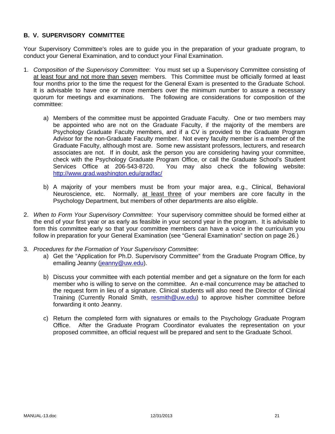# **B. V. SUPERVISORY COMMITTEE**

Your Supervisory Committee's roles are to guide you in the preparation of your graduate program, to conduct your General Examination, and to conduct your Final Examination.

- 1. *Composition of the Supervisory Committee*: You must set up a Supervisory Committee consisting of at least four and not more than seven members. This Committee must be officially formed at least four months prior to the time the request for the General Exam is presented to the Graduate School. It is advisable to have one or more members over the minimum number to assure a necessary quorum for meetings and examinations. The following are considerations for composition of the committee:
	- a) Members of the committee must be appointed Graduate Faculty. One or two members may be appointed who are not on the Graduate Faculty, if the majority of the members are Psychology Graduate Faculty members, and if a CV is provided to the Graduate Program Advisor for the non-Graduate Faculty member. Not every faculty member is a member of the Graduate Faculty, although most are. Some new assistant professors, lecturers, and research associates are not. If in doubt, ask the person you are considering having your committee, check with the Psychology Graduate Program Office, or call the Graduate School's Student Services Office at 206-543-8720. You may also check the following website: http://www.grad.washington.edu/gradfac/
	- b) A majority of your members must be from your major area, e.g., Clinical, Behavioral Neuroscience, etc. Normally, at least three of your members are core faculty in the Psychology Department, but members of other departments are also eligible.
- 2. *When to Form Your Supervisory Committee*: Your supervisory committee should be formed either at the end of your first year or as early as feasible in your second year in the program. It is advisable to form this committee early so that your committee members can have a voice in the curriculum you follow in preparation for your General Examination (see "General Examination" section on page 26.)
- 3. *Procedures for the Formation of Your Supervisory Committee*:
	- a) Get the "Application for Ph.D. Supervisory Committee" from the Graduate Program Office, by emailing Jeanny (jeanny@uw.edu).
	- b) Discuss your committee with each potential member and get a signature on the form for each member who is willing to serve on the committee. An e-mail concurrence may be attached to the request form in lieu of a signature. Clinical students will also need the Director of Clinical Training (Currently Ronald Smith, resmith@uw.edu) to approve his/her committee before forwarding it onto Jeanny.
	- c) Return the completed form with signatures or emails to the Psychology Graduate Program Office. After the Graduate Program Coordinator evaluates the representation on your proposed committee, an official request will be prepared and sent to the Graduate School.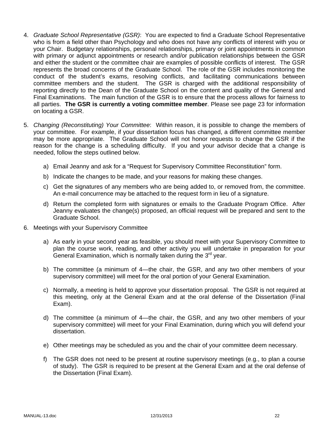- 4. *Graduate School Representative (GSR)*: You are expected to find a Graduate School Representative who is from a field other than Psychology and who does not have any conflicts of interest with you or your Chair. Budgetary relationships, personal relationships, primary or joint appointments in common with primary or adjunct appointments or research and/or publication relationships between the GSR and either the student or the committee chair are examples of possible conflicts of interest. The GSR represents the broad concerns of the Graduate School. The role of the GSR includes monitoring the conduct of the student's exams, resolving conflicts, and facilitating communications between committee members and the student. The GSR is charged with the additional responsibility of reporting directly to the Dean of the Graduate School on the content and quality of the General and Final Examinations. The main function of the GSR is to ensure that the process allows for fairness to all parties. **The GSR is currently a voting committee member**. Please see page 23 for information on locating a GSR.
- 5. *Changing (Reconstituting) Your Committee*: Within reason, it is possible to change the members of your committee. For example, if your dissertation focus has changed, a different committee member may be more appropriate. The Graduate School will not honor requests to change the GSR if the reason for the change is a scheduling difficulty. If you and your advisor decide that a change is needed, follow the steps outlined below.
	- a) Email Jeanny and ask for a "Request for Supervisory Committee Reconstitution" form.
	- b) Indicate the changes to be made, and your reasons for making these changes.
	- c) Get the signatures of any members who are being added to, or removed from, the committee. An e-mail concurrence may be attached to the request form in lieu of a signature.
	- d) Return the completed form with signatures or emails to the Graduate Program Office. After Jeanny evaluates the change(s) proposed, an official request will be prepared and sent to the Graduate School.
- 6. Meetings with your Supervisory Committee
	- a) As early in your second year as feasible, you should meet with your Supervisory Committee to plan the course work, reading, and other activity you will undertake in preparation for your General Examination, which is normally taken during the  $3<sup>rd</sup>$  year.
	- b) The committee (a minimum of 4—the chair, the GSR, and any two other members of your supervisory committee) will meet for the oral portion of your General Examination.
	- c) Normally, a meeting is held to approve your dissertation proposal. The GSR is not required at this meeting, only at the General Exam and at the oral defense of the Dissertation (Final Exam).
	- d) The committee (a minimum of 4—the chair, the GSR, and any two other members of your supervisory committee) will meet for your Final Examination, during which you will defend your dissertation.
	- e) Other meetings may be scheduled as you and the chair of your committee deem necessary.
	- f) The GSR does not need to be present at routine supervisory meetings (e.g., to plan a course of study). The GSR is required to be present at the General Exam and at the oral defense of the Dissertation (Final Exam).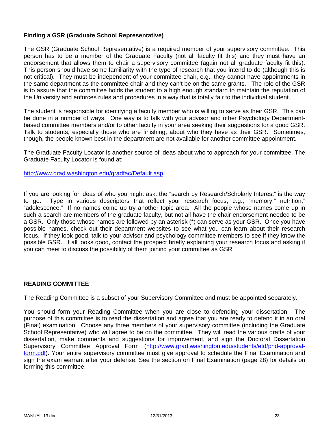## **Finding a GSR (Graduate School Representative)**

The GSR (Graduate School Representative) is a required member of your supervisory committee. This person has to be a member of the Graduate Faculty (not all faculty fit this) and they must have an endorsement that allows them to chair a supervisory committee (again not all graduate faculty fit this). This person should have some familiarity with the type of research that you intend to do (although this is not critical). They must be independent of your committee chair, e.g., they cannot have appointments in the same department as the committee chair and they can't be on the same grants. The role of the GSR is to assure that the committee holds the student to a high enough standard to maintain the reputation of the University and enforces rules and procedures in a way that is totally fair to the individual student.

The student is responsible for identifying a faculty member who is willing to serve as their GSR. This can be done in a number of ways. One way is to talk with your advisor and other Psychology Departmentbased committee members and/or to other faculty in your area seeking their suggestions for a good GSR. Talk to students, especially those who are finishing, about who they have as their GSR. Sometimes, though, the people known best in the department are not available for another committee appointment.

The Graduate Faculty Locator is another source of ideas about who to approach for your committee. The Graduate Faculty Locator is found at:

http://www.grad.washington.edu/gradfac/Default.asp

If you are looking for ideas of who you might ask, the "search by Research/Scholarly Interest" is the way to go. Type in various descriptors that reflect your research focus, e.g., "memory," nutrition," "adolescence." If no names come up try another topic area. All the people whose names come up in such a search are members of the graduate faculty, but not all have the chair endorsement needed to be a GSR. Only those whose names are followed by an asterisk (\*) can serve as your GSR. Once you have possible names, check out their department websites to see what you can learn about their research focus. If they look good, talk to your advisor and psychology committee members to see if they know the possible GSR. If all looks good, contact the prospect briefly explaining your research focus and asking if you can meet to discuss the possibility of them joining your committee as GSR.

#### **READING COMMITTEE**

The Reading Committee is a subset of your Supervisory Committee and must be appointed separately.

You should form your Reading Committee when you are close to defending your dissertation. The purpose of this committee is to read the dissertation and agree that you are ready to defend it in an oral (Final) examination. Choose any three members of your supervisory committee (including the Graduate School Representative) who will agree to be on the committee. They will read the various drafts of your dissertation, make comments and suggestions for improvement, and sign the Doctoral Dissertation Supervisory Committee Approval Form (http://www.grad.washington.edu/students/etd/phd-approvalform.pdf). Your entire supervisory committee must give approval to schedule the Final Examination and sign the exam warrant after your defense. See the section on Final Examination (page 28) for details on forming this committee.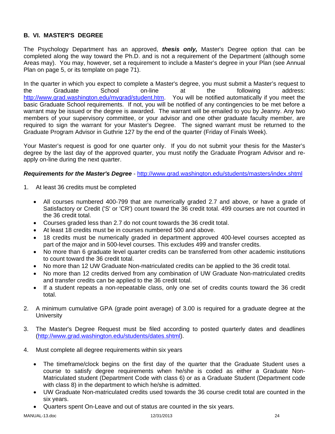# **B. VI. MASTER'S DEGREE**

The Psychology Department has an approved, *thesis only,* Master's Degree option that can be completed along the way toward the Ph.D. and is not a requirement of the Department (although some Areas may). You may, however, set a requirement to include a Master's degree in your Plan (see Annual Plan on page 5, or its template on page 71).

In the quarter in which you expect to complete a Master's degree, you must submit a Master's request to the Graduate School on-line at the following address: http://www.grad.washington.edu/mygrad/student.htm. You will be notified automatically if you meet the basic Graduate School requirements. If not, you will be notified of any contingencies to be met before a warrant may be issued or the degree is awarded. The warrant will be emailed to you by Jeanny. Any two members of your supervisory committee, or your advisor and one other graduate faculty member, are required to sign the warrant for your Master's Degree. The signed warrant must be returned to the Graduate Program Advisor in Guthrie 127 by the end of the quarter (Friday of Finals Week).

Your Master's request is good for one quarter only. If you do not submit your thesis for the Master's degree by the last day of the approved quarter, you must notify the Graduate Program Advisor and reapply on-line during the next quarter.

### *Requirements for the Master's Degree* - http://www.grad.washington.edu/students/masters/index.shtml

- 1. At least 36 credits must be completed
	- All courses numbered 400-799 that are numerically graded 2.7 and above, or have a grade of Satisfactory or Credit ('S' or 'CR') count toward the 36 credit total. 499 courses are not counted in the 36 credit total.
	- Courses graded less than 2.7 do not count towards the 36 credit total.
	- At least 18 credits must be in courses numbered 500 and above.
	- 18 credits must be numerically graded in department approved 400-level courses accepted as part of the major and in 500-level courses. This excludes 499 and transfer credits.
	- No more than 6 graduate level quarter credits can be transferred from other academic institutions to count toward the 36 credit total.
	- No more than 12 UW Graduate Non-matriculated credits can be applied to the 36 credit total.
	- No more than 12 credits derived from any combination of UW Graduate Non-matriculated credits and transfer credits can be applied to the 36 credit total.
	- If a student repeats a non-repeatable class, only one set of credits counts toward the 36 credit total.
- 2. A minimum cumulative GPA (grade point average) of 3.00 is required for a graduate degree at the **University**
- 3. The Master's Degree Request must be filed according to posted quarterly dates and deadlines (http://www.grad.washington.edu/students/dates.shtml).
- 4. Must complete all degree requirements within six years
	- The timeframe/clock begins on the first day of the quarter that the Graduate Student uses a course to satisfy degree requirements when he/she is coded as either a Graduate Non-Matriculated student (Department Code with class 6) or as a Graduate Student (Department code with class 8) in the department to which he/she is admitted.
	- UW Graduate Non-matriculated credits used towards the 36 course credit total are counted in the six years.
	- Quarters spent On-Leave and out of status are counted in the six years.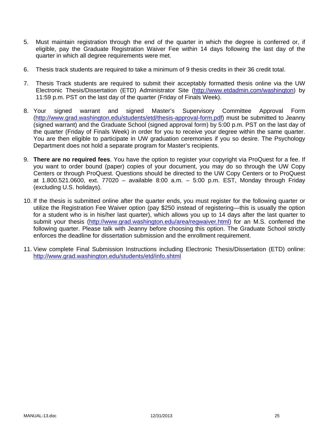- 5. Must maintain registration through the end of the quarter in which the degree is conferred or, if eligible, pay the Graduate Registration Waiver Fee within 14 days following the last day of the quarter in which all degree requirements were met.
- 6. Thesis track students are required to take a minimum of 9 thesis credits in their 36 credit total.
- 7. Thesis Track students are required to submit their acceptably formatted thesis online via the UW Electronic Thesis/Dissertation (ETD) Administrator Site (http://www.etdadmin.com/washington) by 11:59 p.m. PST on the last day of the quarter (Friday of Finals Week).
- 8. Your signed warrant and signed Master's Supervisory Committee Approval Form (http://www.grad.washington.edu/students/etd/thesis-approval-form.pdf) must be submitted to Jeanny (signed warrant) and the Graduate School (signed approval form) by 5:00 p.m. PST on the last day of the quarter (Friday of Finals Week) in order for you to receive your degree within the same quarter. You are then eligible to participate in UW graduation ceremonies if you so desire. The Psychology Department does not hold a separate program for Master's recipients.
- 9. **There are no required fees**. You have the option to register your copyright via ProQuest for a fee. If you want to order bound (paper) copies of your document, you may do so through the UW Copy Centers or through ProQuest. Questions should be directed to the UW Copy Centers or to ProQuest at 1.800.521.0600, ext. 77020 – available 8:00 a.m. – 5:00 p.m. EST, Monday through Friday (excluding U.S. holidays).
- 10. If the thesis is submitted online after the quarter ends, you must register for the following quarter or utilize the Registration Fee Waiver option (pay \$250 instead of registering—this is usually the option for a student who is in his/her last quarter), which allows you up to 14 days after the last quarter to submit your thesis (http://www.grad.washington.edu/area/regwaiver.html) for an M.S. conferred the following quarter. Please talk with Jeanny before choosing this option. The Graduate School strictly enforces the deadline for dissertation submission and the enrollment requirement.
- 11. View complete Final Submission Instructions including Electronic Thesis/Dissertation (ETD) online: http://www.grad.washington.edu/students/etd/info.shtml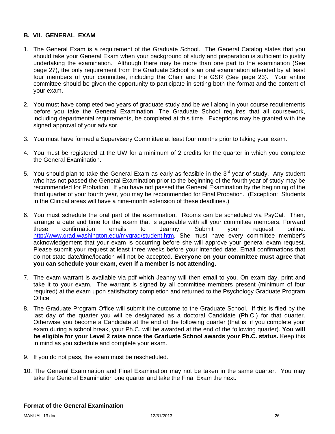### **B. VII. GENERAL EXAM**

- 1. The General Exam is a requirement of the Graduate School. The General Catalog states that you should take your General Exam when your background of study and preparation is sufficient to justify undertaking the examination. Although there may be more than one part to the examination (See page 27), the only requirement from the Graduate School is an oral examination attended by at least four members of your committee, including the Chair and the GSR (See page 23). Your entire committee should be given the opportunity to participate in setting both the format and the content of your exam.
- 2. You must have completed two years of graduate study and be well along in your course requirements before you take the General Examination. The Graduate School requires that all coursework, including departmental requirements, be completed at this time. Exceptions may be granted with the signed approval of your advisor.
- 3. You must have formed a Supervisory Committee at least four months prior to taking your exam.
- 4. You must be registered at the UW for a minimum of 2 credits for the quarter in which you complete the General Examination.
- 5. You should plan to take the General Exam as early as feasible in the  $3<sup>rd</sup>$  year of study. Any student who has not passed the General Examination prior to the beginning of the fourth year of study may be recommended for Probation. If you have not passed the General Examination by the beginning of the third quarter of your fourth year, you may be recommended for Final Probation. (Exception: Students in the Clinical areas will have a nine-month extension of these deadlines.)
- 6. You must schedule the oral part of the examination. Rooms can be scheduled via PsyCal. Then, arrange a date and time for the exam that is agreeable with all your committee members. Forward these confirmation emails to Jeanny. Submit your request online: http://www.grad.washington.edu/mygrad/student.htm. She must have every committee member's acknowledgement that your exam is occurring before she will approve your general exam request. Please submit your request at least three weeks before your intended date. Email confirmations that do not state date/time/location will not be accepted. **Everyone on your committee must agree that you can schedule your exam, even if a member is not attending.**
- 7. The exam warrant is available via pdf which Jeanny will then email to you. On exam day, print and take it to your exam. The warrant is signed by all committee members present (minimum of four required) at the exam upon satisfactory completion and returned to the Psychology Graduate Program Office.
- 8. The Graduate Program Office will submit the outcome to the Graduate School. If this is filed by the last day of the quarter you will be designated as a doctoral Candidate (Ph.C.) for that quarter. Otherwise you become a Candidate at the end of the following quarter (that is, if you complete your exam during a school break, your Ph.C. will be awarded at the end of the following quarter). **You will be eligible for your Level 2 raise once the Graduate School awards your Ph.C. status.** Keep this in mind as you schedule and complete your exam.
- 9. If you do not pass, the exam must be rescheduled.
- 10. The General Examination and Final Examination may not be taken in the same quarter. You may take the General Examination one quarter and take the Final Exam the next.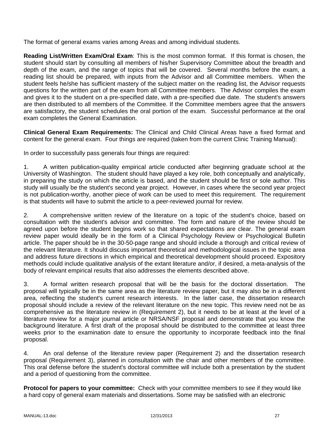The format of general exams varies among Areas and among individual students.

**Reading List/Written Exam/Oral Exam**: This is the most common format. If this format is chosen, the student should start by consulting all members of his/her Supervisory Committee about the breadth and depth of the exam, and the range of topics that will be covered. Several months before the exam, a reading list should be prepared, with inputs from the Advisor and all Committee members. When the student feels he/she has sufficient mastery of the subject matter on the reading list, the Advisor requests questions for the written part of the exam from all Committee members. The Advisor compiles the exam and gives it to the student on a pre-specified date, with a pre-specified due date. The student's answers are then distributed to all members of the Committee. If the Committee members agree that the answers are satisfactory, the student schedules the oral portion of the exam. Successful performance at the oral exam completes the General Examination.

**Clinical General Exam Requirements:** The Clinical and Child Clinical Areas have a fixed format and content for the general exam. Four things are required (taken from the current Clinic Training Manual):

In order to successfully pass generals four things are required:

1. A written publication-quality empirical article conducted after beginning graduate school at the University of Washington. The student should have played a key role, both conceptually and analytically, in preparing the study on which the article is based, and the student should be first or sole author. This study will usually be the student's second year project. However, in cases where the second year project is not publication-worthy, another piece of work can be used to meet this requirement. The requirement is that students will have to submit the article to a peer-reviewed journal for review.

2. A comprehensive written review of the literature on a topic of the student's choice, based on consultation with the student's advisor and committee. The form and nature of the review should be agreed upon before the student begins work so that shared expectations are clear. The general exam review paper would ideally be in the form of a Clinical Psychology Review or Psychological Bulletin article. The paper should be in the 30-50-page range and should include a thorough and critical review of the relevant literature. It should discuss important theoretical and methodological issues in the topic area and address future directions in which empirical and theoretical development should proceed. Expository methods could include qualitative analysis of the extant literature and/or, if desired, a meta-analysis of the body of relevant empirical results that also addresses the elements described above.

3. A formal written research proposal that will be the basis for the doctoral dissertation. The proposal will typically be in the same area as the literature review paper, but it may also be in a different area, reflecting the student's current research interests. In the latter case, the dissertation research proposal should include a review of the relevant literature on the new topic. This review need not be as comprehensive as the literature review in (Requirement 2), but it needs to be at least at the level of a literature review for a major journal article or NRSA/NSF proposal and demonstrate that you know the background literature. A first draft of the proposal should be distributed to the committee at least three weeks prior to the examination date to ensure the opportunity to incorporate feedback into the final proposal.

4. An oral defense of the literature review paper (Requirement 2) and the dissertation research proposal (Requirement 3), planned in consultation with the chair and other members of the committee. This oral defense before the student's doctoral committee will include both a presentation by the student and a period of questioning from the committee.

**Protocol for papers to your committee:** Check with your committee members to see if they would like a hard copy of general exam materials and dissertations. Some may be satisfied with an electronic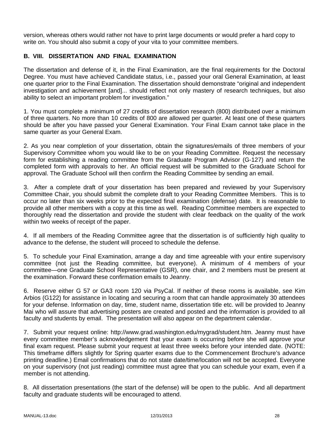version, whereas others would rather not have to print large documents or would prefer a hard copy to write on. You should also submit a copy of your vita to your committee members.

# **B. VIII. DISSERTATION AND FINAL EXAMINATION**

The dissertation and defense of it, in the Final Examination, are the final requirements for the Doctoral Degree. You must have achieved Candidate status, i.e., passed your oral General Examination, at least one quarter prior to the Final Examination. The dissertation should demonstrate "original and independent investigation and achievement [and]... should reflect not only mastery of research techniques, but also ability to select an important problem for investigation."

1. You must complete a minimum of 27 credits of dissertation research (800) distributed over a minimum of three quarters. No more than 10 credits of 800 are allowed per quarter. At least one of these quarters should be after you have passed your General Examination. Your Final Exam cannot take place in the same quarter as your General Exam.

2. As you near completion of your dissertation, obtain the signatures/emails of three members of your Supervisory Committee whom you would like to be on your Reading Committee. Request the necessary form for establishing a reading committee from the Graduate Program Advisor (G-127) and return the completed form with approvals to her. An official request will be submitted to the Graduate School for approval. The Graduate School will then confirm the Reading Committee by sending an email.

3. After a complete draft of your dissertation has been prepared and reviewed by your Supervisory Committee Chair, you should submit the complete draft to your Reading Committee Members. This is to occur no later than six weeks prior to the expected final examination (defense) date. It is reasonable to provide all other members with a copy at this time as well. Reading Committee members are expected to thoroughly read the dissertation and provide the student with clear feedback on the quality of the work within two weeks of receipt of the paper.

4. If all members of the Reading Committee agree that the dissertation is of sufficiently high quality to advance to the defense, the student will proceed to schedule the defense.

5. To schedule your Final Examination, arrange a day and time agreeable with your entire supervisory committee (not just the Reading committee, but everyone). A minimum of 4 members of your committee—one Graduate School Representative (GSR), one chair, and 2 members must be present at the examination. Forward these confirmation emails to Jeanny.

6. Reserve either G 57 or GA3 room 120 via PsyCal. If neither of these rooms is available, see Kim Arbios (G122) for assistance in locating and securing a room that can handle approximately 30 attendees for your defense. Information on day, time, student name, dissertation title etc. will be provided to Jeanny Mai who will assure that advertising posters are created and posted and the information is provided to all faculty and students by email. The presentation will also appear on the department calendar.

7. Submit your request online: http://www.grad.washington.edu/mygrad/student.htm. Jeanny must have every committee member's acknowledgement that your exam is occurring before she will approve your final exam request. Please submit your request at least three weeks before your intended date. (NOTE: This timeframe differs slightly for Spring quarter exams due to the Commencement Brochure's advance printing deadline.) Email confirmations that do not state date/time/location will not be accepted. Everyone on your supervisory (not just reading) committee must agree that you can schedule your exam, even if a member is not attending.

8. All dissertation presentations (the start of the defense) will be open to the public. And all department faculty and graduate students will be encouraged to attend.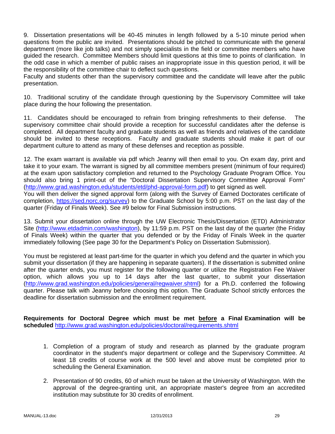9. Dissertation presentations will be 40-45 minutes in length followed by a 5-10 minute period when questions from the public are invited. Presentations should be pitched to communicate with the general department (more like job talks) and not simply specialists in the field or committee members who have guided the research. Committee Members should limit questions at this time to points of clarification. In the odd case in which a member of public raises an inappropriate issue in this question period, it will be the responsibility of the committee chair to deflect such questions.

Faculty and students other than the supervisory committee and the candidate will leave after the public presentation.

10. Traditional scrutiny of the candidate through questioning by the Supervisory Committee will take place during the hour following the presentation.

11. Candidates should be encouraged to refrain from bringing refreshments to their defense. The supervisory committee chair should provide a reception for successful candidates after the defense is completed. All department faculty and graduate students as well as friends and relatives of the candidate should be invited to these receptions. Faculty and graduate students should make it part of our department culture to attend as many of these defenses and reception as possible.

12. The exam warrant is available via pdf which Jeanny will then email to you. On exam day, print and take it to your exam. The warrant is signed by all committee members present (minimum of four required) at the exam upon satisfactory completion and returned to the Psychology Graduate Program Office. You should also bring 1 print-out of the "Doctoral Dissertation Supervisory Committee Approval Form" (http://www.grad.washington.edu/students/etd/phd-approval-form.pdf) to get signed as well.

You will then deliver the signed approval form (along with the Survey of Earned Doctorates certificate of completion, https://sed.norc.org/survey) to the Graduate School by 5:00 p.m. PST on the last day of the quarter (Friday of Finals Week). See #9 below for Final Submission instructions.

13. Submit your dissertation online through the UW Electronic Thesis/Dissertation (ETD) Administrator Site (http://www.etdadmin.com/washington), by 11:59 p.m. PST on the last day of the quarter (the Friday of Finals Week) within the quarter that you defended or by the Friday of Finals Week in the quarter immediately following (See page 30 for the Department's Policy on Dissertation Submission).

You must be registered at least part-time for the quarter in which you defend and the quarter in which you submit your dissertation (if they are happening in separate quarters). If the dissertation is submitted online after the quarter ends, you must register for the following quarter or utilize the Registration Fee Waiver option, which allows you up to 14 days after the last quarter, to submit your dissertation (http://www.grad.washington.edu/policies/general/regwaiver.shtml) for a Ph.D. conferred the following quarter. Please talk with Jeanny before choosing this option. The Graduate School strictly enforces the deadline for dissertation submission and the enrollment requirement.

**Requirements for Doctoral Degree which must be met before a Final Examination will be scheduled** http://www.grad.washington.edu/policies/doctoral/requirements.shtml

- 1. Completion of a program of study and research as planned by the graduate program coordinator in the student's major department or college and the Supervisory Committee. At least 18 credits of course work at the 500 level and above must be completed prior to scheduling the General Examination.
- 2. Presentation of 90 credits, 60 of which must be taken at the University of Washington. With the approval of the degree-granting unit, an appropriate master's degree from an accredited institution may substitute for 30 credits of enrollment.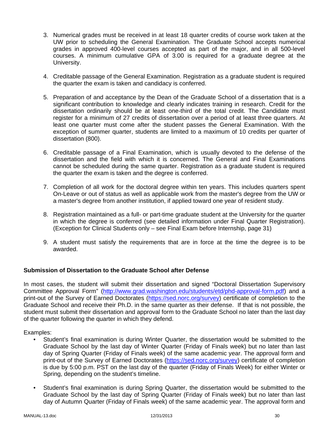- 3. Numerical grades must be received in at least 18 quarter credits of course work taken at the UW prior to scheduling the General Examination. The Graduate School accepts numerical grades in approved 400-level courses accepted as part of the major, and in all 500-level courses. A minimum cumulative GPA of 3.00 is required for a graduate degree at the University.
- 4. Creditable passage of the General Examination. Registration as a graduate student is required the quarter the exam is taken and candidacy is conferred.
- 5. Preparation of and acceptance by the Dean of the Graduate School of a dissertation that is a significant contribution to knowledge and clearly indicates training in research. Credit for the dissertation ordinarily should be at least one-third of the total credit. The Candidate must register for a minimum of 27 credits of dissertation over a period of at least three quarters. At least one quarter must come after the student passes the General Examination. With the exception of summer quarter, students are limited to a maximum of 10 credits per quarter of dissertation (800).
- 6. Creditable passage of a Final Examination, which is usually devoted to the defense of the dissertation and the field with which it is concerned. The General and Final Examinations cannot be scheduled during the same quarter. Registration as a graduate student is required the quarter the exam is taken and the degree is conferred.
- 7. Completion of all work for the doctoral degree within ten years. This includes quarters spent On-Leave or out of status as well as applicable work from the master's degree from the UW or a master's degree from another institution, if applied toward one year of resident study.
- 8. Registration maintained as a full- or part-time graduate student at the University for the quarter in which the degree is conferred (see detailed information under Final Quarter Registration). (Exception for Clinical Students only – see Final Exam before Internship, page 31)
- 9. A student must satisfy the requirements that are in force at the time the degree is to be awarded.

# **Submission of Dissertation to the Graduate School after Defense**

In most cases, the student will submit their dissertation and signed "Doctoral Dissertation Supervisory Committee Approval Form" (http://www.grad.washington.edu/students/etd/phd-approval-form.pdf) and a print-out of the Survey of Earned Doctorates (https://sed.norc.org/survey) certificate of completion to the Graduate School and receive their Ph.D. in the same quarter as their defense. If that is not possible, the student must submit their dissertation and approval form to the Graduate School no later than the last day of the quarter following the quarter in which they defend.

Examples:

- Student's final examination is during Winter Quarter, the dissertation would be submitted to the Graduate School by the last day of Winter Quarter (Friday of Finals week) but no later than last day of Spring Quarter (Friday of Finals week) of the same academic year. The approval form and print-out of the Survey of Earned Doctorates (https://sed.norc.org/survey) certificate of completion is due by 5:00 p.m. PST on the last day of the quarter (Friday of Finals Week) for either Winter or Spring, depending on the student's timeline.
- Student's final examination is during Spring Quarter, the dissertation would be submitted to the Graduate School by the last day of Spring Quarter (Friday of Finals week) but no later than last day of Autumn Quarter (Friday of Finals week) of the same academic year. The approval form and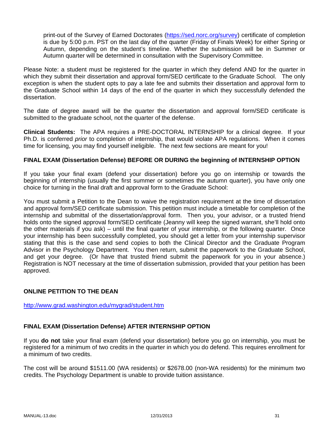print-out of the Survey of Earned Doctorates (https://sed.norc.org/survey) certificate of completion is due by 5:00 p.m. PST on the last day of the quarter (Friday of Finals Week) for either Spring or Autumn, depending on the student's timeline. Whether the submission will be in Summer or Autumn quarter will be determined in consultation with the Supervisory Committee.

Please Note: a student must be registered for the quarter in which they defend AND for the quarter in which they submit their dissertation and approval form/SED certificate to the Graduate School. The only exception is when the student opts to pay a late fee and submits their dissertation and approval form to the Graduate School within 14 days of the end of the quarter in which they successfully defended the dissertation.

The date of degree award will be the quarter the dissertation and approval form/SED certificate is submitted to the graduate school, not the quarter of the defense.

**Clinical Students:** The APA requires a PRE-DOCTORAL INTERNSHIP for a clinical degree. If your Ph.D. is conferred *prior* to completion of internship, that would violate APA regulations. When it comes time for licensing, you may find yourself ineligible. The next few sections are meant for you!

# **FINAL EXAM (Dissertation Defense) BEFORE OR DURING the beginning of INTERNSHIP OPTION**

If you take your final exam (defend your dissertation) before you go on internship or towards the beginning of internship (usually the first summer or sometimes the autumn quarter), you have only one choice for turning in the final draft and approval form to the Graduate School:

You must submit a Petition to the Dean to waive the registration requirement at the time of dissertation and approval form/SED certificate submission. This petition must include a timetable for completion of the internship and submittal of the dissertation/approval form. Then you, your advisor, or a trusted friend holds onto the signed approval form/SED certificate (Jeanny will keep the signed warrant, she'll hold onto the other materials if you ask) – until the final quarter of your internship, or the following quarter. Once your internship has been successfully completed, you should get a letter from your internship supervisor stating that this is the case and send copies to both the Clinical Director and the Graduate Program Advisor in the Psychology Department. You then return, submit the paperwork to the Graduate School, and get your degree. (Or have that trusted friend submit the paperwork for you in your absence.) Registration is NOT necessary at the time of dissertation submission, provided that your petition has been approved.

# **ONLINE PETITION TO THE DEAN**

#### http://www.grad.washington.edu/mygrad/student.htm

#### **FINAL EXAM (Dissertation Defense) AFTER INTERNSHIP OPTION**

If you **do not** take your final exam (defend your dissertation) before you go on internship, you must be registered for a minimum of two credits in the quarter in which you do defend. This requires enrollment for a minimum of two credits.

The cost will be around \$1511.00 (WA residents) or \$2678.00 (non-WA residents) for the minimum two credits. The Psychology Department is unable to provide tuition assistance.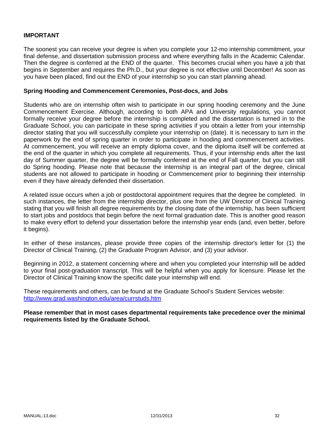### **IMPORTANT**

The soonest you can receive your degree is when you complete your 12-mo internship commitment, your final defense, and dissertation submission process and where everything falls in the Academic Calendar. Then the degree is conferred at the END of the quarter. This becomes crucial when you have a job that begins in September and requires the Ph.D., but your degree is not effective until December! As soon as you have been placed, find out the END of your internship so you can start planning ahead.

#### **Spring Hooding and Commencement Ceremonies, Post-docs, and Jobs**

Students who are on internship often wish to participate in our spring hooding ceremony and the June Commencement Exercise. Although, according to both APA and University regulations, you cannot formally receive your degree before the internship is completed and the dissertation is turned in to the Graduate School, you can participate in these spring activities if you obtain a letter from your internship director stating that you will successfully complete your internship on (date). It is necessary to turn in the paperwork by the end of spring quarter in order to participate in hooding and commencement activities. At commencement, you will receive an empty diploma cover, and the diploma itself will be conferred at the end of the quarter in which you complete all requirements. Thus, if your internship ends after the last day of Summer quarter, the degree will be formally conferred at the end of Fall quarter, but you can still do Spring hooding. Please note that because the internship is an integral part of the degree, clinical students are not allowed to participate in hooding or Commencement prior to beginning their internship even if they have already defended their dissertation.

A related issue occurs when a job or postdoctoral appointment requires that the degree be completed. In such instances, the letter from the internship director, plus one from the UW Director of Clinical Training stating that you will finish all degree requirements by the closing date of the internship, has been sufficient to start jobs and postdocs that begin before the next formal graduation date. This is another good reason to make every effort to defend your dissertation before the internship year ends (and, even better, before it begins).

In either of these instances, please provide three copies of the internship director's letter for (1) the Director of Clinical Training, (2) the Graduate Program Advisor, and (3) your advisor.

Beginning in 2012, a statement concerning where and when you completed your internship will be added to your final post-graduation transcript. This will be helpful when you apply for licensure. Please let the Director of Clinical Training know the specific date your internship will end.

These requirements and others, can be found at the Graduate School's Student Services website: http://www.grad.washington.edu/area/currstuds.htm

**Please remember that in most cases departmental requirements take precedence over the minimal requirements listed by the Graduate School.**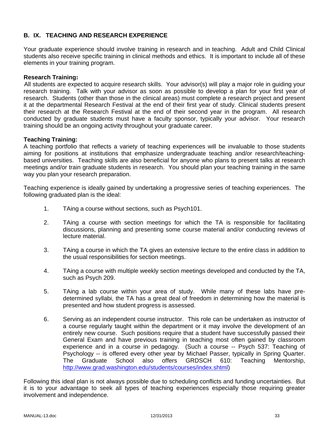# **B. IX. TEACHING AND RESEARCH EXPERIENCE**

Your graduate experience should involve training in research and in teaching. Adult and Child Clinical students also receive specific training in clinical methods and ethics. It is important to include all of these elements in your training program.

#### **Research Training:**

All students are expected to acquire research skills. Your advisor(s) will play a major role in guiding your research training. Talk with your advisor as soon as possible to develop a plan for your first year of research. Students (other than those in the clinical areas) must complete a research project and present it at the departmental Research Festival at the end of their first year of study. Clinical students present their research at the Research Festival at the end of their second year in the program. All research conducted by graduate students must have a faculty sponsor, typically your advisor. Your research training should be an ongoing activity throughout your graduate career.

#### **Teaching Training:**

A teaching portfolio that reflects a variety of teaching experiences will be invaluable to those students aiming for positions at institutions that emphasize undergraduate teaching and/or research/teachingbased universities. Teaching skills are also beneficial for anyone who plans to present talks at research meetings and/or train graduate students in research. You should plan your teaching training in the same way you plan your research preparation.

Teaching experience is ideally gained by undertaking a progressive series of teaching experiences. The following graduated plan is the ideal:

- 1. TAing a course without sections, such as Psych101.
- 2. TAing a course with section meetings for which the TA is responsible for facilitating discussions, planning and presenting some course material and/or conducting reviews of lecture material.
- 3. TAing a course in which the TA gives an extensive lecture to the entire class in addition to the usual responsibilities for section meetings.
- 4. TAing a course with multiple weekly section meetings developed and conducted by the TA, such as Psych 209.
- 5. TAing a lab course within your area of study. While many of these labs have predetermined syllabi, the TA has a great deal of freedom in determining how the material is presented and how student progress is assessed.
- 6. Serving as an independent course instructor. This role can be undertaken as instructor of a course regularly taught within the department or it may involve the development of an entirely new course. Such positions require that a student have successfully passed their General Exam and have previous training in teaching most often gained by classroom experience and in a course in pedagogy. (Such a course -- Psych 537: Teaching of Psychology -- is offered every other year by Michael Passer, typically in Spring Quarter. The Graduate School also offers GRDSCH 610: Teaching Mentorship, http://www.grad.washington.edu/students/courses/index.shtml)

Following this ideal plan is not always possible due to scheduling conflicts and funding uncertainties. But it is to your advantage to seek all types of teaching experiences especially those requiring greater involvement and independence.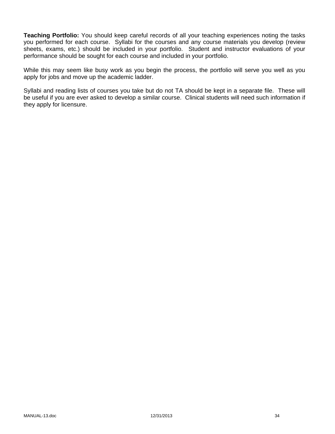**Teaching Portfolio:** You should keep careful records of all your teaching experiences noting the tasks you performed for each course. Syllabi for the courses and any course materials you develop (review sheets, exams, etc.) should be included in your portfolio. Student and instructor evaluations of your performance should be sought for each course and included in your portfolio.

While this may seem like busy work as you begin the process, the portfolio will serve you well as you apply for jobs and move up the academic ladder.

Syllabi and reading lists of courses you take but do not TA should be kept in a separate file. These will be useful if you are ever asked to develop a similar course. Clinical students will need such information if they apply for licensure.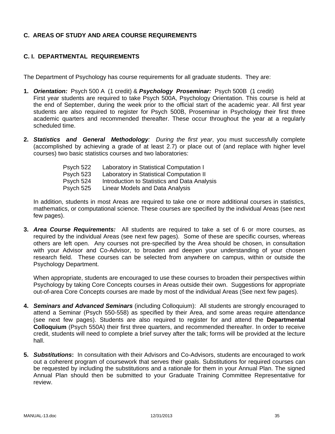# **C. AREAS OF STUDY AND AREA COURSE REQUIREMENTS**

### **C. I. DEPARTMENTAL REQUIREMENTS**

The Department of Psychology has course requirements for all graduate students. They are:

- **1.** *Orientation:* Psych 500 A (1 credit) & *Psychology Proseminar:* Psych 500B (1 credit) First year students are required to take Psych 500A, Psychology Orientation. This course is held at the end of September, during the week prior to the official start of the academic year. All first year students are also required to register for Psych 500B, Proseminar in Psychology their first three academic quarters and recommended thereafter. These occur throughout the year at a regularly scheduled time.
- **2.** *Statistics and General Methodology: During the first year*, you must successfully complete (accomplished by achieving a grade of at least 2.7) or place out of (and replace with higher level courses) two basic statistics courses and two laboratories:

| Laboratory in Statistical Computation I      |
|----------------------------------------------|
| Laboratory in Statistical Computation II     |
| Introduction to Statistics and Data Analysis |
| Linear Models and Data Analysis              |
|                                              |

In addition, students in most Areas are required to take one or more additional courses in statistics, mathematics, or computational science. These courses are specified by the individual Areas (see next few pages).

**3.** *Area Course Requirements:* All students are required to take a set of 6 or more courses, as required by the individual Areas (see next few pages). Some of these are specific courses, whereas others are left open. Any courses not pre-specified by the Area should be chosen, in consultation with your Advisor and Co-Advisor, to broaden and deepen your understanding of your chosen research field. These courses can be selected from anywhere on campus, within or outside the Psychology Department.

When appropriate, students are encouraged to use these courses to broaden their perspectives within Psychology by taking Core Concepts courses in Areas outside their own. Suggestions for appropriate out-of-area Core Concepts courses are made by most of the individual Areas (See next few pages).

- **4.** *Seminars and Advanced Seminars* (including Colloquium): All students are strongly encouraged to attend a Seminar (Psych 550-558) as specified by their Area, and some areas require attendance (see next few pages). Students are also required to register for and attend the **Departmental Colloquium** (Psych 550A) their first three quarters, and recommended thereafter. In order to receive credit, students will need to complete a brief survey after the talk; forms will be provided at the lecture hall.
- **5.** *Substitutions***:** In consultation with their Advisors and Co-Advisors, students are encouraged to work out a coherent program of coursework that serves their goals. Substitutions for required courses can be requested by including the substitutions and a rationale for them in your Annual Plan. The signed Annual Plan should then be submitted to your Graduate Training Committee Representative for review.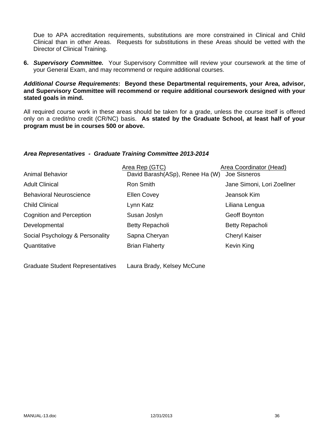Due to APA accreditation requirements, substitutions are more constrained in Clinical and Child Clinical than in other Areas. Requests for substitutions in these Areas should be vetted with the Director of Clinical Training.

**6.** *Supervisory Committee.* Your Supervisory Committee will review your coursework at the time of your General Exam, and may recommend or require additional courses.

## *Additional Course Requirements***: Beyond these Departmental requirements, your Area, advisor, and Supervisory Committee will recommend or require additional coursework designed with your stated goals in mind.**

All required course work in these areas should be taken for a grade, unless the course itself is offered only on a credit/no credit (CR/NC) basis. **As stated by the Graduate School, at least half of your program must be in courses 500 or above.**

## *Area Representatives - Graduate Training Committee 2013-2014*

|                                 | Area Rep (GTC)                  | <b>Area Coordinator (Head)</b> |
|---------------------------------|---------------------------------|--------------------------------|
| <b>Animal Behavior</b>          | David Barash(ASp), Renee Ha (W) | Joe Sisneros                   |
| <b>Adult Clinical</b>           | Ron Smith                       | Jane Simoni, Lori Zoellner     |
| <b>Behavioral Neuroscience</b>  | <b>Ellen Covey</b>              | Jeansok Kim                    |
| <b>Child Clinical</b>           | Lynn Katz                       | Liliana Lengua                 |
| <b>Cognition and Perception</b> | Susan Joslyn                    | Geoff Boynton                  |
| Developmental                   | Betty Repacholi                 | <b>Betty Repacholi</b>         |
| Social Psychology & Personality | Sapna Cheryan                   | <b>Cheryl Kaiser</b>           |
| Quantitative                    | <b>Brian Flaherty</b>           | Kevin King                     |
|                                 |                                 |                                |

| <b>Graduate Student Representatives</b> | Laura Brady, Kelsey McCune |
|-----------------------------------------|----------------------------|
|-----------------------------------------|----------------------------|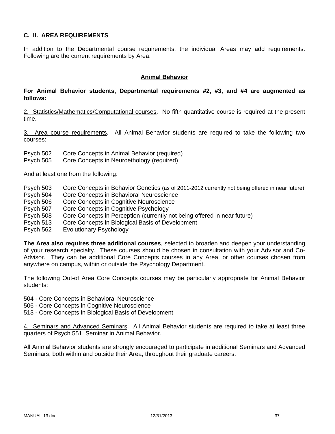## **C. II. AREA REQUIREMENTS**

In addition to the Departmental course requirements, the individual Areas may add requirements. Following are the current requirements by Area.

#### **Animal Behavior**

#### **For Animal Behavior students, Departmental requirements #2, #3, and #4 are augmented as follows:**

2. Statistics/Mathematics/Computational courses. No fifth quantitative course is required at the present time.

3. Area course requirements. All Animal Behavior students are required to take the following two courses:

Psych 502 Core Concepts in Animal Behavior (required)

Psych 505 Core Concepts in Neuroethology (required)

And at least one from the following:

- Psych 503 Core Concepts in Behavior Genetics (as of 2011-2012 currently not being offered in near future)
- Psych 504 Core Concepts in Behavioral Neuroscience
- Psych 506 Core Concepts in Cognitive Neuroscience
- Psych 507 Core Concepts in Cognitive Psychology
- Psych 508 Core Concepts in Perception (currently not being offered in near future)
- Psych 513 Core Concepts in Biological Basis of Development
- Psych 562 Evolutionary Psychology

**The Area also requires three additional courses**, selected to broaden and deepen your understanding of your research specialty. These courses should be chosen in consultation with your Advisor and Co-Advisor. They can be additional Core Concepts courses in any Area, or other courses chosen from anywhere on campus, within or outside the Psychology Department.

The following Out-of Area Core Concepts courses may be particularly appropriate for Animal Behavior students:

504 - Core Concepts in Behavioral Neuroscience

506 - Core Concepts in Cognitive Neuroscience

513 - Core Concepts in Biological Basis of Development

4. Seminars and Advanced Seminars. All Animal Behavior students are required to take at least three quarters of Psych 551, Seminar in Animal Behavior.

All Animal Behavior students are strongly encouraged to participate in additional Seminars and Advanced Seminars, both within and outside their Area, throughout their graduate careers.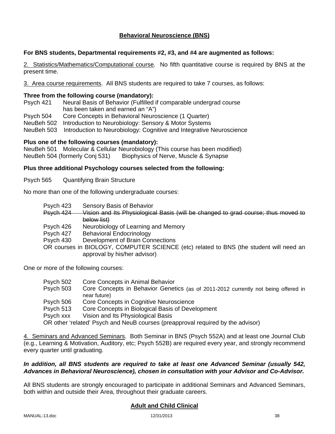## **Behavioral Neuroscience (BNS)**

## **For BNS students, Departmental requirements #2, #3, and #4 are augmented as follows:**

2. Statistics/Mathematics/Computational course. No fifth quantitative course is required by BNS at the present time.

3. Area course requirements. All BNS students are required to take 7 courses, as follows:

#### **Three from the following course (mandatory):**

Psych 421 Neural Basis of Behavior (Fulfilled if comparable undergrad course has been taken and earned an "A")

Psych 504 Core Concepts in Behavioral Neuroscience (1 Quarter)

NeuBeh 502 Introduction to Neurobiology: Sensory & Motor Systems

NeuBeh 503 Introduction to Neurobiology: Cognitive and Integrative Neuroscience

#### **Plus one of the following courses (mandatory):**

NeuBeh 501 Molecular & Cellular Neurobiology (This course has been modified) NeuBeh 504 (formerly Conj 531) Biophysics of Nerve, Muscle & Synapse

#### **Plus three additional Psychology courses selected from the following:**

Psych 565 Quantifying Brain Structure

No more than one of the following undergraduate courses:

- Psych 423 Sensory Basis of Behavior
- Psych 424 Vision and Its Physiological Basis (will be changed to grad course; thus moved to below list)
- Psych 426 Neurobiology of Learning and Memory
- Psych 427 Behavioral Endocrinology
- Psych 430 Development of Brain Connections

OR courses in BIOLOGY, COMPUTER SCIENCE (etc) related to BNS (the student will need an approval by his/her advisor)

One or more of the following courses:

- Psych 502 Core Concepts in Animal Behavior
- Psych 503 Core Concepts in Behavior Genetics (as of 2011-2012 currently not being offered in near future)
- Psych 506 Core Concepts in Cognitive Neuroscience

Psych 513 Core Concepts in Biological Basis of Development

Psych xxx Vision and Its Physiological Basis

OR other 'related' Psych and NeuB courses (preapproval required by the advisor)

4. Seminars and Advanced Seminars. Both Seminar in BNS (Psych 552A) and at least one Journal Club (e.g., Learning & Motivation, Auditory, etc; Psych 552B) are required every year, and strongly recommend every quarter until graduating.

#### *In addition, all BNS students are required to take at least one Advanced Seminar (usually 542, Advances in Behavioral Neuroscience), chosen in consultation with your Advisor and Co-Advisor.*

All BNS students are strongly encouraged to participate in additional Seminars and Advanced Seminars, both within and outside their Area, throughout their graduate careers.

#### **Adult and Child Clinical**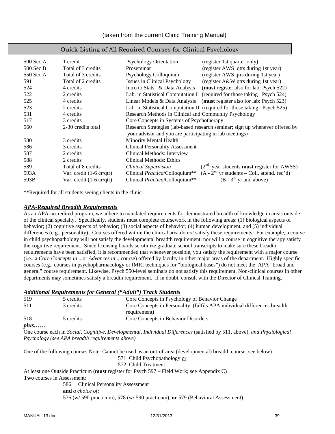| $500$ Sec A | 1 credit                                  | <b>Psychology Orientation</b><br>(register 1st quarter only)                                                                            |
|-------------|-------------------------------------------|-----------------------------------------------------------------------------------------------------------------------------------------|
| $500$ Sec B | Total of 3 credits                        | Proseminar<br>(register AWS qtrs during 1st year)                                                                                       |
| 550 Sec A   | Total of 3 credits                        | (register AWS qtrs during 1st year)<br>Psychology Colloquium                                                                            |
| 591         | Total of 2 credits                        | Issues in Clinical Psychology<br>(register A&W qtrs during 1st year)                                                                    |
| 524         | 4 credits                                 | Intro to Stats. & Data Analysis<br>(must register also for lab: Psych 522)                                                              |
| 522         | 2 credits                                 | Lab. in Statistical Computation I<br>(required for those taking Psych 524)                                                              |
| 525         | 4 credits                                 | Linear Models & Data Analysis<br>(must register also for lab: Psych 523)                                                                |
| 523         | 2 credits                                 | Lab. in Statistical Computation II (required for those taking Psych 525)                                                                |
| 531         | 4 credits                                 | Research Methods in Clinical and Community Psychology                                                                                   |
| 517         | 3 credits                                 | Core Concepts in Systems of Psychotherapy                                                                                               |
| 560         | 2-30 credits total                        | Research Strategies (lab-based research seminar; sign up whenever offered by<br>your advisor and you are participating in lab meetings) |
| 580         | 3 credits                                 | Minority Mental Health                                                                                                                  |
| 586         | 3 credits                                 | <b>Clinical Personality Assessment</b>                                                                                                  |
| 587         | 2 credits                                 | Clinical Methods: Interview                                                                                                             |
| 588         | 2 credits                                 | Clinical Methods: Ethics                                                                                                                |
| 589         | Total of 8 credits                        | $(2nd$ year students <b>must</b> register for AWSS)<br><b>Clinical Supervision</b>                                                      |
| 593A        | Var. credit $(1-6 \text{ cr}/\text{qtr})$ | $(A - 2nd$ yr students – Coll. attend. req'd)<br>Clinical <i>Practica</i> /Colloquium <sup>**</sup>                                     |
| 593B        | Var. credit $(1-6 \text{ cr}/\text{gtr})$ | $(B - 3rd$ yr and above)<br>Clinical <i>Practica</i> /Colloquium <sup>**</sup>                                                          |
|             |                                           |                                                                                                                                         |

#### Quick Listing of All Required Courses for Clinical Psychology

\*\*Required for all students seeing clients in the clinic.

#### *APA-Required Breadth Requirements*

As an APA-accredited program, we adhere to mandated requirements for demonstrated breadth of knowledge in areas outside of the clinical specialty. Specifically, students must complete coursework in the following areas: (1) biological aspects of behavior; (2) cognitive aspects of behavior; (3) social aspects of behavior; (4) human development, and (5) individual differences (e.g., personality). Courses offered within the clinical area do *not* satisfy these requirements. For example, a course in child psychopathology will not satisfy the developmental breadth requirement, nor will a course in cognitive therapy satisfy the cognitive requirement. Since licensing boards scrutinize graduate school transcripts to make sure these breadth requirements have been satisfied, it is recommended that whenever possible, you satisfy the requirement with a major course (i.e., a *Core Concepts in* ...or *Advances in* ...course) offered by faculty in other major areas of the department. Highly specific courses (e.g., courses in psychopharmacology or fMRI techniques for "biological bases") do not meet the APA "broad and general" course requirement. Likewise, Psych 550-level seminars do not satisfy this requirement. Non-clinical courses in other departments may sometimes satisfy a breadth requirement. If in doubt, consult with the Director of Clinical Training.

#### *Additional Requirements for General ("Adult") Track Students*

| 519          | 5 credits | Core Concepts in Psychology of Behavior Change                            |
|--------------|-----------|---------------------------------------------------------------------------|
| 511          | 3 credits | Core Concepts in Personality (fulfils APA individual differences breadth) |
|              |           | requirement)                                                              |
| 518          | 5 credits | Core Concepts in Behavior Disorders                                       |
| $plus \dots$ |           |                                                                           |

One course each in *Social, Cognitive, Developmental, Individual Differences* (satisfied by 511, above), *and Physiological Psychology (see APA breadth requirements above)* 

One of the following courses Note: Cannot be used as an out-of-area (developmental) breadth course; see below)

571 Child Psychopathology or 572 Child Treatment

At least one Outside Practicum (**must** register for Psych 597 – Field Work; see Appendix C) **Two** courses in Assessment:

 586 Clinical Personality Assessment **and** *a choice of***:**  576 (w/ 590 practicum), 578 (w/ 590 practicum), **or** 579 (Behavioral Assessment)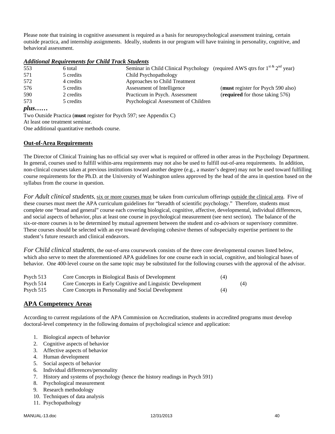Please note that training in cognitive assessment is required as a basis for neuropsychological assessment training, certain outside practica, and internship assignments. Ideally, students in our program will have training in personality, cognitive, and behavioral assessment.

#### *Additional Requirements for Child Track Students*

| 553          | 6 total   | Seminar in Child Clinical Psychology (required AWS qtrs for $1^{st \& 2^{nd}}$ year) |  |
|--------------|-----------|--------------------------------------------------------------------------------------|--|
| 571          | 5 credits | Child Psychopathology                                                                |  |
| 572          | 4 credits | Approaches to Child Treatment                                                        |  |
| 576          | 5 credits | (must register for Psych 590 also)<br>Assessment of Intelligence                     |  |
| 590          | 2 credits | (required for those taking 576)<br>Practicum in Psych. Assessment                    |  |
| 573          | 5 credits | Psychological Assessment of Children                                                 |  |
| $plus \dots$ |           |                                                                                      |  |

Two Outside Practica (**must** register for Psych 597; see Appendix C) At least one treatment seminar.

One additional quantitative methods course.

#### **Out-of-Area Requirements**

The Director of Clinical Training has no official say over what is required or offered in other areas in the Psychology Department. In general, courses used to fulfill within-area requirements may not also be used to fulfill out-of-area requirements. In addition, non-clinical courses taken at previous institutions toward another degree (e.g., a master's degree) may not be used toward fulfilling course requirements for the Ph.D. at the University of Washington unless approved by the head of the area in question based on the syllabus from the course in question.

*For Adult clinical students*, six or more courses must be taken from curriculum offerings outside the clinical area. Five of these courses must meet the APA curriculum guidelines for "breadth of scientific psychology." Therefore, students must complete one "broad and general" course each covering biological, cognitive, affective, developmental, individual differences, and social aspects of behavior, plus at least one course in psychological measurement (see next section). The balance of the six-or-more courses is to be determined by mutual agreement between the student and co-advisors or supervisory committee. These courses should be selected with an eye toward developing cohesive themes of subspecialty expertise pertinent to the student's future research and clinical endeavors.

*For Child clinical students*, the out-of-area coursework consists of the three core developmental courses listed below, which also serve to meet the aforementioned APA guidelines for one course each in social, cognitive, and biological bases of behavior. One 400-level course on the same topic may be substituted for the following courses with the approval of the advisor.

| Psych $513$ | Core Concepts in Biological Basis of Development            | (4) |     |
|-------------|-------------------------------------------------------------|-----|-----|
| Psych $514$ | Core Concepts in Early Cognitive and Linguistic Development |     | (4) |
| Psych $515$ | Core Concepts in Personality and Social Development         | (4) |     |

#### **APA Competency Areas**

According to current regulations of the APA Commission on Accreditation, students in accredited programs must develop doctoral-level competency in the following domains of psychological science and application:

- 1. Biological aspects of behavior
- 2. Cognitive aspects of behavior
- 3. Affective aspects of behavior
- 4. Human development
- 5. Social aspects of behavior
- 6. Individual differences/personality
- 7. History and systems of psychology (hence the history readings in Psych 591)
- 8. Psychological measurement
- 9. Research methodology
- 10. Techniques of data analysis
- 11. Psychopathology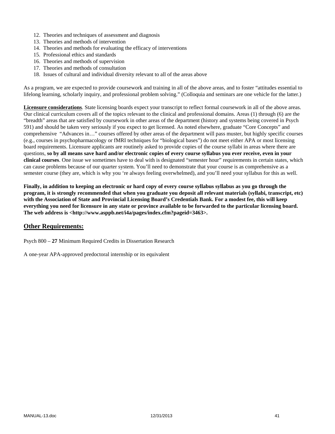- 12. Theories and techniques of assessment and diagnosis
- 13. Theories and methods of intervention
- 14. Theories and methods for evaluating the efficacy of interventions
- 15. Professional ethics and standards
- 16. Theories and methods of supervision
- 17. Theories and methods of consultation
- 18. Issues of cultural and individual diversity relevant to all of the areas above

As a program, we are expected to provide coursework and training in all of the above areas, and to foster "attitudes essential to lifelong learning, scholarly inquiry, and professional problem solving." (Colloquia and seminars are one vehicle for the latter.)

**Licensure considerations**. State licensing boards expect your transcript to reflect formal coursework in all of the above areas. Our clinical curriculum covers all of the topics relevant to the clinical and professional domains. Areas (1) through (6) are the "breadth" areas that are satisfied by coursework in other areas of the department (history and systems being covered in Psych 591) and should be taken very seriously if you expect to get licensed. As noted elsewhere, graduate "Core Concepts" and comprehensive "Advances in…" courses offered by other areas of the department will pass muster, but highly specific courses (e.g., courses in psychopharmacology or fMRI techniques for "biological bases") do not meet either APA or most licensing board requirements. Licensure applicants are routinely asked to provide copies of the course syllabi in areas where there are questions, **so by all means save hard and/or electronic copies of every course syllabus you ever receive, even in your clinical courses**. One issue we sometimes have to deal with is designated "semester hour" requirements in certain states, which can cause problems because of our quarter system. You'll need to demonstrate that your course is as comprehensive as a semester course (they are, which is why you 're always feeling overwhelmed), and you'll need your syllabus for this as well.

**Finally, in addition to keeping an electronic or hard copy of every course syllabus syllabus as you go through the program, it is strongly recommended that when you graduate you deposit all relevant materials (syllabi, transcript, etc) with the Association of State and Provincial Licensing Board's Credentials Bank. For a modest fee, this will keep everything you need for licensure in any state or province available to be forwarded to the particular licensing board. The web address is <http://www.asppb.net/i4a/pages/index.cfm?pageid=3463>.** 

#### **Other Requirements:**

Psych 800 – **27** Minimum Required Credits in Dissertation Research

A one-year APA-approved predoctoral internship or its equivalent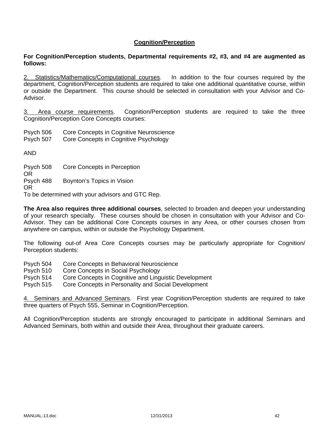## **Cognition/Perception**

#### **For Cognition/Perception students, Departmental requirements #2, #3, and #4 are augmented as follows:**

2. Statistics/Mathematics/Computational courses. In addition to the four courses required by the department, Cognition/Perception students are required to take one additional quantitative course, within or outside the Department. This course should be selected in consultation with your Advisor and Co-Advisor.

3. Area course requirements. Cognition/Perception students are required to take the three Cognition/Perception Core Concepts courses:

Psych 506 Core Concepts in Cognitive Neuroscience

Psych 507 Core Concepts in Cognitive Psychology

AND

Psych 508 Core Concepts in Perception OR Psych 488 Boynton's Topics in Vision OR

To be determined with your advisors and GTC Rep.

**The Area also requires three additional courses**, selected to broaden and deepen your understanding of your research specialty. These courses should be chosen in consultation with your Advisor and Co-Advisor. They can be additional Core Concepts courses in any Area, or other courses chosen from anywhere on campus, within or outside the Psychology Department.

The following out-of Area Core Concepts courses may be particularly appropriate for Cognition/ Perception students:

- Psych 504 Core Concepts in Behavioral Neuroscience
- Psych 510 Core Concepts in Social Psychology

Psych 514 Core Concepts in Cognitive and Linguistic Development

Psych 515 Core Concepts in Personality and Social Development

4. Seminars and Advanced Seminars. First year Cognition/Perception students are required to take three quarters of Psych 555, Seminar in Cognition/Perception.

All Cognition/Perception students are strongly encouraged to participate in additional Seminars and Advanced Seminars, both within and outside their Area, throughout their graduate careers.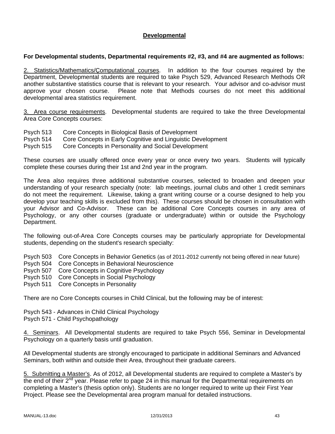## **Developmental**

#### **For Developmental students, Departmental requirements #2, #3, and #4 are augmented as follows:**

2. Statistics/Mathematics/Çomputational courses. In addition to the four courses required by the Department, Developmental students are required to take Psych 529, Advanced Research Methods OR another substantive statistics course that is relevant to your research. Your advisor and co-advisor must approve your chosen course. Please note that Methods courses do not meet this additional developmental area statistics requirement.

3. Area course requirements. Developmental students are required to take the three Developmental Area Core Concepts courses:

- Psych 513 Core Concepts in Biological Basis of Development
- Psych 514 Core Concepts in Early Cognitive and Linguistic Development

Psych 515 Core Concepts in Personality and Social Development

These courses are usually offered once every year or once every two years. Students will typically complete these courses during their 1st and 2nd year in the program.

The Area also requires three additional substantive courses, selected to broaden and deepen your understanding of your research specialty (note: lab meetings, journal clubs and other 1 credit seminars do not meet the requirement. Likewise, taking a grant writing course or a course designed to help you develop your teaching skills is excluded from this). These courses should be chosen in consultation with your Advisor and Co-Advisor. These can be additional Core Concepts courses in any area of Psychology, or any other courses (graduate or undergraduate) within or outside the Psychology Department.

The following out-of-Area Core Concepts courses may be particularly appropriate for Developmental students, depending on the student's research specialty:

Psych 503 Core Concepts in Behavior Genetics (as of 2011-2012 currently not being offered in near future)

- Psych 504 Core Concepts in Behavioral Neuroscience
- Psych 507 Core Concepts in Cognitive Psychology
- Psych 510 Core Concepts in Social Psychology
- Psych 511 Core Concepts in Personality

There are no Core Concepts courses in Child Clinical, but the following may be of interest:

Psych 543 - Advances in Child Clinical Psychology Psych 571 - Child Psychopathology

4. Seminars. All Developmental students are required to take Psych 556, Seminar in Developmental Psychology on a quarterly basis until graduation.

All Developmental students are strongly encouraged to participate in additional Seminars and Advanced Seminars, both within and outside their Area, throughout their graduate careers.

5. Submitting a Master's. As of 2012, all Developmental students are required to complete a Master's by the end of their 2<sup>nd</sup> year. Please refer to page 24 in this manual for the Departmental requirements on completing a Master's (thesis option only). Students are no longer required to write up their First Year Project. Please see the Developmental area program manual for detailed instructions.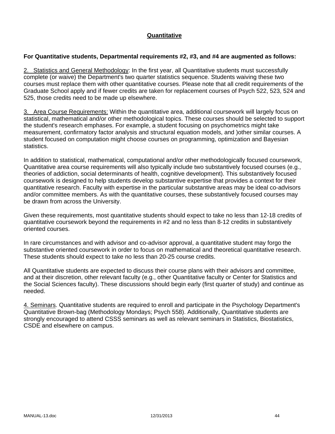## **Quantitative**

## **For Quantitative students, Departmental requirements #2, #3, and #4 are augmented as follows:**

2. Statistics and General Methodology: In the first year, all Quantitative students must successfully complete (or waive) the Department's two quarter statistics sequence. Students waiving these two courses must replace them with other quantitative courses. Please note that all credit requirements of the Graduate School apply and if fewer credits are taken for replacement courses of Psych 522, 523, 524 and 525, those credits need to be made up elsewhere.

3. Area Course Requirements: Within the quantitative area, additional coursework will largely focus on statistical, mathematical and/or other methodological topics. These courses should be selected to support the student's research emphases. For example, a student focusing on psychometrics might take measurement, confirmatory factor analysis and structural equation models, and )other similar courses. A student focused on computation might choose courses on programming, optimization and Bayesian statistics.

In addition to statistical, mathematical, computational and/or other methodologically focused coursework, Quantitative area course requirements will also typically include two substantively focused courses (e.g., theories of addiction, social determinants of health, cognitive development). This substantively focused coursework is designed to help students develop substantive expertise that provides a context for their quantitative research. Faculty with expertise in the particular substantive areas may be ideal co-advisors and/or committee members. As with the quantitative courses, these substantively focused courses may be drawn from across the University.

Given these requirements, most quantitative students should expect to take no less than 12-18 credits of quantitative coursework beyond the requirements in #2 and no less than 8-12 credits in substantively oriented courses.

In rare circumstances and with advisor and co-advisor approval, a quantitative student may forgo the substantive oriented coursework in order to focus on mathematical and theoretical quantitative research. These students should expect to take no less than 20-25 course credits.

All Quantitative students are expected to discuss their course plans with their advisors and committee, and at their discretion, other relevant faculty (e.g., other Quantitative faculty or Center for Statistics and the Social Sciences faculty). These discussions should begin early (first quarter of study) and continue as needed.

4. Seminars. Quantitative students are required to enroll and participate in the Psychology Department's Quantitative Brown-bag (Methodology Mondays; Psych 558). Additionally, Quantitative students are strongly encouraged to attend CSSS seminars as well as relevant seminars in Statistics, Biostatistics, CSDE and elsewhere on campus.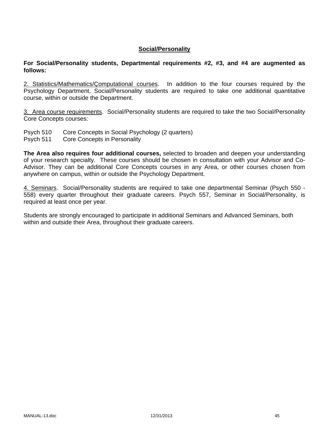#### **Social/Personality**

**For Social/Personality students, Departmental requirements #2, #3, and #4 are augmented as follows:**

2. Statistics/Mathematics/Computational courses. In addition to the four courses required by the Psychology Department, Social/Personality students are required to take one additional quantitative course, within or outside the Department.

3. Area course requirements. Social/Personality students are required to take the two Social/Personality Core Concepts courses:

- Psych 510 Core Concepts in Social Psychology (2 quarters)
- Psych 511 Core Concepts in Personality

**The Area also requires four additional courses,** selected to broaden and deepen your understanding of your research specialty. These courses should be chosen in consultation with your Advisor and Co-Advisor. They can be additional Core Concepts courses in any Area, or other courses chosen from anywhere on campus, within or outside the Psychology Department.

4. Seminars. Social/Personality students are required to take one departmental Seminar (Psych 550 - 558) every quarter throughout their graduate careers. Psych 557, Seminar in Social/Personality, is required at least once per year.

Students are strongly encouraged to participate in additional Seminars and Advanced Seminars, both within and outside their Area, throughout their graduate careers.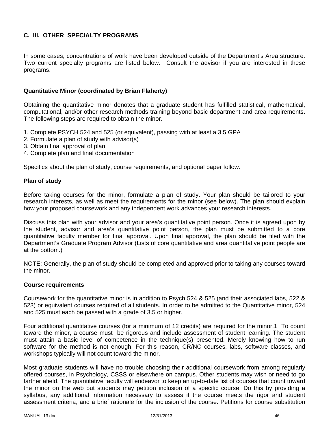## **C. III. OTHER SPECIALTY PROGRAMS**

In some cases, concentrations of work have been developed outside of the Department's Area structure. Two current specialty programs are listed below. Consult the advisor if you are interested in these programs.

#### **Quantitative Minor (coordinated by Brian Flaherty)**

Obtaining the quantitative minor denotes that a graduate student has fulfilled statistical, mathematical, computational, and/or other research methods training beyond basic department and area requirements. The following steps are required to obtain the minor.

- 1. Complete PSYCH 524 and 525 (or equivalent), passing with at least a 3.5 GPA
- 2. Formulate a plan of study with advisor(s)
- 3. Obtain final approval of plan
- 4. Complete plan and final documentation

Specifics about the plan of study, course requirements, and optional paper follow.

#### **Plan of study**

Before taking courses for the minor, formulate a plan of study. Your plan should be tailored to your research interests, as well as meet the requirements for the minor (see below). The plan should explain how your proposed coursework and any independent work advances your research interests.

Discuss this plan with your advisor and your area's quantitative point person. Once it is agreed upon by the student, advisor and area's quantitative point person, the plan must be submitted to a core quantitative faculty member for final approval. Upon final approval, the plan should be filed with the Department's Graduate Program Advisor (Lists of core quantitative and area quantitative point people are at the bottom.)

NOTE: Generally, the plan of study should be completed and approved prior to taking any courses toward the minor.

#### **Course requirements**

Coursework for the quantitative minor is in addition to Psych 524 & 525 (and their associated labs, 522 & 523) or equivalent courses required of all students. In order to be admitted to the Quantitative minor, 524 and 525 must each be passed with a grade of 3.5 or higher.

Four additional quantitative courses (for a minimum of 12 credits) are required for the minor.1 To count toward the minor, a course must be rigorous and include assessment of student learning. The student must attain a basic level of competence in the technique(s) presented. Merely knowing how to run software for the method is not enough. For this reason, CR/NC courses, labs, software classes, and workshops typically will not count toward the minor.

Most graduate students will have no trouble choosing their additional coursework from among regularly offered courses, in Psychology, CSSS or elsewhere on campus. Other students may wish or need to go farther afield. The quantitative faculty will endeavor to keep an up-to-date list of courses that count toward the minor on the web but students may petition inclusion of a specific course. Do this by providing a syllabus, any additional information necessary to assess if the course meets the rigor and student assessment criteria, and a brief rationale for the inclusion of the course. Petitions for course substitution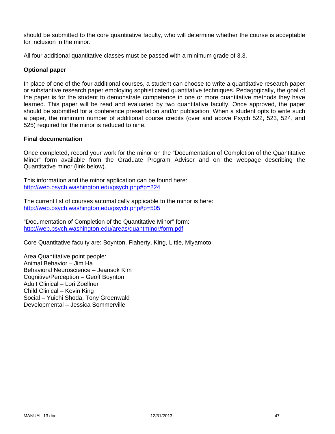should be submitted to the core quantitative faculty, who will determine whether the course is acceptable for inclusion in the minor.

All four additional quantitative classes must be passed with a minimum grade of 3.3.

## **Optional paper**

In place of one of the four additional courses, a student can choose to write a quantitative research paper or substantive research paper employing sophisticated quantitative techniques. Pedagogically, the goal of the paper is for the student to demonstrate competence in one or more quantitative methods they have learned. This paper will be read and evaluated by two quantitative faculty. Once approved, the paper should be submitted for a conference presentation and/or publication. When a student opts to write such a paper, the minimum number of additional course credits (over and above Psych 522, 523, 524, and 525) required for the minor is reduced to nine.

#### **Final documentation**

Once completed, record your work for the minor on the "Documentation of Completion of the Quantitative Minor" form available from the Graduate Program Advisor and on the webpage describing the Quantitative minor (link below).

This information and the minor application can be found here: http://web.psych.washington.edu/psych.php#p=224

The current list of courses automatically applicable to the minor is here: http://web.psych.washington.edu/psych.php#p=505

"Documentation of Completion of the Quantitative Minor" form: http://web.psych.washington.edu/areas/quantminor/form.pdf

Core Quantitative faculty are: Boynton, Flaherty, King, Little, Miyamoto.

Area Quantitative point people: Animal Behavior – Jim Ha Behavioral Neuroscience – Jeansok Kim Cognitive/Perception – Geoff Boynton Adult Clinical – Lori Zoellner Child Clinical – Kevin King Social – Yuichi Shoda, Tony Greenwald Developmental – Jessica Sommerville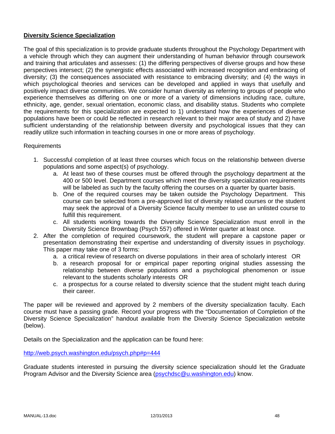## **Diversity Science Specialization**

The goal of this specialization is to provide graduate students throughout the Psychology Department with a vehicle through which they can augment their understanding of human behavior through coursework and training that articulates and assesses: (1) the differing perspectives of diverse groups and how these perspectives intersect; (2) the synergistic effects associated with increased recognition and embracing of diversity; (3) the consequences associated with resistance to embracing diversity; and (4) the ways in which psychological theories and services can be developed and applied in ways that usefully and positively impact diverse communities. We consider human diversity as referring to groups of people who experience themselves as differing on one or more of a variety of dimensions including race, culture, ethnicity, age, gender, sexual orientation, economic class, and disability status. Students who complete the requirements for this specialization are expected to 1) understand how the experiences of diverse populations have been or could be reflected in research relevant to their major area of study and 2) have sufficient understanding of the relationship between diversity and psychological issues that they can readily utilize such information in teaching courses in one or more areas of psychology.

#### Requirements

- 1. Successful completion of at least three courses which focus on the relationship between diverse populations and some aspect(s) of psychology.
	- a. At least two of these courses must be offered through the psychology department at the 400 or 500 level. Department courses which meet the diversity specialization requirements will be labeled as such by the faculty offering the courses on a quarter by quarter basis.
	- b. One of the required courses may be taken outside the Psychology Department. This course can be selected from a pre-approved list of diversity related courses or the student may seek the approval of a Diversity Science faculty member to use an unlisted course to fulfill this requirement.
	- c. All students working towards the Diversity Science Specialization must enroll in the Diversity Science Brownbag (Psych 557) offered in Winter quarter at least once.
- 2. After the completion of required coursework, the student will prepare a capstone paper or presentation demonstrating their expertise and understanding of diversity issues in psychology. This paper may take one of 3 forms:
	- a. a critical review of research on diverse populations in their area of scholarly interest OR
	- b. a research proposal for or empirical paper reporting original studies assessing the relationship between diverse populations and a psychological phenomenon or issue relevant to the students scholarly interests OR
	- c. a prospectus for a course related to diversity science that the student might teach during their career.

The paper will be reviewed and approved by 2 members of the diversity specialization faculty. Each course must have a passing grade. Record your progress with the "Documentation of Completion of the Diversity Science Specialization" handout available from the Diversity Science Specialization website (below).

Details on the Specialization and the application can be found here:

http://web.psych.washington.edu/psych.php#p=444

Graduate students interested in pursuing the diversity science specialization should let the Graduate Program Advisor and the Diversity Science area (psychdsc@u.washington.edu) know.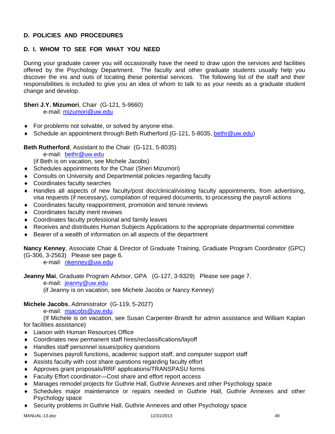## **D. POLICIES AND PROCEDURES**

# **D. I. WHOM TO SEE FOR WHAT YOU NEED**

During your graduate career you will occasionally have the need to draw upon the services and facilities offered by the Psychology Department. The faculty and other graduate students usually help you discover the ins and outs of locating these potential services. The following list of the staff and their responsibilities is included to give you an idea of whom to talk to as your needs as a graduate student change and develop.

## **Sheri J.Y. Mizumori**, Chair (G-121, 5-9660)

e-mail: mizumori@uw.edu

- For problems not solvable, or solved by anyone else.
- ◆ Schedule an appointment through Beth Rutherford (G-121, 5-8035, bethr@uw.edu)

## **Beth Rutherford**, Assistant to the Chair (G-121, 5-8035)

e-mail: bethr@uw.edu

(if Beth is on vacation, see Michele Jacobs)

- Schedules appointments for the Chair (Sheri Mizumori)
- Consults on University and Departmental policies regarding faculty
- Coordinates faculty searches
- Handles all aspects of new faculty/post doc/clinical/visiting faculty appointments, from advertising, visa requests (if necessary), compilation of required documents, to processing the payroll actions
- Coordinates faculty reappointment, promotion and tenure reviews
- Coordinates faculty merit reviews
- Coordinates faculty professional and family leaves
- Receives and distributes Human Subjects Applications to the appropriate departmental committee
- ◆ Bearer of a wealth of information on all aspects of the department

**Nancy Kenney**, Associate Chair & Director of Graduate Training, Graduate Program Coordinator (GPC) (G-306, 3-2563) Please see page 6.

e-mail: nkenney@uw.edu

**Jeanny Mai**, Graduate Program Advisor, GPA (G-127, 3-9329) Please see page 7.

e-mail: jeanny@uw.edu

(if Jeanny is on vacation, see Michele Jacobs or Nancy Kenney)

#### **Michele Jacobs**, Administrator (G-119, 5-2027)

e-mail: mjacobs@uw.edu

 (If Michele is on vacation, see Susan Carpenter-Brandt for admin assistance and William Kaplan for facilities assistance)

- Liaison with Human Resources Office
- Coordinates new permanent staff hires/reclassifications/layoff
- Handles staff personnel issues/policy questions
- Supervises payroll functions, academic support staff, and computer support staff
- Assists faculty with cost share questions regarding faculty effort
- Approves grant proposals/RRF applications/TRANSPASU forms
- Faculty Effort coordinator—Cost share and effort report access
- Manages remodel projects for Guthrie Hall, Guthrie Annexes and other Psychology space
- Schedules major maintenance or repairs needed in Guthrie Hall, Guthrie Annexes and other Psychology space
- Security problems in Guthrie Hall, Guthrie Annexes and other Psychology space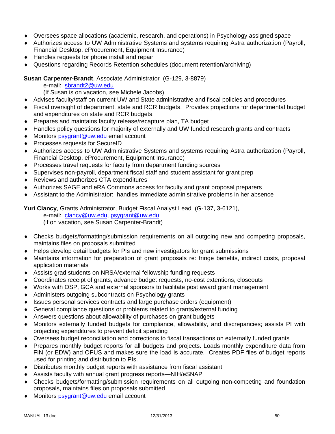- Oversees space allocations (academic, research, and operations) in Psychology assigned space
- Authorizes access to UW Administrative Systems and systems requiring Astra authorization (Payroll, Financial Desktop, eProcurement, Equipment Insurance)
- Handles requests for phone install and repair
- Questions regarding Records Retention schedules (document retention/archiving)

## **Susan Carpenter-Brandt**, Associate Administrator (G-129, 3-8879)

e-mail: sbrandt2@uw.edu

(If Susan is on vacation, see Michele Jacobs)

- Advises faculty/staff on current UW and State administrative and fiscal policies and procedures
- Fiscal oversight of department, state and RCR budgets. Provides projections for departmental budget and expenditures on state and RCR budgets.
- ◆ Prepares and maintains faculty release/recapture plan, TA budget
- Handles policy questions for majority of externally and UW funded research grants and contracts
- ◆ Monitors psygrant@uw.edu email account
- ◆ Processes requests for SecureID
- Authorizes access to UW Administrative Systems and systems requiring Astra authorization (Payroll, Financial Desktop, eProcurement, Equipment Insurance)
- Processes travel requests for faculty from department funding sources
- Supervises non-payroll, department fiscal staff and student assistant for grant prep
- Reviews and authorizes CTA expenditures
- Authorizes SAGE and eRA Commons access for faculty and grant proposal preparers
- Assistant to the Administrator: handles immediate administrative problems in her absence

**Yuri Clancy**, Grants Administrator, Budget Fiscal Analyst Lead (G-137, 3-6121),

e-mail: clancy@uw.edu, psygrant@uw.edu

(if on vacation, see Susan Carpenter-Brandt)

- Checks budgets/formatting/submission requirements on all outgoing new and competing proposals, maintains files on proposals submitted
- Helps develop detail budgets for PIs and new investigators for grant submissions
- Maintains information for preparation of grant proposals re: fringe benefits, indirect costs, proposal application materials
- Assists grad students on NRSA/external fellowship funding requests
- Coordinates receipt of grants, advance budget requests, no-cost extentions, closeouts
- Works with OSP, GCA and external sponsors to facilitate post award grant management
- ◆ Administers outgoing subcontracts on Psychology grants
- Issues personal services contracts and large purchase orders (equipment)
- General compliance questions or problems related to grants/external funding
- Answers questions about allowability of purchases on grant budgets
- Monitors externally funded budgets for compliance, allowability, and discrepancies; assists PI with projecting expenditures to prevent deficit spending
- Oversees budget reconciliation and corrections to fiscal transactions on externally funded grants
- Prepares monthly budget reports for all budgets and projects. Loads monthly expenditure data from FIN (or EDW) and OPUS and makes sure the load is accurate. Creates PDF files of budget reports used for printing and distribution to PIs.
- Distributes monthly budget reports with assistance from fiscal assistant
- Assists faculty with annual grant progress reports—NIH/eSNAP
- Checks budgets/formatting/submission requirements on all outgoing non-competing and foundation proposals, maintains files on proposals submitted
- ◆ Monitors psygrant@uw.edu email account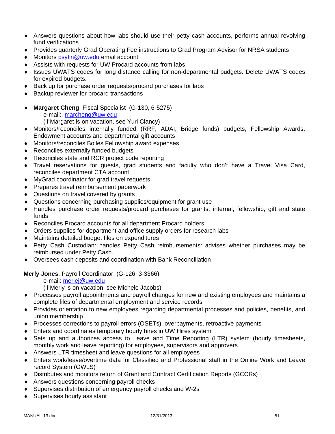- Answers questions about how labs should use their petty cash accounts, performs annual revolving fund verifications
- Provides quarterly Grad Operating Fee instructions to Grad Program Advisor for NRSA students
- ♦ Monitors psyfin@uw.edu email account
- Assists with requests for UW Procard accounts from labs
- Issues UWATS codes for long distance calling for non-departmental budgets. Delete UWATS codes for expired budgets.
- Back up for purchase order requests/procard purchases for labs
- ◆ Backup reviewer for procard transactions
- **Margaret Cheng**, Fiscal Specialist (G-130, 6-5275)
	- e-mail: marcheng@uw.edu (if Margaret is on vacation, see Yuri Clancy)
- Monitors/reconciles internally funded (RRF, ADAI, Bridge funds) budgets, Fellowship Awards, Endowment accounts and departmental gift accounts
- Monitors/reconciles Bolles Fellowship award expenses
- ◆ Reconciles externally funded budgets
- ◆ Reconciles state and RCR project code reporting
- Travel reservations for guests, grad students and faculty who don't have a Travel Visa Card, reconciles department CTA account
- MyGrad coordinator for grad travel requests
- ◆ Prepares travel reimbursement paperwork
- ◆ Questions on travel covered by grants
- Questions concerning purchasing supplies/equipment for grant use
- Handles purchase order requests/procard purchases for grants, internal, fellowship, gift and state funds
- Reconciles Procard accounts for all department Procard holders
- Orders supplies for department and office supply orders for research labs
- Maintains detailed budget files on expenditures
- Petty Cash Custodian: handles Petty Cash reimbursements: advises whether purchases may be reimbursed under Petty Cash.
- Oversees cash deposits and coordination with Bank Reconciliation

**Merly Jones**, Payroll Coordinator (G-126, 3-3366)

e-mail: merlej@uw.edu

(if Merly is on vacation, see Michele Jacobs)

- Processes payroll appointments and payroll changes for new and existing employees and maintains a complete files of departmental employment and service records
- Provides orientation to new employees regarding departmental processes and policies, benefits, and union membership
- Processes corrections to payroll errors (OSETs), overpayments, retroactive payments
- Enters and coordinates temporary hourly hires in UW Hires system
- Sets up and authorizes access to Leave and Time Reporting (LTR) system (hourly timesheets, monthly work and leave reporting) for employees, supervisors and approvers
- Answers LTR timesheet and leave questions for all employees
- Enters work/leave/overtime data for Classified and Professional staff in the Online Work and Leave record System (OWLS)
- Distributes and monitors return of Grant and Contract Certification Reports (GCCRs)
- Answers questions concerning payroll checks
- Supervises distribution of emergency payroll checks and W-2s
- ◆ Supervises hourly assistant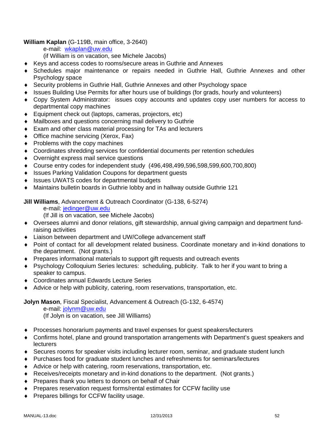## **William Kaplan** (G-119B, main office, 3-2640)

e-mail: wkaplan@uw.edu

(if William is on vacation, see Michele Jacobs)

- Keys and access codes to rooms/secure areas in Guthrie and Annexes
- Schedules major maintenance or repairs needed in Guthrie Hall, Guthrie Annexes and other Psychology space
- Security problems in Guthrie Hall, Guthrie Annexes and other Psychology space
- Issues Building Use Permits for after hours use of buildings (for grads, hourly and volunteers)
- Copy System Administrator: issues copy accounts and updates copy user numbers for access to departmental copy machines
- Equipment check out (laptops, cameras, projectors, etc)
- Mailboxes and questions concerning mail delivery to Guthrie
- Exam and other class material processing for TAs and lecturers
- ◆ Office machine servicing (Xerox, Fax)
- $\bullet$  Problems with the copy machines
- Coordinates shredding services for confidential documents per retention schedules
- Overnight express mail service questions
- Course entry codes for independent study (496,498,499,596,598,599,600,700,800)
- ◆ Issues Parking Validation Coupons for department guests
- ◆ Issues UWATS codes for departmental budgets
- Maintains bulletin boards in Guthrie lobby and in hallway outside Guthrie 121

## **Jill Williams**, Advancement & Outreach Coordinator (G-138, 6-5274)

e-mail: jedinger@uw.edu

(If Jill is on vacation, see Michele Jacobs)

- Oversees alumni and donor relations, gift stewardship, annual giving campaign and department fundraising activities
- Liaison between department and UW/College advancement staff
- Point of contact for all development related business. Coordinate monetary and in-kind donations to the department. (Not grants.)
- Prepares informational materials to support gift requests and outreach events
- Psychology Colloquium Series lectures: scheduling, publicity. Talk to her if you want to bring a speaker to campus.
- Coordinates annual Edwards Lecture Series
- Advice or help with publicity, catering, room reservations, transportation, etc.

**Jolyn Mason**, Fiscal Specialist, Advancement & Outreach (G-132, 6-4574)

e-mail: jolynm@uw.edu

(If Jolyn is on vacation, see Jill Williams)

- Processes honorarium payments and travel expenses for guest speakers/lecturers
- Confirms hotel, plane and ground transportation arrangements with Department's guest speakers and **lecturers**
- Secures rooms for speaker visits including lecturer room, seminar, and graduate student lunch
- Purchases food for graduate student lunches and refreshments for seminars/lectures
- Advice or help with catering, room reservations, transportation, etc.
- Receives/receipts monetary and in-kind donations to the department. (Not grants.)
- ◆ Prepares thank you letters to donors on behalf of Chair
- Prepares reservation request forms/rental estimates for CCFW facility use
- ◆ Prepares billings for CCFW facility usage.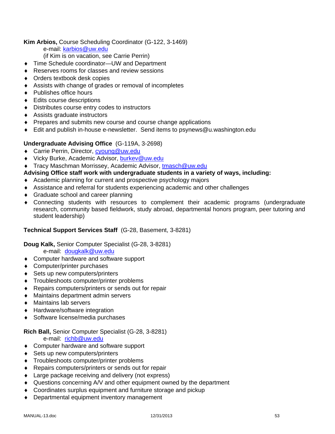## **Kim Arbios,** Course Scheduling Coordinator (G-122, 3-1469)

e-mail: karbios@uw.edu

- (if Kim is on vacation, see Carrie Perrin)
- ◆ Time Schedule coordinator—UW and Department
- Reserves rooms for classes and review sessions
- Orders textbook desk copies
- Assists with change of grades or removal of incompletes
- ◆ Publishes office hours
- ◆ Edits course descriptions
- Distributes course entry codes to instructors
- Assists graduate instructors
- **Prepares and submits new course and course change applications**
- Edit and publish in-house e-newsletter. Send items to psynews@u.washington.edu

## **Undergraduate Advising Office** (G-119A, 3-2698)

- ◆ Carrie Perrin, Director, cyoung@uw.edu
- ◆ Vicky Burke, Academic Advisor, burkey@uw.edu
- ◆ Tracy Maschman Morrissey, Academic Advisor, tmasch@uw.edu

## **Advising Office staff work with undergraduate students in a variety of ways, including:**

- Academic planning for current and prospective psychology majors
- Assistance and referral for students experiencing academic and other challenges
- ◆ Graduate school and career planning
- Connecting students with resources to complement their academic programs (undergraduate research, community based fieldwork, study abroad, departmental honors program, peer tutoring and student leadership)

## **Technical Support Services Staff** (G-28, Basement, 3-8281)

## **Doug Kalk,** Senior Computer Specialist (G-28, 3-8281)

e-mail: dougkalk@uw.edu

- ◆ Computer hardware and software support
- ◆ Computer/printer purchases
- ◆ Sets up new computers/printers
- Troubleshoots computer/printer problems
- ◆ Repairs computers/printers or sends out for repair
- Maintains department admin servers
- Maintains lab servers
- ◆ Hardware/software integration
- ◆ Software license/media purchases

## **Rich Ball,** Senior Computer Specialist (G-28, 3-8281)

e-mail: richb@uw.edu

- ◆ Computer hardware and software support
- ◆ Sets up new computers/printers
- Troubleshoots computer/printer problems
- Repairs computers/printers or sends out for repair
- ◆ Large package receiving and delivery (not express)
- Questions concerning A/V and other equipment owned by the department
- Coordinates surplus equipment and furniture storage and pickup
- Departmental equipment inventory management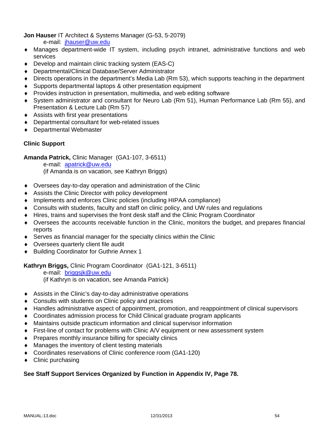**Jon Hauser** IT Architect & Systems Manager (G-53, 5-2079)

e-mail: jhauser@uw.edu

- Manages department-wide IT system, including psych intranet, administrative functions and web services
- ◆ Develop and maintain clinic tracking system (EAS-C)
- Departmental/Clinical Database/Server Administrator
- Directs operations in the department's Media Lab (Rm 53), which supports teaching in the department
- Supports departmental laptops & other presentation equipment
- Provides instruction in presentation, multimedia, and web editing software
- System administrator and consultant for Neuro Lab (Rm 51), Human Performance Lab (Rm 55), and Presentation & Lecture Lab (Rm 57)
- Assists with first year presentations
- Departmental consultant for web-related issues
- Departmental Webmaster

## **Clinic Support**

**Amanda Patrick,** Clinic Manager (GA1-107, 3-6511)

e-mail: apatrick@uw.edu

(if Amanda is on vacation, see Kathryn Briggs)

- Oversees day-to-day operation and administration of the Clinic
- Assists the Clinic Director with policy development
- Implements and enforces Clinic policies (including HIPAA compliance)
- Consults with students, faculty and staff on clinic policy, and UW rules and regulations
- Hires, trains and supervises the front desk staff and the Clinic Program Coordinator
- Oversees the accounts receivable function in the Clinic, monitors the budget, and prepares financial reports
- Serves as financial manager for the specialty clinics within the Clinic
- Oversees quarterly client file audit
- ◆ Building Coordinator for Guthrie Annex 1

#### **Kathryn Briggs,** Clinic Program Coordinator (GA1-121, 3-6511)

 e-mail: briggsjk@uw.edu (if Kathryn is on vacation, see Amanda Patrick)

- Assists in the Clinic's day-to-day administrative operations
- ◆ Consults with students on Clinic policy and practices
- Handles administrative aspect of appointment, promotion, and reappointment of clinical supervisors
- Coordinates admission process for Child Clinical graduate program applicants
- Maintains outside practicum information and clinical supervisor information
- First-line of contact for problems with Clinic A/V equipment or new assessment system
- Prepares monthly insurance billing for specialty clinics
- Manages the inventory of client testing materials
- Coordinates reservations of Clinic conference room (GA1-120)
- $\triangleleft$  Clinic purchasing

## **See Staff Support Services Organized by Function in Appendix IV, Page 78.**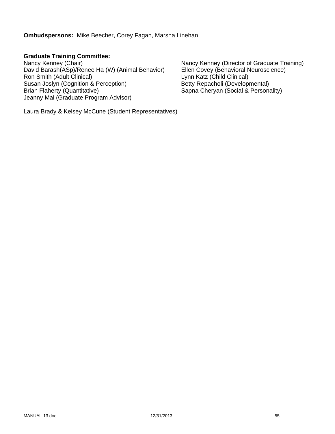**Ombudspersons:** Mike Beecher, Corey Fagan, Marsha Linehan

# **Graduate Training Committee:**

David Barash(ASp)/Renee Ha (W) (Animal Behavior) Ellen Covey (Behavioral N<br>Ron Smith (Adult Clinical) Lynn Katz (Child Clinical) Ron Smith (Adult Clinical) Susan Joslyn (Cognition & Perception)<br>
Betty Repacholi (Developmental)<br>
Brian Flaherty (Quantitative)<br>
Sapna Cheryan (Social & Persona Jeanny Mai (Graduate Program Advisor)

Nancy Kenney (Chair)<br>David Barash(ASp)/Renee Ha (W) (Animal Behavior) Ellen Covey (Behavioral Neuroscience) Sapna Cheryan (Social & Personality)

Laura Brady & Kelsey McCune (Student Representatives)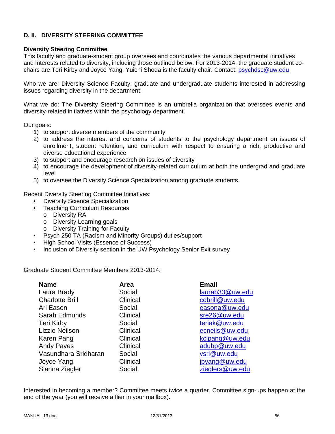## **D. II. DIVERSITY STEERING COMMITTEE**

#### **Diversity Steering Committee**

This faculty and graduate-student group oversees and coordinates the various departmental initiatives and interests related to diversity, including those outlined below. For 2013-2014, the graduate student cochairs are Teri Kirby and Joyce Yang. Yuichi Shoda is the faculty chair. Contact: psychdsc@uw.edu

Who we are: Diversity Science Faculty, graduate and undergraduate students interested in addressing issues regarding diversity in the department.

What we do: The Diversity Steering Committee is an umbrella organization that oversees events and diversity-related initiatives within the psychology department.

Our goals:

- 1) to support diverse members of the community
- 2) to address the interest and concerns of students to the psychology department on issues of enrollment, student retention, and curriculum with respect to ensuring a rich, productive and diverse educational experience
- 3) to support and encourage research on issues of diversity
- 4) to encourage the development of diversity-related curriculum at both the undergrad and graduate level
- 5) to oversee the Diversity Science Specialization among graduate students.

Recent Diversity Steering Committee Initiatives:

- Diversity Science Specialization
- Teaching Curriculum Resources
	- o Diversity RA
	- o Diversity Learning goals
	- o Diversity Training for Faculty
- Psych 250 TA (Racism and Minority Groups) duties/support
- High School Visits (Essence of Success)
- Inclusion of Diversity section in the UW Psychology Senior Exit survey

Graduate Student Committee Members 2013-2014:

| Area     | <b>Email</b>                |
|----------|-----------------------------|
| Social   | laurab <sub>33@uw.edu</sub> |
| Clinical | cdbrill@uw.edu              |
| Social   | easona@uw.edu               |
| Clinical | sre26@uw.edu                |
| Social   | teriak@uw.edu               |
| Clinical | ecneils@uw.edu              |
| Clinical | kclpang@uw.edu              |
| Clinical | adubp@uw.edu                |
| Social   | vsri@uw.edu                 |
| Clinical | jpyang@uw.edu               |
| Social   | zieglers@uw.edu             |
|          |                             |

Interested in becoming a member? Committee meets twice a quarter. Committee sign-ups happen at the end of the year (you will receive a flier in your mailbox).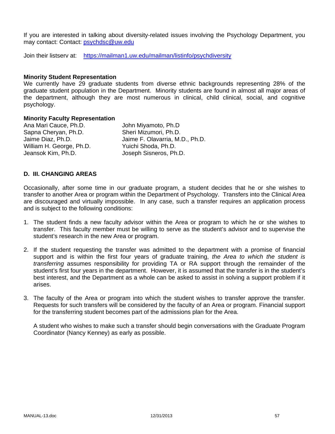If you are interested in talking about diversity-related issues involving the Psychology Department, you may contact: Contact: psychdsc@uw.edu

Join their listserv at: https://mailman1.uw.edu/mailman/listinfo/psychdiversity

#### **Minority Student Representation**

We currently have 29 graduate students from diverse ethnic backgrounds representing 28% of the graduate student population in the Department. Minority students are found in almost all major areas of the department, although they are most numerous in clinical, child clinical, social, and cognitive psychology.

#### **Minority Faculty Representation**

Ana Mari Cauce, Ph.D. John Miyamoto, Ph.D Sapna Cheryan, Ph.D. Sheri Mizumori, Ph.D. William H. George, Ph.D. Yuichi Shoda, Ph.D. Jeansok Kim, Ph.D. Joseph Sisneros, Ph.D.

Jaime Diaz, Ph.D. Jaime F. Olavarria, M.D., Ph.D.

## **D. III. CHANGING AREAS**

Occasionally, after some time in our graduate program, a student decides that he or she wishes to transfer to another Area or program within the Department of Psychology. Transfers into the Clinical Area are discouraged and virtually impossible. In any case, such a transfer requires an application process and is subject to the following conditions:

- 1. The student finds a new faculty advisor within the Area or program to which he or she wishes to transfer. This faculty member must be willing to serve as the student's advisor and to supervise the student's research in the new Area or program.
- 2. If the student requesting the transfer was admitted to the department with a promise of financial support and is within the first four years of graduate training, *the Area to which the student is transferring* assumes responsibility for providing TA or RA support through the remainder of the student's first four years in the department. However, it is assumed that the transfer is in the student's best interest, and the Department as a whole can be asked to assist in solving a support problem if it arises.
- 3. The faculty of the Area or program into which the student wishes to transfer approve the transfer. Requests for such transfers will be considered by the faculty of an Area or program. Financial support for the transferring student becomes part of the admissions plan for the Area.

 A student who wishes to make such a transfer should begin conversations with the Graduate Program Coordinator (Nancy Kenney) as early as possible.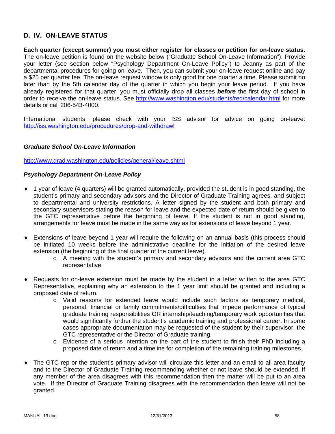## **D. IV. ON-LEAVE STATUS**

**Each quarter (except summer) you must either register for classes or petition for on-leave status.** The on-leave petition is found on the website below ("Graduate School On-Leave Information"). Provide your letter (see section below "Psychology Department On-Leave Policy") to Jeanny as part of the departmental procedures for going on-leave. Then, you can submit your on-leave request online and pay a \$25 per quarter fee. The on-leave request window is only good for one quarter a time. Please submit no later than by the 5th calendar day of the quarter in which you begin your leave period. If you have already registered for that quarter, you must officially drop all classes *before* the first day of school in order to receive the on-leave status. See http://www.washington.edu/students/reg/calendar.html for more details or call 206-543-4000.

International students, please check with your ISS advisor for advice on going on-leave: http://iss.washington.edu/procedures/drop-and-withdrawl

#### *Graduate School On-Leave Information*

http://www.grad.washington.edu/policies/general/leave.shtml

#### *Psychology Department On-Leave Policy*

- 1 year of leave (4 quarters) will be granted automatically, provided the student is in good standing, the student's primary and secondary advisors and the Director of Graduate Training agrees, and subject to departmental and university restrictions. A letter signed by the student and both primary and secondary supervisors stating the reason for leave and the expected date of return should be given to the GTC representative before the beginning of leave. If the student is not in good standing, arrangements for leave must be made in the same way as for extensions of leave beyond 1 year.
- Extensions of leave beyond 1 year will require the following on an annual basis (this process should be initiated 10 weeks before the administrative deadline for the initiation of the desired leave extension (the beginning of the final quarter of the current leave).
	- o A meeting with the student's primary and secondary advisors and the current area GTC representative.
- Requests for on-leave extension must be made by the student in a letter written to the area GTC Representative, explaining why an extension to the 1 year limit should be granted and including a proposed date of return.
	- o Valid reasons for extended leave would include such factors as temporary medical, personal, financial or family commitments/difficulties that impede performance of typical graduate training responsibilities OR internship/teaching/temporary work opportunities that would significantly further the student's academic training and professional career. In some cases appropriate documentation may be requested of the student by their supervisor, the GTC representative or the Director of Graduate training.
	- o Evidence of a serious intention on the part of the student to finish their PhD including a proposed date of return and a timeline for completion of the remaining training milestones.
- The GTC rep or the student's primary advisor will circulate this letter and an email to all area faculty and to the Director of Graduate Training recommending whether or not leave should be extended. If any member of the area disagrees with this recommendation then the matter will be put to an area vote. If the Director of Graduate Training disagrees with the recommendation then leave will not be granted.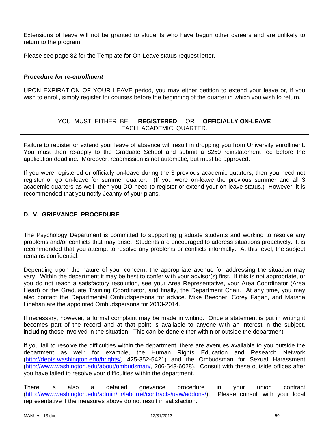Extensions of leave will not be granted to students who have begun other careers and are unlikely to return to the program.

Please see page 82 for the Template for On-Leave status request letter.

## *Procedure for re-enrollment*

UPON EXPIRATION OF YOUR LEAVE period, you may either petition to extend your leave or, if you wish to enroll, simply register for courses before the beginning of the quarter in which you wish to return.

## YOU MUST EITHER BE **REGISTERED** OR **OFFICIALLY ON-LEAVE** EACH ACADEMIC QUARTER.

Failure to register or extend your leave of absence will result in dropping you from University enrollment. You must then re-apply to the Graduate School and submit a \$250 reinstatement fee before the application deadline. Moreover, readmission is not automatic, but must be approved.

If you were registered or officially on-leave during the 3 previous academic quarters, then you need not register or go on-leave for summer quarter. (If you were on-leave the previous summer and all 3 academic quarters as well, then you DO need to register or extend your on-leave status.) However, it is recommended that you notify Jeanny of your plans.

## **D. V. GRIEVANCE PROCEDURE**

The Psychology Department is committed to supporting graduate students and working to resolve any problems and/or conflicts that may arise. Students are encouraged to address situations proactively. It is recommended that you attempt to resolve any problems or conflicts informally. At this level, the subject remains confidential.

Depending upon the nature of your concern, the appropriate avenue for addressing the situation may vary. Within the department it may be best to confer with your advisor(s) first. If this is not appropriate, or you do not reach a satisfactory resolution, see your Area Representative, your Area Coordinator (Area Head) or the Graduate Training Coordinator, and finally, the Department Chair. At any time, you may also contact the Departmental Ombudspersons for advice. Mike Beecher, Corey Fagan, and Marsha Linehan are the appointed Ombudspersons for 2013-2014.

If necessary, however, a formal complaint may be made in writing. Once a statement is put in writing it becomes part of the record and at that point is available to anyone with an interest in the subject, including those involved in the situation. This can be done either within or outside the department.

If you fail to resolve the difficulties within the department, there are avenues available to you outside the department as well; for example, the Human Rights Education and Research Network (http://depts.washington.edu/hrights/, 425-352-5421) and the Ombudsman for Sexual Harassment (http://www.washington.edu/about/ombudsman/, 206-543-6028). Consult with these outside offices after you have failed to resolve your difficulties within the department.

There is also a detailed grievance procedure in your union contract (http://www.washington.edu/admin/hr/laborrel/contracts/uaw/addons/). Please consult with your local representative if the measures above do not result in satisfaction.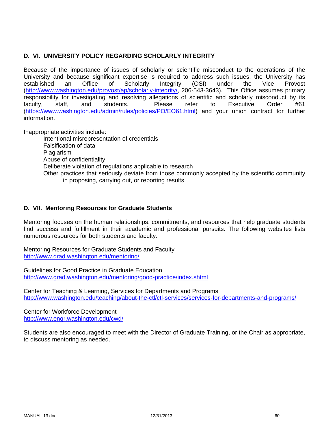## **D. VI. UNIVERSITY POLICY REGARDING SCHOLARLY INTEGRITY**

Because of the importance of issues of scholarly or scientific misconduct to the operations of the University and because significant expertise is required to address such issues, the University has established an Office of Scholarly Integrity (OSI) under the Vice Provost (http://www.washington.edu/provost/ap/scholarly-integrity/, 206-543-3643). This Office assumes primary responsibility for investigating and resolving allegations of scientific and scholarly misconduct by its faculty, staff, and students. Please refer to Executive Order #61 (https://www.washington.edu/admin/rules/policies/PO/EO61.html) and your union contract for further information.

Inappropriate activities include:

Intentional misrepresentation of credentials Falsification of data Plagiarism Abuse of confidentiality Deliberate violation of regulations applicable to research Other practices that seriously deviate from those commonly accepted by the scientific community in proposing, carrying out, or reporting results

## **D. VII. Mentoring Resources for Graduate Students**

Mentoring focuses on the human relationships, commitments, and resources that help graduate students find success and fulfillment in their academic and professional pursuits. The following websites lists numerous resources for both students and faculty.

Mentoring Resources for Graduate Students and Faculty http://www.grad.washington.edu/mentoring/

Guidelines for Good Practice in Graduate Education http://www.grad.washington.edu/mentoring/good-practice/index.shtml

Center for Teaching & Learning, Services for Departments and Programs http://www.washington.edu/teaching/about-the-ctl/ctl-services/services-for-departments-and-programs/

Center for Workforce Development http://www.engr.washington.edu/cwd/

Students are also encouraged to meet with the Director of Graduate Training, or the Chair as appropriate, to discuss mentoring as needed.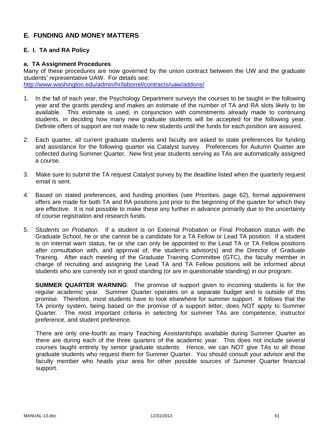## **E. FUNDING AND MONEY MATTERS**

## **E. I. TA and RA Policy**

#### **a. TA Assignment Procedures**

Many of these procedures are now governed by the union contract between the UW and the graduate students' representative UAW. For details see: http://www.washington.edu/admin/hr/laborrel/contracts/uaw/addons/

- 1. In the fall of each year, the Psychology Department surveys the courses to be taught in the following year and the grants pending and makes an estimate of the number of TA and RA slots likely to be available. This estimate is used, in conjunction with commitments already made to continuing students, in deciding how many new graduate students will be accepted for the following year. Definite offers of support are not made to new students until the funds for each position are assured.
- 2. Each quarter, all current graduate students and faculty are asked to state preferences for funding and assistance for the following quarter via Catalyst survey. Preferences for Autumn Quarter are collected during Summer Quarter. New first year students serving as TAs are automatically assigned a course.
- 3. Make sure to submit the TA request Catalyst survey by the deadline listed when the quarterly request email is sent.
- 4. Based on stated preferences, and funding priorities (see Priorities, page 62), formal appointment offers are made for both TA and RA positions just prior to the beginning of the quarter for which they are effective. It is not possible to make these any further in advance primarily due to the uncertainty of course registration and research funds.
- 5. *Students on Probation.* If a student is on External Probation or Final Probation status with the Graduate School, he or she cannot be a candidate for a TA Fellow or Lead TA position. If a student is on internal warn status, he or she can only be appointed to the Lead TA or TA Fellow positions after consultation with, and approval of, the student's advisor(s) and the Director of Graduate Training. After each meeting of the Graduate Training Committee (GTC), the faculty member in charge of recruiting and assigning the Lead TA and TA Fellow positions will be informed about students who are currently not in good standing (or are in questionable standing) in our program.

**SUMMER QUARTER WARNING**: The promise of support given to incoming students is for the regular academic year. Summer Quarter operates on a separate budget and is outside of this promise. Therefore, most students have to look elsewhere for summer support. It follows that the TA priority system, being based on the promise of a support letter, does NOT apply to Summer Quarter. The most important criteria in selecting for summer TAs are competence, instructor preference, and student preference.

There are only one-fourth as many Teaching Assistantships available during Summer Quarter as there are during each of the three quarters of the academic year. This does not include several courses taught entirely by senior graduate students. Hence, we can NOT give TAs to all those graduate students who request them for Summer Quarter. You should consult your advisor and the faculty member who heads your area for other possible sources of Summer Quarter financial support.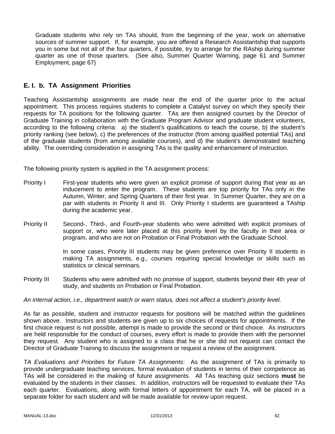Graduate students who rely on TAs should, from the beginning of the year, work on alternative sources of summer support. If, for example, you are offered a Research Assistantship that supports you in some but not all of the four quarters, if possible, try to arrange for the RAship during summer quarter as one of those quarters. (See also, Summer Quarter Warning, page 61 and Summer Employment, page 67)

## **E. I. b. TA Assignment Priorities**

Teaching Assistantship assignments are made near the end of the quarter prior to the actual appointment. This process requires students to complete a Catalyst survey on which they specify their requests for TA positions for the following quarter. TAs are then assigned courses by the Director of Graduate Training in collaboration with the Graduate Program Advisor and graduate student volunteers, according to the following criteria: a) the student's qualifications to teach the course, b) the student's priority ranking (see below), c) the preferences of the instructor (from among qualified potential TAs) and of the graduate students (from among available courses), and d) the student's demonstrated teaching ability. The overriding consideration in assigning TAs is the quality and enhancement of instruction.

The following priority system is applied in the TA assignment process:

- Priority I First-year students who were given an explicit promise of support during that year as an inducement to enter the program. These students are top priority for TAs only in the Autumn, Winter, and Spring Quarters of their first year. In Summer Quarter, they are on a par with students in Priority II and III. Only Priority I students are guaranteed a TAship during the academic year.
- Priority II Second-, Third-, and Fourth-year students who were admitted with explicit promises of support or, who were later placed at this priority level by the faculty in their area or program, and who are not on Probation or Final Probation with the Graduate School.

In some cases, Priority III students may be given preference over Priority II students in making TA assignments, e.g., courses requiring special knowledge or skills such as statistics or clinical seminars.

Priority III Students who were admitted with no promise of support, students beyond their 4th year of study, and students on Probation or Final Probation.

#### *An internal action, i.e., department watch or warn status, does not affect a student's priority level.*

As far as possible, student and instructor requests for positions will be matched within the guidelines shown above. Instructors and students are given up to six choices of requests for appointments. If the first choice request is not possible, attempt is made to provide the second or third choice. As instructors are held responsible for the conduct of courses, every effort is made to provide them with the personnel they request. Any student who is assigned to a class that he or she did not request can contact the Director of Graduate Training to discuss the assignment or request a review of the assignment.

*TA Evaluations and Priorities for Future TA Assignments*: As the assignment of TAs is primarily to provide undergraduate teaching services, formal evaluation of students in terms of their competence as TAs will be considered in the making of future assignments. All TAs teaching quiz sections **must** be evaluated by the students in their classes. In addition, instructors will be requested to evaluate their TAs each quarter. Evaluations, along with formal letters of appointment for each TA, will be placed in a separate folder for each student and will be made available for review upon request.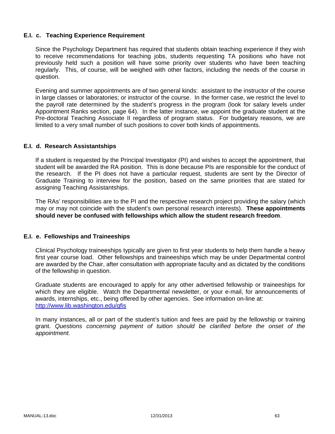#### **E.I. c. Teaching Experience Requirement**

Since the Psychology Department has required that students obtain teaching experience if they wish to receive recommendations for teaching jobs, students requesting TA positions who have not previously held such a position will have some priority over students who have been teaching regularly. This, of course, will be weighed with other factors, including the needs of the course in question.

Evening and summer appointments are of two general kinds: assistant to the instructor of the course in large classes or laboratories; or instructor of the course. In the former case, we restrict the level to the payroll rate determined by the student's progress in the program (look for salary levels under Appointment Ranks section, page 64). In the latter instance, we appoint the graduate student at the Pre-doctoral Teaching Associate II regardless of program status. For budgetary reasons, we are limited to a very small number of such positions to cover both kinds of appointments.

## **E.I. d. Research Assistantships**

If a student is requested by the Principal Investigator (PI) and wishes to accept the appointment, that student will be awarded the RA position. This is done because PIs are responsible for the conduct of the research. If the PI does not have a particular request, students are sent by the Director of Graduate Training to interview for the position, based on the same priorities that are stated for assigning Teaching Assistantships.

The RAs' responsibilities are to the PI and the respective research project providing the salary (which may or may not coincide with the student's own personal research interests). **These appointments should never be confused with fellowships which allow the student research freedom**.

#### **E.I. e. Fellowships and Traineeships**

Clinical Psychology traineeships typically are given to first year students to help them handle a heavy first year course load. Other fellowships and traineeships which may be under Departmental control are awarded by the Chair, after consultation with appropriate faculty and as dictated by the conditions of the fellowship in question.

Graduate students are encouraged to apply for any other advertised fellowship or traineeships for which they are eligible. Watch the Departmental newsletter, or your e-mail, for announcements of awards, internships, etc., being offered by other agencies. See information on-line at: http://www.lib.washington.edu/gfis

In many instances, all or part of the student's tuition and fees are paid by the fellowship or training grant. *Questions concerning payment of tuition should be clarified before the onset of the appointment.*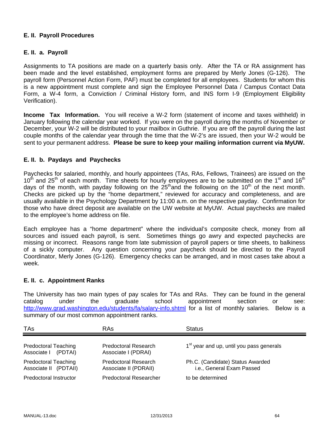## **E. II. Payroll Procedures**

## **E. II. a. Payroll**

Assignments to TA positions are made on a quarterly basis only. After the TA or RA assignment has been made and the level established, employment forms are prepared by Merly Jones (G-126). The payroll form (Personnel Action Form, PAF) must be completed for all employees. Students for whom this is a new appointment must complete and sign the Employee Personnel Data / Campus Contact Data Form, a W-4 form, a Conviction / Criminal History form, and INS form I-9 (Employment Eligibility Verification).

**Income Tax Information.** You will receive a W-2 form (statement of income and taxes withheld) in January following the calendar year worked. If you were on the payroll during the months of November or December, your W-2 will be distributed to your mailbox in Guthrie. If you are off the payroll during the last couple months of the calendar year through the time that the W-2's are issued, then your W-2 would be sent to your permanent address. **Please be sure to keep your mailing information current via MyUW.**

## **E. II. b. Paydays and Paychecks**

Paychecks for salaried, monthly, and hourly appointees (TAs, RAs, Fellows, Trainees) are issued on the  $10<sup>th</sup>$  and 25<sup>th</sup> of each month. Time sheets for hourly employees are to be submitted on the 1<sup>st</sup> and 16<sup>th</sup> days of the month, with payday following on the  $25<sup>th</sup>$  and the following on the 10<sup>th</sup> of the next month. Checks are picked up by the "home department," reviewed for accuracy and completeness, and are usually available in the Psychology Department by 11:00 a.m. on the respective payday. Confirmation for those who have direct deposit are available on the UW website at MyUW. Actual paychecks are mailed to the employee's home address on file.

Each employee has a "home department" where the individual's composite check, money from all sources and issued each payroll, is sent. Sometimes things go awry and expected paychecks are missing or incorrect. Reasons range from late submission of payroll papers or time sheets, to balkiness of a sickly computer. Any question concerning your paycheck should be directed to the Payroll Coordinator, Merly Jones (G-126). Emergency checks can be arranged, and in most cases take about a week.

#### **E. II. c. Appointment Ranks**

The University has two main types of pay scales for TAs and RAs. They can be found in the general catalog under the graduate school appointment section or see: http://www.grad.washington.edu/students/fa/salary-info.shtml for a list of monthly salaries. Below is a summary of our most common appointment ranks.

| TAs                                                  | RAs                                                  | <b>Status</b>                                                 |
|------------------------------------------------------|------------------------------------------------------|---------------------------------------------------------------|
| <b>Predoctoral Teaching</b><br>Associate I (PDTAI)   | Predoctoral Research<br>Associate I (PDRAI)          | 1 <sup>st</sup> year and up, until you pass generals          |
| <b>Predoctoral Teaching</b><br>Associate II (PDTAII) | <b>Predoctoral Research</b><br>Associate II (PDRAII) | Ph.C. (Candidate) Status Awarded<br>i.e., General Exam Passed |
| Predoctoral Instructor                               | <b>Predoctoral Researcher</b>                        | to be determined                                              |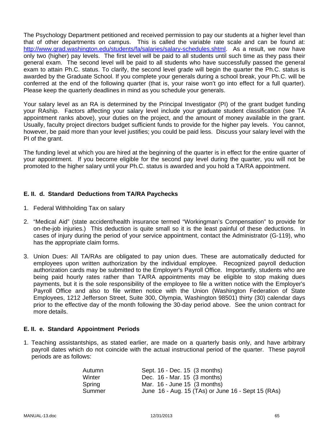The Psychology Department petitioned and received permission to pay our students at a higher level than that of other departments on campus. This is called the variable rate scale and can be found at: http://www.grad.washington.edu/students/fa/salaries/salary-schedules.shtml. As a result, we now have only two (higher) pay levels. The first level will be paid to all students until such time as they pass their general exam. The second level will be paid to all students who have successfully passed the general exam to attain Ph.C. status. To clarify, the second level grade will begin the quarter the Ph.C. status is awarded by the Graduate School. If you complete your generals during a school break, your Ph.C. will be conferred at the end of the following quarter (that is, your raise won't go into effect for a full quarter). Please keep the quarterly deadlines in mind as you schedule your generals.

Your salary level as an RA is determined by the Principal Investigator (PI) of the grant budget funding your RAship. Factors affecting your salary level include your graduate student classification (see TA appointment ranks above), your duties on the project, and the amount of money available in the grant. Usually, faculty project directors budget sufficient funds to provide for the higher pay levels. You cannot, however, be paid more than your level justifies; you could be paid less. Discuss your salary level with the PI of the grant.

The funding level at which you are hired at the beginning of the quarter is in effect for the entire quarter of your appointment. If you become eligible for the second pay level during the quarter, you will not be promoted to the higher salary until your Ph.C. status is awarded and you hold a TA/RA appointment.

## **E. II. d. Standard Deductions from TA/RA Paychecks**

- 1. Federal Withholding Tax on salary
- 2. "Medical Aid" (state accident/health insurance termed "Workingman's Compensation" to provide for on-the-job injuries.) This deduction is quite small so it is the least painful of these deductions. In cases of injury during the period of your service appointment, contact the Administrator (G-119), who has the appropriate claim forms.
- 3. Union Dues: All TA/RAs are obligated to pay union dues. These are automatically deducted for employees upon written authorization by the individual employee. Recognized payroll deduction authorization cards may be submitted to the Employer's Payroll Office. Importantly, students who are being paid hourly rates rather than TA/RA appointments may be eligible to stop making dues payments, but it is the sole responsibility of the employee to file a written notice with the Employer's Payroll Office and also to file written notice with the Union (Washington Federation of State Employees, 1212 Jefferson Street, Suite 300, Olympia, Washington 98501) thirty (30) calendar days prior to the effective day of the month following the 30-day period above. See the union contract for more details.

#### **E. II. e. Standard Appointment Periods**

1. Teaching assistantships, as stated earlier, are made on a quarterly basis only, and have arbitrary payroll dates which do not coincide with the actual instructional period of the quarter. These payroll periods are as follows:

| Autumn | Sept. 16 - Dec. 15 (3 months)                      |
|--------|----------------------------------------------------|
| Winter | Dec. 16 - Mar. 15 (3 months)                       |
| Spring | Mar. $16$ - June 15 $(3 \text{ months})$           |
| Summer | June 16 - Aug. 15 (TAs) or June 16 - Sept 15 (RAs) |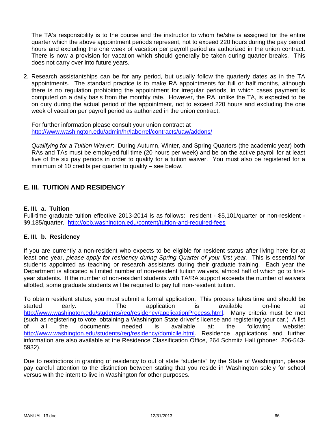The TA's responsibility is to the course and the instructor to whom he/she is assigned for the entire quarter which the above appointment periods represent, not to exceed 220 hours during the pay period hours and excluding the one week of vacation per payroll period as authorized in the union contract. There is now a provision for vacation which should generally be taken during quarter breaks. This does not carry over into future years.

2. Research assistantships can be for any period, but usually follow the quarterly dates as in the TA appointments. The standard practice is to make RA appointments for full or half months, although there is no regulation prohibiting the appointment for irregular periods, in which cases payment is computed on a daily basis from the monthly rate. However, the RA, unlike the TA, is expected to be on duty during the actual period of the appointment, not to exceed 220 hours and excluding the one week of vacation per payroll period as authorized in the union contract.

For further information please consult your union contract at http://www.washington.edu/admin/hr/laborrel/contracts/uaw/addons/

*Qualifying for a Tuition Waiver*: During Autumn, Winter, and Spring Quarters (the academic year) both RAs and TAs must be employed full time (20 hours per week) and be on the active payroll for at least five of the six pay periods in order to qualify for a tuition waiver. You must also be registered for a minimum of 10 credits per quarter to qualify – see below.

## **E. III. TUITION AND RESIDENCY**

#### **E. III. a. Tuition**

Full-time graduate tuition effective 2013-2014 is as follows: resident - \$5,101/quarter or non-resident - \$9,185/quarter. http://opb.washington.edu/content/tuition-and-required-fees

#### **E. III. b. Residency**

If you are currently a non-resident who expects to be eligible for resident status after living here for at least one year, *please apply for residency during Spring Quarter of your first year*. This is essential for students appointed as teaching or research assistants during their graduate training. Each year the Department is allocated a limited number of non-resident tuition waivers, almost half of which go to firstyear students. If the number of non-resident students with TA/RA support exceeds the number of waivers allotted, some graduate students will be required to pay full non-resident tuition.

To obtain resident status, you must submit a formal application. This process takes time and should be started early. The application is available on-line at http://www.washington.edu/students/reg/residency/applicationProcess.html. Many criteria must be met (such as registering to vote, obtaining a Washington State driver's license and registering your car.) A list of all the documents needed is available at: the following website: http://www.washington.edu/students/reg/residency/domicile.html. Residence applications and further information are also available at the Residence Classification Office, 264 Schmitz Hall (phone: 206-543- 5932).

Due to restrictions in granting of residency to out of state "students" by the State of Washington, please pay careful attention to the distinction between stating that you reside in Washington solely for school versus with the intent to live in Washington for other purposes.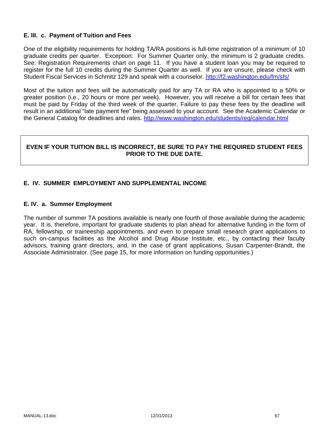## **E. III. c. Payment of Tuition and Fees**

One of the eligibility requirements for holding TA/RA positions is full-time registration of a minimum of 10 graduate credits per quarter. Exception: For Summer Quarter only, the minimum is 2 graduate credits. See: Registration Requirements chart on page 11. If you have a student loan you may be required to register for the full 10 credits during the Summer Quarter as well. If you are unsure, please check with Student Fiscal Services in Schmitz 129 and speak with a counselor. http://f2.washington.edu/fm/sfs/

Most of the tuition and fees will be automatically paid for any TA or RA who is appointed to a 50% or greater position (i.e., 20 hours or more per week). However, you will receive a bill for certain fees that must be paid by Friday of the third week of the quarter. Failure to pay these fees by the deadline will result in an additional "late payment fee" being assessed to your account. See the Academic Calendar or the General Catalog for deadlines and rates. http://www.washington.edu/students/reg/calendar.html

## **EVEN IF YOUR TUITION BILL IS INCORRECT, BE SURE TO PAY THE REQUIRED STUDENT FEES PRIOR TO THE DUE DATE.**

## **E. IV. SUMMER EMPLOYMENT AND SUPPLEMENTAL INCOME**

#### **E. IV. a. Summer Employment**

The number of summer TA positions available is nearly one fourth of those available during the academic year. It is, therefore, important for graduate students to plan ahead for alternative funding in the form of RA, fellowship, or traineeship appointments, and even to prepare small research grant applications to such on-campus facilities as the Alcohol and Drug Abuse Institute, etc., by contacting their faculty advisors, training grant directors, and, in the case of grant applications, Susan Carpenter-Brandt, the Associate Administrator. (See page 15, for more information on funding opportunities.)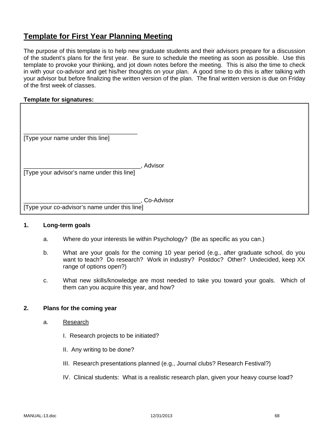# **Template for First Year Planning Meeting**

The purpose of this template is to help new graduate students and their advisors prepare for a discussion of the student's plans for the first year. Be sure to schedule the meeting as soon as possible. Use this template to provoke your thinking, and jot down notes before the meeting. This is also the time to check in with your co-advisor and get his/her thoughts on your plan. A good time to do this is after talking with your advisor but before finalizing the written version of the plan. The final written version is due on Friday of the first week of classes.

## **Template for signatures:**

| [Type your name under this line]              |            |
|-----------------------------------------------|------------|
| [Type your advisor's name under this line]    | Advisor    |
| [Type your co-advisor's name under this line] | Co-Advisor |

## **1. Long-term goals**

- a. Where do your interests lie within Psychology? (Be as specific as you can.)
- b. What are your goals for the coming 10 year period (e.g., after graduate school, do you want to teach? Do research? Work in industry? Postdoc? Other? Undecided, keep XX range of options open?)
- c. What new skills/knowledge are most needed to take you toward your goals. Which of them can you acquire this year, and how?

#### **2. Plans for the coming year**

- a. Research
	- I. Research projects to be initiated?
	- II. Any writing to be done?
	- III. Research presentations planned (e.g., Journal clubs? Research Festival?)
	- IV. Clinical students: What is a realistic research plan, given your heavy course load?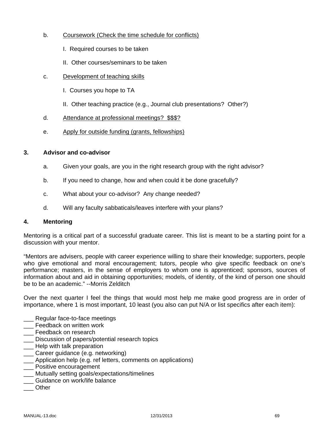- b. Coursework (Check the time schedule for conflicts)
	- I. Required courses to be taken
	- II. Other courses/seminars to be taken
- c. Development of teaching skills
	- I. Courses you hope to TA
	- II. Other teaching practice (e.g., Journal club presentations? Other?)
- d. Attendance at professional meetings? \$\$\$?
- e. Apply for outside funding (grants, fellowships)

#### **3. Advisor and co-advisor**

- a. Given your goals, are you in the right research group with the right advisor?
- b. If you need to change, how and when could it be done gracefully?
- c. What about your co-advisor? Any change needed?
- d. Will any faculty sabbaticals/leaves interfere with your plans?

#### **4. Mentoring**

Mentoring is a critical part of a successful graduate career. This list is meant to be a starting point for a discussion with your mentor.

"Mentors are advisers, people with career experience willing to share their knowledge; supporters, people who give emotional and moral encouragement; tutors, people who give specific feedback on one's performance; masters, in the sense of employers to whom one is apprenticed; sponsors, sources of information about and aid in obtaining opportunities; models, of identity, of the kind of person one should be to be an academic." --Morris Zelditch

Over the next quarter I feel the things that would most help me make good progress are in order of importance, where 1 is most important, 10 least (you also can put N/A or list specifics after each item):

- \_\_\_ Regular face-to-face meetings
- \_\_\_ Feedback on written work
- **\_\_\_** Feedback on research
- \_\_\_ Discussion of papers/potential research topics
- **\_\_\_** Help with talk preparation
- \_\_\_ Career guidance (e.g. networking)
- \_\_\_ Application help (e.g. ref letters, comments on applications)
- \_\_\_ Positive encouragement
- \_\_\_ Mutually setting goals/expectations/timelines
- Guidance on work/life balance
- \_\_\_ Other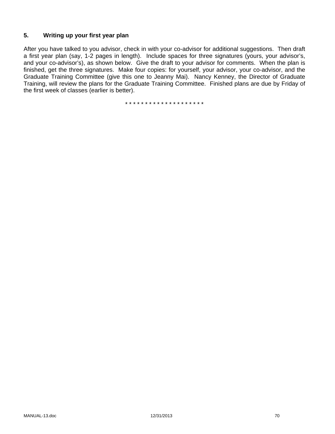## **5. Writing up your first year plan**

After you have talked to you advisor, check in with your co-advisor for additional suggestions. Then draft a first year plan (say, 1-2 pages in length). Include spaces for three signatures (yours, your advisor's, and your co-advisor's), as shown below. Give the draft to your advisor for comments. When the plan is finished, get the three signatures. Make four copies: for yourself, your advisor, your co-advisor, and the Graduate Training Committee (give this one to Jeanny Mai). Nancy Kenney, the Director of Graduate Training, will review the plans for the Graduate Training Committee. Finished plans are due by Friday of the first week of classes (earlier is better).

\* \* \* \* \* \* \* \* \* \* \* \* \* \* \* \* \* \* \* \*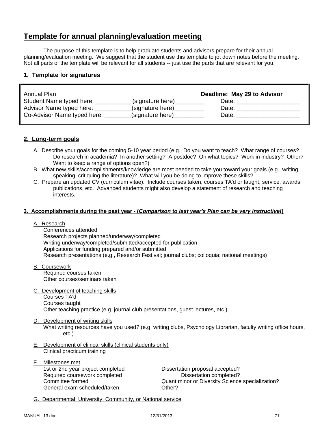# **Template for annual planning/evaluation meeting**

The purpose of this template is to help graduate students and advisors prepare for their annual planning/evaluation meeting. We suggest that the student use this template to jot down notes before the meeting. Not all parts of the template will be relevant for all students -- just use the parts that are relevant for you.

## **1. Template for signatures**

| Annual Plan                 |                  | Deadline: May 29 to Advisor |
|-----------------------------|------------------|-----------------------------|
| Student Name typed here:    | (signature here) | Date:                       |
| Advisor Name typed here:    | (signature here) | Date:                       |
| Co-Advisor Name typed here: | (signature here) | Date:                       |

#### **2. Long-term goals**

- A. Describe your goals for the coming 5-10 year period (e.g., Do you want to teach? What range of courses? Do research in academia? In another setting? A postdoc? On what topics? Work in industry? Other? Want to keep a range of options open?)
- B. What new skills/accomplishments/knowledge are most needed to take you toward your goals (e.g., writing, speaking, critiquing the literature)? What will you be doing to improve these skills?
- C. Prepare an updated CV (curriculum vitae). Include courses taken, courses TA'd or taught, service, awards, publications, etc. Advanced students might also develop a statement of research and teaching interests.

#### **3. Accomplishments during the past year - (***Comparison to last year's Plan can be very instructive!***)**

A. Research

 Conferences attended Research projects planned/underway/completed Writing underway/completed/submitted/accepted for publication Applications for funding prepared and/or submitted Research presentations (e.g., Research Festival; journal clubs; colloquia; national meetings)

- B. Coursework Required courses taken Other courses/seminars taken
- C. Development of teaching skills

 Courses TA'd Courses taught Other teaching practice (e.g. journal club presentations, guest lectures, etc.)

## D. Development of writing skills

What writing resources have you used? (e.g. writing clubs, Psychology Librarian, faculty writing office hours, etc.)

- E. Development of clinical skills (clinical students only) Clinical practicum training
- F. Milestones met 1st or 2nd year project completed Dissertation proposal accepted? Required coursework completed **Dissertation completed?** General exam scheduled/taken **CHACCOUNGER** Other?

Committee formed Quant minor or Diversity Science specialization?

G. Departmental, University, Community, or National service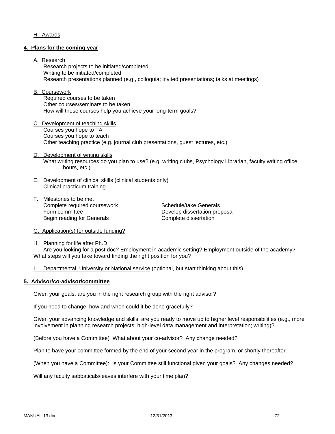# H. Awards

#### **4. Plans for the coming year**

#### A. Research

 Research projects to be initiated/completed Writing to be initiated/completed Research presentations planned (e.g., colloquia; invited presentations; talks at meetings)

#### B. Coursework

 Required courses to be taken Other courses/seminars to be taken How will these courses help you achieve your long-term goals?

- C. Development of teaching skills Courses you hope to TA Courses you hope to teach Other teaching practice (e.g. journal club presentations, guest lectures, etc.)
- D. Development of writing skills What writing resources do you plan to use? (e.g. writing clubs, Psychology Librarian, faculty writing office hours, etc.)
- E. Development of clinical skills (clinical students only) Clinical practicum training
- F. Milestones to be met Complete required coursework Schedule/take Generals Form committee **Develop** dissertation proposal Begin reading for Generals **Complete** dissertation

G. Application(s) for outside funding?

H. Planning for life after Ph.D Are you looking for a post doc? Employment in academic setting? Employment outside of the academy? What steps will you take toward finding the right position for you?

I. Departmental, University or National service (optional, but start thinking about this)

#### **5. Advisor/co-advisor/committee**

Given your goals, are you in the right research group with the right advisor?

If you need to change, how and when could it be done gracefully?

Given your advancing knowledge and skills, are you ready to move up to higher level responsibilities (e.g., more involvement in planning research projects; high-level data management and interpretation; writing)?

(Before you have a Committee) What about your co-advisor? Any change needed?

Plan to have your committee formed by the end of your second year in the program, or shortly thereafter.

(When you have a Committee): Is your Committee still functional given your goals? Any changes needed?

Will any faculty sabbaticals/leaves interfere with your time plan?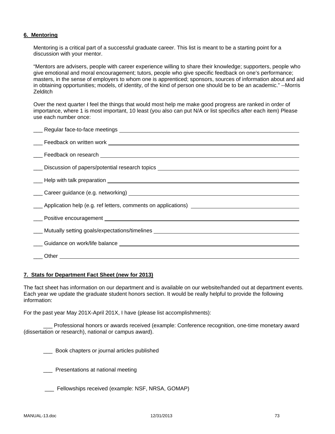# **6. Mentoring**

Mentoring is a critical part of a successful graduate career. This list is meant to be a starting point for a discussion with your mentor.

"Mentors are advisers, people with career experience willing to share their knowledge; supporters, people who give emotional and moral encouragement; tutors, people who give specific feedback on one's performance; masters, in the sense of employers to whom one is apprenticed; sponsors, sources of information about and aid in obtaining opportunities; models, of identity, of the kind of person one should be to be an academic." --Morris **Zelditch** 

Over the next quarter I feel the things that would most help me make good progress are ranked in order of importance, where 1 is most important, 10 least (you also can put N/A or list specifics after each item) Please use each number once:

| <u>__</u> _ Discussion of papers/potential research topics __________________________________ |
|-----------------------------------------------------------------------------------------------|
|                                                                                               |
|                                                                                               |
|                                                                                               |
| Application help (e.g. ref letters, comments on applications)                                 |
|                                                                                               |
| ____ Mutually setting goals/expectations/timelines _____________________________              |
|                                                                                               |
|                                                                                               |
|                                                                                               |
|                                                                                               |

## **7. Stats for Department Fact Sheet (new for 2013)**

The fact sheet has information on our department and is available on our website/handed out at department events. Each year we update the graduate student honors section. It would be really helpful to provide the following information:

For the past year May 201X-April 201X, I have (please list accomplishments):

Professional honors or awards received (example: Conference recognition, one-time monetary award (dissertation or research), national or campus award).

\_\_\_ Book chapters or journal articles published

\_\_\_ Presentations at national meeting

\_\_\_ Fellowships received (example: NSF, NRSA, GOMAP)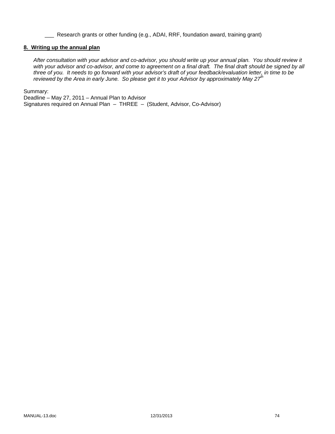\_\_\_ Research grants or other funding (e.g., ADAI, RRF, foundation award, training grant)

#### **8. Writing up the annual plan**

*After consultation with your advisor and co-advisor, you should write up your annual plan. You should review it*  with your advisor and co-advisor, and come to agreement on a final draft. The final draft should be signed by all *three of you. It needs to go forward with your advisor's draft of your feedback/evaluation letter, in time to be reviewed by the Area in early June. So please get it to your Advisor by approximately May 27th* 

Summary:

Deadline – May 27, 2011 – Annual Plan to Advisor Signatures required on Annual Plan – THREE – (Student, Advisor, Co-Advisor)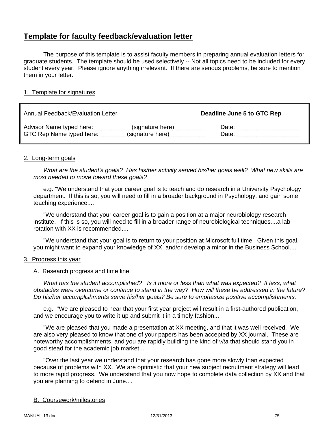# **Template for faculty feedback/evaluation letter**

 The purpose of this template is to assist faculty members in preparing annual evaluation letters for graduate students. The template should be used selectively -- Not all topics need to be included for every student every year. Please ignore anything irrelevant. If there are serious problems, be sure to mention them in your letter.

# 1. Template for signatures

| Annual Feedback/Evaluation Letter |                  | Deadline June 5 to GTC Rep |
|-----------------------------------|------------------|----------------------------|
| Advisor Name typed here:          | (signature here) | Date:                      |
| GTC Rep Name typed here:          | (signature here) | Date:                      |

# 2. Long-term goals

 *What are the student's goals? Has his/her activity served his/her goals well? What new skills are most needed to move toward these goals?*

e.g. "We understand that your career goal is to teach and do research in a University Psychology department. If this is so, you will need to fill in a broader background in Psychology, and gain some teaching experience....

 "We understand that your career goal is to gain a position at a major neurobiology research institute. If this is so, you will need to fill in a broader range of neurobiological techniques....a lab rotation with XX is recommended....

 "We understand that your goal is to return to your position at Microsoft full time. Given this goal, you might want to expand your knowledge of XX, and/or develop a minor in the Business School....

# 3. Progress this year

# A. Research progress and time line

 *What has the student accomplished? Is it more or less than what was expected? If less, what obstacles were overcome or continue to stand in the way? How will these be addressed in the future? Do his/her accomplishments serve his/her goals? Be sure to emphasize positive accomplishments.*

 e.g. "We are pleased to hear that your first year project will result in a first-authored publication, and we encourage you to write it up and submit it in a timely fashion....

 "We are pleased that you made a presentation at XX meeting, and that it was well received. We are also very pleased to know that one of your papers has been accepted by XX journal. These are noteworthy accomplishments, and you are rapidly building the kind of *vita* that should stand you in good stead for the academic job market....

 "Over the last year we understand that your research has gone more slowly than expected because of problems with XX. We are optimistic that your new subject recruitment strategy will lead to more rapid progress. We understand that you now hope to complete data collection by XX and that you are planning to defend in June....

# B. Coursework/milestones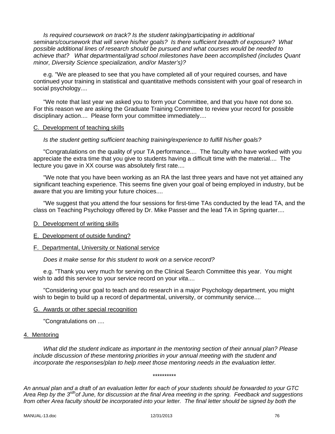*Is required coursework on track? Is the student taking/participating in additional seminars/coursework that will serve his/her goals? Is there sufficient breadth of exposure? What possible additional lines of research should be pursued and what courses would be needed to achieve that? What departmental/grad school milestones have been accomplished (includes Quant minor, Diversity Science specialization, and/or Master's)?*

 e.g. "We are pleased to see that you have completed all of your required courses, and have continued your training in statistical and quantitative methods consistent with your goal of research in social psychology....

 "We note that last year we asked you to form your Committee, and that you have not done so. For this reason we are asking the Graduate Training Committee to review your record for possible disciplinary action.... Please form your committee immediately....

# C. Development of teaching skills

# *Is the student getting sufficient teaching training/experience to fulfill his/her goals?*

 "Congratulations on the quality of your TA performance.... The faculty who have worked with you appreciate the extra time that you give to students having a difficult time with the material.... The lecture you gave in XX course was absolutely first rate....

 "We note that you have been working as an RA the last three years and have not yet attained any significant teaching experience. This seems fine given your goal of being employed in industry, but be aware that you are limiting your future choices....

 "We suggest that you attend the four sessions for first-time TAs conducted by the lead TA, and the class on Teaching Psychology offered by Dr. Mike Passer and the lead TA in Spring quarter....

# D. Development of writing skills

## E. Development of outside funding?

# F. Departmental, University or National service

 *Does it make sense for this student to work on a service record?*

 e.g. "Thank you very much for serving on the Clinical Search Committee this year. You might wish to add this service to your service record on your *vita*....

 "Considering your goal to teach and do research in a major Psychology department, you might wish to begin to build up a record of departmental, university, or community service....

## G. Awards or other special recognition

"Congratulations on ....

## 4. Mentoring

*What did the student indicate as important in the mentoring section of their annual plan? Please include discussion of these mentoring priorities in your annual meeting with the student and incorporate the responses/plan to help meet those mentoring needs in the evaluation letter.* 

#### \*\*\*\*\*\*\*\*\*\*

*An annual plan and a draft of an evaluation letter for each of your students should be forwarded to your GTC Area Rep by the 3rdhof June, for discussion at the final Area meeting in the spring. Feedback and suggestions from other Area faculty should be incorporated into your letter. The final letter should be signed by both the*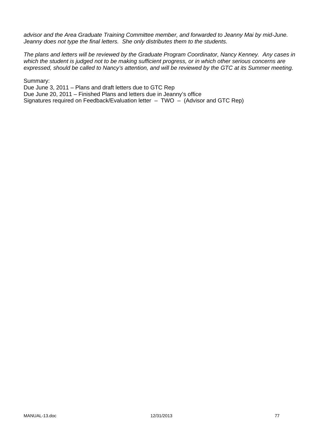*advisor and the Area Graduate Training Committee member, and forwarded to Jeanny Mai by mid-June. Jeanny does not type the final letters. She only distributes them to the students.* 

*The plans and letters will be reviewed by the Graduate Program Coordinator, Nancy Kenney. Any cases in which the student is judged not to be making sufficient progress, or in which other serious concerns are expressed, should be called to Nancy's attention, and will be reviewed by the GTC at its Summer meeting.* 

Summary:

Due June 3, 2011 – Plans and draft letters due to GTC Rep Due June 20, 2011 – Finished Plans and letters due in Jeanny's office Signatures required on Feedback/Evaluation letter – TWO – (Advisor and GTC Rep)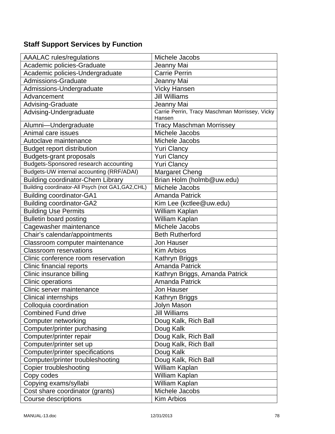# **Staff Support Services by Function**

| <b>AAALAC</b> rules/regulations                    | Michele Jacobs                                           |
|----------------------------------------------------|----------------------------------------------------------|
| Academic policies-Graduate                         | Jeanny Mai                                               |
| Academic policies-Undergraduate                    | <b>Carrie Perrin</b>                                     |
| Admissions-Graduate                                | Jeanny Mai                                               |
| Admissions-Undergraduate                           | <b>Vicky Hansen</b>                                      |
| Advancement                                        | <b>Jill Williams</b>                                     |
| Advising-Graduate                                  | Jeanny Mai                                               |
| Advising-Undergraduate                             | Carrie Perrin, Tracy Maschman Morrissey, Vicky<br>Hansen |
| Alumni-Undergraduate                               | <b>Tracy Maschman Morrissey</b>                          |
| Animal care issues                                 | Michele Jacobs                                           |
| Autoclave maintenance                              | Michele Jacobs                                           |
| <b>Budget report distribution</b>                  | <b>Yuri Clancy</b>                                       |
| <b>Budgets-grant proposals</b>                     | <b>Yuri Clancy</b>                                       |
| Budgets-Sponsored research accounting              | <b>Yuri Clancy</b>                                       |
| Budgets-UW internal accounting (RRF/ADAI)          | <b>Margaret Cheng</b>                                    |
| <b>Building coordinator-Chem Library</b>           | Brian Holm (holmb@uw.edu)                                |
| Building coordinator-All Psych (not GA1, GA2, CHL) | Michele Jacobs                                           |
| <b>Building coordinator-GA1</b>                    | <b>Amanda Patrick</b>                                    |
| <b>Building coordinator-GA2</b>                    | Kim Lee (kctlee@uw.edu)                                  |
| <b>Building Use Permits</b>                        | William Kaplan                                           |
| <b>Bulletin board posting</b>                      | William Kaplan                                           |
| Cagewasher maintenance                             | Michele Jacobs                                           |
| Chair's calendar/appointments                      | <b>Beth Rutherford</b>                                   |
| Classroom computer maintenance                     | <b>Jon Hauser</b>                                        |
| <b>Classroom reservations</b>                      | <b>Kim Arbios</b>                                        |
| Clinic conference room reservation                 | Kathryn Briggs                                           |
| Clinic financial reports                           | <b>Amanda Patrick</b>                                    |
| Clinic insurance billing                           | Kathryn Briggs, Amanda Patrick                           |
| Clinic operations                                  | <b>Amanda Patrick</b>                                    |
| Clinic server maintenance                          | <b>Jon Hauser</b>                                        |
| <b>Clinical internships</b>                        | Kathryn Briggs                                           |
| Colloquia coordination                             | Jolyn Mason                                              |
| <b>Combined Fund drive</b>                         | <b>Jill Williams</b>                                     |
| Computer networking                                | Doug Kalk, Rich Ball                                     |
| Computer/printer purchasing                        | Doug Kalk                                                |
| Computer/printer repair                            | Doug Kalk, Rich Ball                                     |
| Computer/printer set up                            | Doug Kalk, Rich Ball                                     |
| Computer/printer specifications                    | Doug Kalk                                                |
| Computer/printer troubleshooting                   | Doug Kalk, Rich Ball                                     |
| <b>Copier troubleshooting</b>                      | William Kaplan                                           |
| Copy codes                                         | William Kaplan                                           |
| Copying exams/syllabi                              | William Kaplan                                           |
| Cost share coordinator (grants)                    | Michele Jacobs                                           |
| <b>Course descriptions</b>                         | Kim Arbios                                               |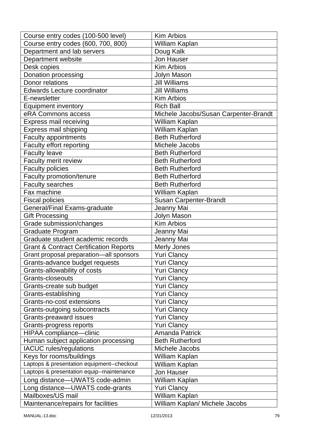| Course entry codes (100-500 level)                | <b>Kim Arbios</b>                     |
|---------------------------------------------------|---------------------------------------|
| Course entry codes (600, 700, 800)                | William Kaplan                        |
| Department and lab servers                        | Doug Kalk                             |
| Department website                                | <b>Jon Hauser</b>                     |
| Desk copies                                       | <b>Kim Arbios</b>                     |
| Donation processing                               | Jolyn Mason                           |
| Donor relations                                   | <b>Jill Williams</b>                  |
| <b>Edwards Lecture coordinator</b>                | <b>Jill Williams</b>                  |
| E-newsletter                                      | <b>Kim Arbios</b>                     |
| <b>Equipment inventory</b>                        | <b>Rich Ball</b>                      |
| eRA Commons access                                | Michele Jacobs/Susan Carpenter-Brandt |
| <b>Express mail receiving</b>                     | William Kaplan                        |
| Express mail shipping                             | William Kaplan                        |
| <b>Faculty appointments</b>                       | <b>Beth Rutherford</b>                |
| Faculty effort reporting                          | Michele Jacobs                        |
| <b>Faculty leave</b>                              | <b>Beth Rutherford</b>                |
| Faculty merit review                              | <b>Beth Rutherford</b>                |
| <b>Faculty policies</b>                           | <b>Beth Rutherford</b>                |
| Faculty promotion/tenure                          | <b>Beth Rutherford</b>                |
| <b>Faculty searches</b>                           | <b>Beth Rutherford</b>                |
| Fax machine                                       | William Kaplan                        |
| <b>Fiscal policies</b>                            | <b>Susan Carpenter-Brandt</b>         |
| General/Final Exams-graduate                      | Jeanny Mai                            |
| <b>Gift Processing</b>                            | Jolyn Mason                           |
| Grade submission/changes                          | <b>Kim Arbios</b>                     |
| Graduate Program                                  | Jeanny Mai                            |
| Graduate student academic records                 | Jeanny Mai                            |
| <b>Grant &amp; Contract Certification Reports</b> | <b>Merly Jones</b>                    |
| Grant proposal preparation-all sponsors           | <b>Yuri Clancy</b>                    |
| Grants-advance budget requests                    | <b>Yuri Clancy</b>                    |
| Grants-allowability of costs                      | <b>Yuri Clancy</b>                    |
| Grants-closeouts                                  | <b>Yuri Clancy</b>                    |
| Grants-create sub budget                          | <b>Yuri Clancy</b>                    |
| Grants-establishing                               | <b>Yuri Clancy</b>                    |
| Grants-no-cost extensions                         | <b>Yuri Clancy</b>                    |
| Grants-outgoing subcontracts                      | <b>Yuri Clancy</b>                    |
| <b>Grants-preaward issues</b>                     | <b>Yuri Clancy</b>                    |
| Grants-progress reports                           | <b>Yuri Clancy</b>                    |
| HIPAA compliance-clinic                           | <b>Amanda Patrick</b>                 |
| Human subject application processing              | <b>Beth Rutherford</b>                |
| <b>IACUC</b> rules/regulations                    | Michele Jacobs                        |
| Keys for rooms/buildings                          | William Kaplan                        |
| Laptops & presentation equipment--checkout        | William Kaplan                        |
| Laptops & presentation equip--maintenance         | Jon Hauser                            |
| Long distance-UWATS code-admin                    | William Kaplan                        |
| Long distance-UWATS code-grants                   | <b>Yuri Clancy</b>                    |
| Mailboxes/US mail                                 | William Kaplan                        |
| Maintenance/repairs for facilities                | William Kaplan/ Michele Jacobs        |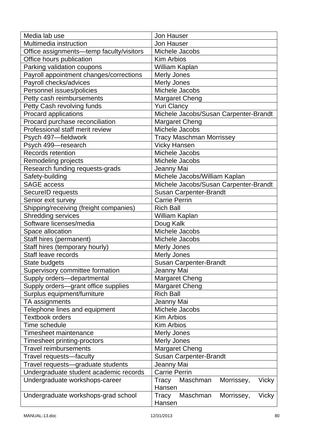| Media lab use                            | <b>Jon Hauser</b>                        |  |
|------------------------------------------|------------------------------------------|--|
| Multimedia instruction                   | Jon Hauser                               |  |
| Office assignments—temp faculty/visitors | Michele Jacobs                           |  |
| Office hours publication                 | <b>Kim Arbios</b>                        |  |
| Parking validation coupons               | William Kaplan                           |  |
| Payroll appointment changes/corrections  | <b>Merly Jones</b>                       |  |
| Payroll checks/advices                   | <b>Merly Jones</b>                       |  |
| Personnel issues/policies                | Michele Jacobs                           |  |
| Petty cash reimbursements                | Margaret Cheng                           |  |
| Petty Cash revolving funds               | <b>Yuri Clancy</b>                       |  |
| Procard applications                     | Michele Jacobs/Susan Carpenter-Brandt    |  |
| Procard purchase reconciliation          | Margaret Cheng                           |  |
| Professional staff merit review          | Michele Jacobs                           |  |
| Psych 497-fieldwork                      | <b>Tracy Maschman Morrissey</b>          |  |
| Psych 499-research                       | <b>Vicky Hansen</b>                      |  |
| <b>Records retention</b>                 | Michele Jacobs                           |  |
| Remodeling projects                      | Michele Jacobs                           |  |
| Research funding requests-grads          | Jeanny Mai                               |  |
| Safety-building                          | Michele Jacobs/William Kaplan            |  |
| <b>SAGE</b> access                       | Michele Jacobs/Susan Carpenter-Brandt    |  |
| SecureID requests                        | <b>Susan Carpenter-Brandt</b>            |  |
| Senior exit survey                       | <b>Carrie Perrin</b>                     |  |
| Shipping/receiving (freight companies)   | <b>Rich Ball</b>                         |  |
| <b>Shredding services</b>                | William Kaplan                           |  |
| Software licenses/media                  | Doug Kalk                                |  |
| Space allocation                         | Michele Jacobs                           |  |
| Staff hires (permanent)                  | Michele Jacobs                           |  |
| Staff hires (temporary hourly)           | <b>Merly Jones</b>                       |  |
| Staff leave records                      | <b>Merly Jones</b>                       |  |
| State budgets                            | Susan Carpenter-Brandt                   |  |
| Supervisory committee formation          | Jeanny Mai                               |  |
| Supply orders-departmental               | Margaret Cheng                           |  |
| Supply orders-grant office supplies      | <b>Margaret Cheng</b>                    |  |
| Surplus equipment/furniture              | <b>Rich Ball</b>                         |  |
| TA assignments                           | Jeanny Mai                               |  |
| Telephone lines and equipment            | Michele Jacobs                           |  |
| <b>Textbook orders</b>                   | <b>Kim Arbios</b>                        |  |
| Time schedule                            | <b>Kim Arbios</b>                        |  |
| <b>Timesheet maintenance</b>             | <b>Merly Jones</b>                       |  |
| Timesheet printing-proctors              | Merly Jones                              |  |
| <b>Travel reimbursements</b>             | <b>Margaret Cheng</b>                    |  |
| Travel requests-faculty                  | Susan Carpenter-Brandt                   |  |
| Travel requests-graduate students        | Jeanny Mai                               |  |
| Undergraduate student academic records   | <b>Carrie Perrin</b>                     |  |
| Undergraduate workshops-career           | Maschman<br>Morrissey,<br>Vicky<br>Tracy |  |
|                                          | Hansen                                   |  |
| Undergraduate workshops-grad school      | Tracy<br>Maschman<br>Morrissey,<br>Vicky |  |
|                                          | Hansen                                   |  |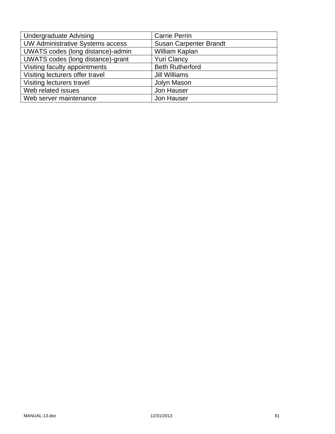| <b>Undergraduate Advising</b>           | <b>Carrie Perrin</b>          |
|-----------------------------------------|-------------------------------|
| <b>UW Administrative Systems access</b> | <b>Susan Carpenter Brandt</b> |
| UWATS codes (long distance)-admin       | William Kaplan                |
| UWATS codes (long distance)-grant       | <b>Yuri Clancy</b>            |
| Visiting faculty appointments           | <b>Beth Rutherford</b>        |
| Visiting lecturers offer travel         | Jill Williams                 |
| Visiting lecturers travel               | Jolyn Mason                   |
| Web related issues                      | Jon Hauser                    |
| Web server maintenance                  | Jon Hauser                    |